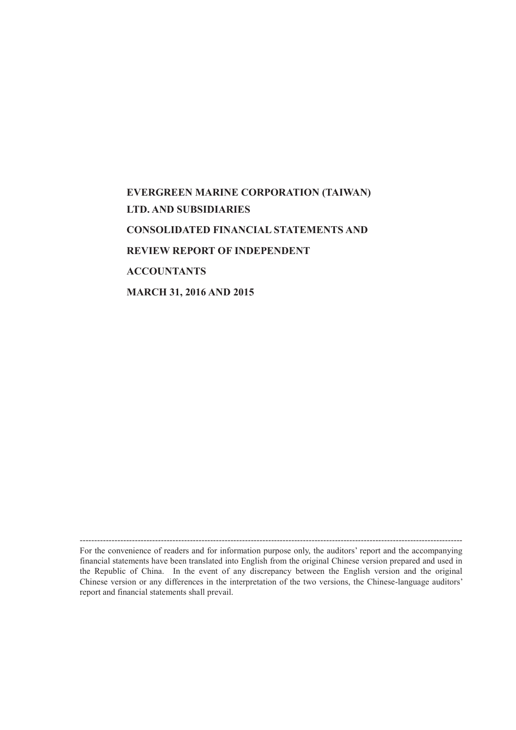# **EVERGREEN MARINE CORPORATION (TAIWAN) LTD. AND SUBSIDIARIES CONSOLIDATED FINANCIAL STATEMENTS AND REVIEW REPORT OF INDEPENDENT ACCOUNTANTS MARCH 31, 2016 AND 2015**

------------------------------------------------------------------------------------------------------------------------------------ For the convenience of readers and for information purpose only, the auditors' report and the accompanying financial statements have been translated into English from the original Chinese version prepared and used in the Republic of China. In the event of any discrepancy between the English version and the original Chinese version or any differences in the interpretation of the two versions, the Chinese-language auditors' report and financial statements shall prevail.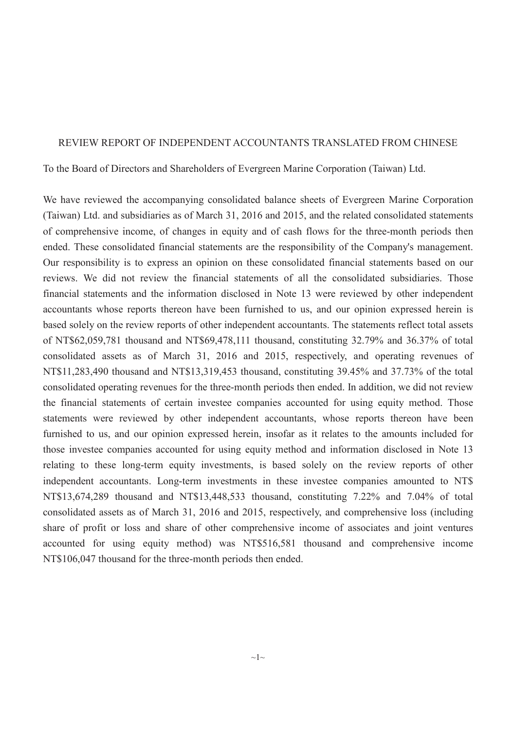#### REVIEW REPORT OF INDEPENDENT ACCOUNTANTS TRANSLATED FROM CHINESE

To the Board of Directors and Shareholders of Evergreen Marine Corporation (Taiwan) Ltd.

We have reviewed the accompanying consolidated balance sheets of Evergreen Marine Corporation (Taiwan) Ltd. and subsidiaries as of March 31, 2016 and 2015, and the related consolidated statements of comprehensive income, of changes in equity and of cash flows for the three-month periods then ended. These consolidated financial statements are the responsibility of the Company's management. Our responsibility is to express an opinion on these consolidated financial statements based on our reviews. We did not review the financial statements of all the consolidated subsidiaries. Those financial statements and the information disclosed in Note 13 were reviewed by other independent accountants whose reports thereon have been furnished to us, and our opinion expressed herein is based solely on the review reports of other independent accountants. The statements reflect total assets of NT\$62,059,781 thousand and NT\$69,478,111 thousand, constituting 32.79% and 36.37% of total consolidated assets as of March 31, 2016 and 2015, respectively, and operating revenues of NT\$11,283,490 thousand and NT\$13,319,453 thousand, constituting 39.45% and 37.73% of the total consolidated operating revenues for the three-month periods then ended. In addition, we did not review the financial statements of certain investee companies accounted for using equity method. Those statements were reviewed by other independent accountants, whose reports thereon have been furnished to us, and our opinion expressed herein, insofar as it relates to the amounts included for those investee companies accounted for using equity method and information disclosed in Note 13 relating to these long-term equity investments, is based solely on the review reports of other independent accountants. Long-term investments in these investee companies amounted to NT\$ NT\$13,674,289 thousand and NT\$13,448,533 thousand, constituting 7.22% and 7.04% of total consolidated assets as of March 31, 2016 and 2015, respectively, and comprehensive loss (including share of profit or loss and share of other comprehensive income of associates and joint ventures accounted for using equity method) was NT\$516,581 thousand and comprehensive income NT\$106,047 thousand for the three-month periods then ended.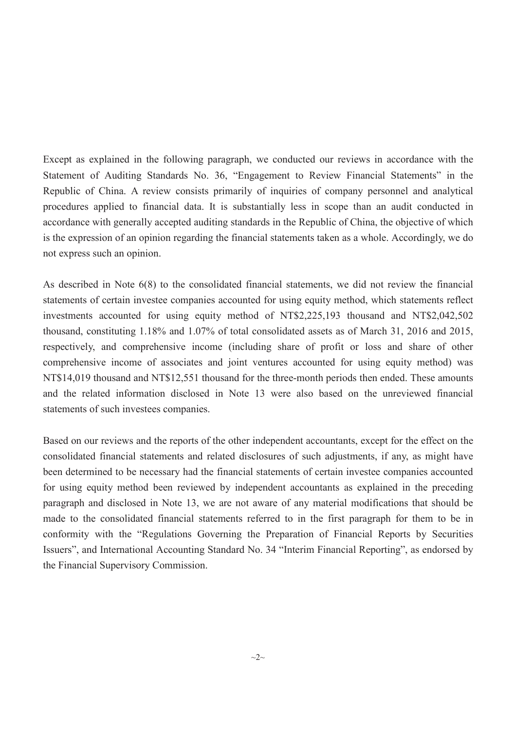Except as explained in the following paragraph, we conducted our reviews in accordance with the Statement of Auditing Standards No. 36, "Engagement to Review Financial Statements" in the Republic of China. A review consists primarily of inquiries of company personnel and analytical procedures applied to financial data. It is substantially less in scope than an audit conducted in accordance with generally accepted auditing standards in the Republic of China, the objective of which is the expression of an opinion regarding the financial statements taken as a whole. Accordingly, we do not express such an opinion.

As described in Note 6(8) to the consolidated financial statements, we did not review the financial statements of certain investee companies accounted for using equity method, which statements reflect investments accounted for using equity method of NT\$2,225,193 thousand and NT\$2,042,502 thousand, constituting 1.18% and 1.07% of total consolidated assets as of March 31, 2016 and 2015, respectively, and comprehensive income (including share of profit or loss and share of other comprehensive income of associates and joint ventures accounted for using equity method) was NT\$14,019 thousand and NT\$12,551 thousand for the three-month periods then ended. These amounts and the related information disclosed in Note 13 were also based on the unreviewed financial statements of such investees companies.

Based on our reviews and the reports of the other independent accountants, except for the effect on the consolidated financial statements and related disclosures of such adjustments, if any, as might have been determined to be necessary had the financial statements of certain investee companies accounted for using equity method been reviewed by independent accountants as explained in the preceding paragraph and disclosed in Note 13, we are not aware of any material modifications that should be made to the consolidated financial statements referred to in the first paragraph for them to be in conformity with the "Regulations Governing the Preparation of Financial Reports by Securities Issuers", and International Accounting Standard No. 34 "Interim Financial Reporting", as endorsed by the Financial Supervisory Commission.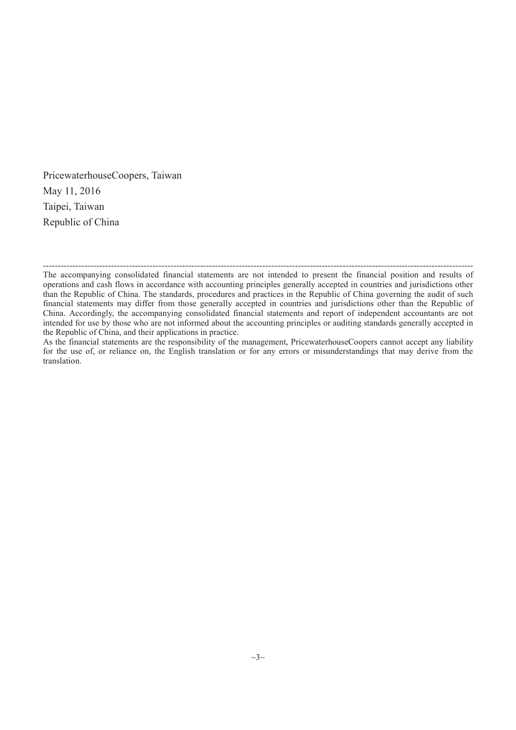PricewaterhouseCoopers, Taiwan May 11, 2016 Taipei, Taiwan Republic of China

<sup>-------------------------------------------------------------------------------------------------------------------------------------------------</sup> The accompanying consolidated financial statements are not intended to present the financial position and results of operations and cash flows in accordance with accounting principles generally accepted in countries and jurisdictions other than the Republic of China. The standards, procedures and practices in the Republic of China governing the audit of such financial statements may differ from those generally accepted in countries and jurisdictions other than the Republic of China. Accordingly, the accompanying consolidated financial statements and report of independent accountants are not intended for use by those who are not informed about the accounting principles or auditing standards generally accepted in the Republic of China, and their applications in practice.

As the financial statements are the responsibility of the management, PricewaterhouseCoopers cannot accept any liability for the use of, or reliance on, the English translation or for any errors or misunderstandings that may derive from the translation.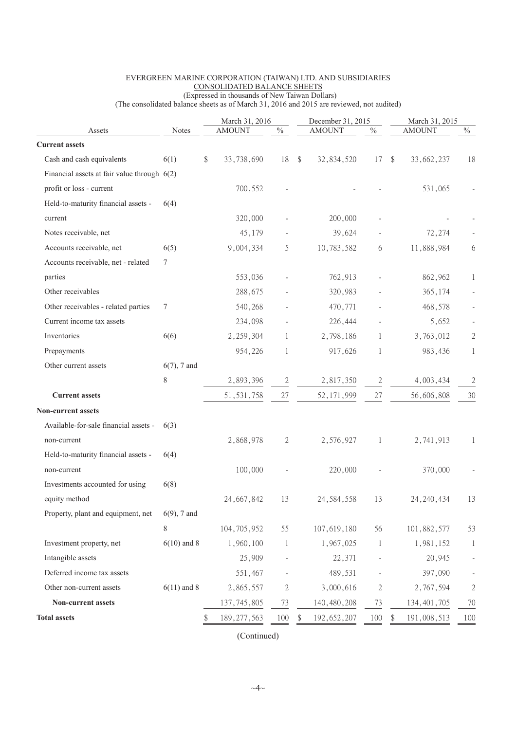|                                                                    |                |        | March 31, 2016       |                |                         | December 31, 2015    |                |               | March 31, 2015       |                |  |
|--------------------------------------------------------------------|----------------|--------|----------------------|----------------|-------------------------|----------------------|----------------|---------------|----------------------|----------------|--|
| Assets<br><b>Current assets</b>                                    | <b>Notes</b>   |        | <b>AMOUNT</b>        | $\%$           |                         | <b>AMOUNT</b>        | $\%$           |               | <b>AMOUNT</b>        | $\frac{0}{6}$  |  |
| Cash and cash equivalents                                          |                | $\$\,$ | 33,738,690           | 18             |                         |                      |                |               |                      |                |  |
| Financial assets at fair value through $6(2)$                      | 6(1)           |        |                      |                | $\sqrt[6]{\frac{1}{2}}$ | 32,834,520           | 17             | $\mathcal{S}$ | 33,662,237           | 18             |  |
| profit or loss - current                                           |                |        | 700,552              |                |                         |                      |                |               | 531,065              |                |  |
| Held-to-maturity financial assets -                                | 6(4)           |        |                      |                |                         |                      |                |               |                      |                |  |
| current                                                            |                |        | 320,000              |                |                         | 200,000              |                |               |                      |                |  |
| Notes receivable, net                                              |                |        | 45,179               |                |                         | 39,624               |                |               | 72,274               |                |  |
| Accounts receivable, net                                           | 6(5)           |        | 9,004,334            | 5              |                         | 10,783,582           | 6              |               | 11,888,984           | 6              |  |
| Accounts receivable, net - related                                 | 7              |        |                      |                |                         |                      |                |               |                      |                |  |
| parties                                                            |                |        | 553,036              |                |                         | 762,913              |                |               | 862,962              | 1              |  |
| Other receivables                                                  |                |        | 288,675              |                |                         | 320,983              |                |               | 365,174              |                |  |
| Other receivables - related parties                                |                |        | 540,268              |                |                         |                      |                |               |                      |                |  |
| Current income tax assets                                          | 7              |        | 234,098              |                |                         | 470,771              |                |               | 468,578<br>5,652     |                |  |
| Inventories                                                        | 6(6)           |        |                      | 1              |                         | 226,444              |                |               |                      |                |  |
| Prepayments                                                        |                |        | 2,259,304<br>954,226 | 1              |                         | 2,798,186<br>917,626 | 1<br>1         |               | 3,763,012<br>983,436 | $\mathfrak{2}$ |  |
| Other current assets                                               | $6(7)$ , 7 and |        |                      |                |                         |                      |                |               |                      | $\mathbf 1$    |  |
|                                                                    | $8\,$          |        |                      |                |                         |                      |                |               |                      |                |  |
| <b>Current assets</b>                                              |                |        | 2,893,396            | $\overline{c}$ |                         | 2,817,350            | $\overline{c}$ |               | 4,003,434            | $\overline{2}$ |  |
|                                                                    |                |        | 51, 531, 758         | 27             |                         | 52, 171, 999         | 27             |               | 56,606,808           | 30             |  |
| <b>Non-current assets</b><br>Available-for-sale financial assets - |                |        |                      |                |                         |                      |                |               |                      |                |  |
|                                                                    | 6(3)           |        |                      |                |                         |                      |                |               |                      |                |  |
| non-current                                                        |                |        | 2,868,978            | 2              |                         | 2,576,927            | 1              |               | 2,741,913            | 1              |  |
| Held-to-maturity financial assets -                                | 6(4)           |        |                      |                |                         |                      |                |               |                      |                |  |
| non-current                                                        |                |        | 100,000              |                |                         | 220,000              |                |               | 370,000              |                |  |
| Investments accounted for using                                    | 6(8)           |        |                      |                |                         |                      |                |               |                      |                |  |
| equity method                                                      |                |        | 24, 667, 842         | 13             |                         | 24, 584, 558         | 13             |               | 24, 240, 434         | 13             |  |
| Property, plant and equipment, net                                 | $6(9)$ , 7 and |        |                      |                |                         |                      |                |               |                      |                |  |
|                                                                    | 8              |        | 104, 705, 952        | 55             |                         | 107,619,180          | 56             |               | 101,882,577          | 53             |  |
| Investment property, net                                           | $6(10)$ and 8  |        | 1,960,100            | 1              |                         | 1,967,025            | 1              |               | 1,981,152            | $\mathbf{1}$   |  |
| Intangible assets                                                  |                |        | 25,909               |                |                         | 22,371               |                |               | 20,945               |                |  |
| Deferred income tax assets                                         |                |        | 551,467              |                |                         | 489,531              |                |               | 397,090              |                |  |
| Other non-current assets                                           | $6(11)$ and 8  |        | 2,865,557            | 2              |                         | 3,000,616            | $\mathbf{c}$   |               | 2,767,594            | $\mathfrak{c}$ |  |
| Non-current assets                                                 |                |        | 137, 745, 805        | 73             |                         | 140,480,208          | 73             |               | 134, 401, 705        | 70             |  |
| <b>Total assets</b>                                                |                | \$     | 189, 277, 563        | 100            |                         | 192, 652, 207        | 100            |               | 191,008,513          | 100            |  |

#### EVERGREEN MARINE CORPORATION (TAIWAN) LTD. AND SUBSIDIARIES CONSOLIDATED BALANCE SHEETS (Expressed in thousands of New Taiwan Dollars)

(The consolidated balance sheets as of March 31, 2016 and 2015 are reviewed, not audited)

(Continued)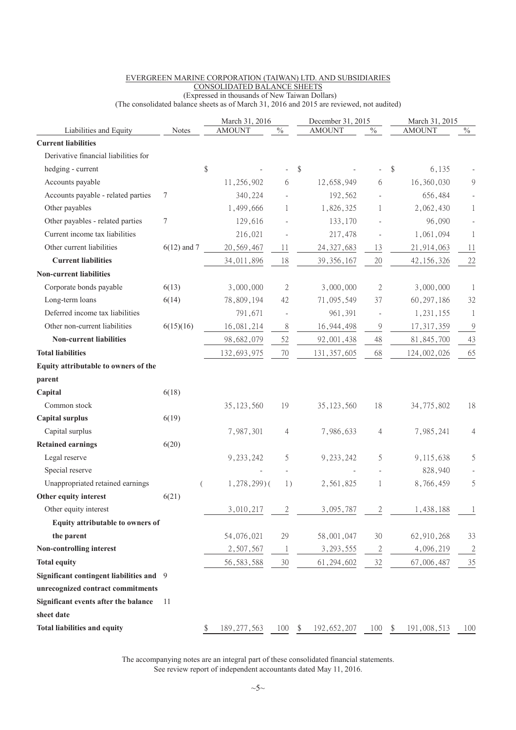|                                          |               |    | March 31, 2016 |                          |      | December 31, 2015 |                              |      | March 31, 2015 |                |
|------------------------------------------|---------------|----|----------------|--------------------------|------|-------------------|------------------------------|------|----------------|----------------|
| Liabilities and Equity                   | <b>Notes</b>  |    | <b>AMOUNT</b>  | $\%$                     |      | <b>AMOUNT</b>     | $\%$                         |      | <b>AMOUNT</b>  | $\%$           |
| <b>Current liabilities</b>               |               |    |                |                          |      |                   |                              |      |                |                |
| Derivative financial liabilities for     |               |    |                |                          |      |                   |                              |      |                |                |
| hedging - current                        |               | \$ |                |                          | \$   |                   |                              | \$   | 6,135          |                |
| Accounts payable                         |               |    | 11,256,902     | 6                        |      | 12,658,949        | 6                            |      | 16,360,030     | $\overline{9}$ |
| Accounts payable - related parties       | 7             |    | 340,224        |                          |      | 192,562           |                              |      | 656,484        |                |
| Other payables                           |               |    | 1,499,666      | 1                        |      | 1,826,325         | 1                            |      | 2,062,430      | $\,1$          |
| Other payables - related parties         | 7             |    | 129,616        |                          |      | 133,170           |                              |      | 96,090         |                |
| Current income tax liabilities           |               |    | 216,021        |                          |      | 217,478           |                              |      | 1,061,094      | 1              |
| Other current liabilities                | $6(12)$ and 7 |    | 20,569,467     | 11                       |      | 24, 327, 683      | 13                           |      | 21,914,063     | 11             |
| <b>Current liabilities</b>               |               |    | 34,011,896     | 18                       |      | 39, 356, 167      | $20\,$                       |      | 42, 156, 326   | 22             |
| <b>Non-current liabilities</b>           |               |    |                |                          |      |                   |                              |      |                |                |
| Corporate bonds payable                  | 6(13)         |    | 3,000,000      | 2                        |      | 3,000,000         | 2                            |      | 3,000,000      | 1              |
| Long-term loans                          | 6(14)         |    | 78,809,194     | 42                       |      | 71,095,549        | 37                           |      | 60, 297, 186   | 32             |
| Deferred income tax liabilities          |               |    | 791,671        | $\overline{\phantom{a}}$ |      | 961,391           | $\qquad \qquad \blacksquare$ |      | 1,231,155      | 1              |
| Other non-current liabilities            | 6(15)(16)     |    | 16,081,214     | 8                        |      | 16, 944, 498      | 9                            |      | 17, 317, 359   | $\overline{9}$ |
| <b>Non-current liabilities</b>           |               |    | 98,682,079     | 52                       |      | 92,001,438        | 48                           |      | 81, 845, 700   | 43             |
| <b>Total liabilities</b>                 |               |    | 132,693,975    | 70                       |      | 131, 357, 605     | 68                           |      | 124,002,026    | 65             |
| Equity attributable to owners of the     |               |    |                |                          |      |                   |                              |      |                |                |
| parent                                   |               |    |                |                          |      |                   |                              |      |                |                |
| Capital                                  | 6(18)         |    |                |                          |      |                   |                              |      |                |                |
| Common stock                             |               |    | 35, 123, 560   | 19                       |      | 35, 123, 560      | 18                           |      | 34,775,802     | 18             |
| <b>Capital surplus</b>                   | 6(19)         |    |                |                          |      |                   |                              |      |                |                |
| Capital surplus                          |               |    | 7,987,301      | 4                        |      | 7,986,633         | 4                            |      | 7,985,241      | 4              |
| <b>Retained earnings</b>                 | 6(20)         |    |                |                          |      |                   |                              |      |                |                |
| Legal reserve                            |               |    | 9, 233, 242    | 5                        |      | 9, 233, 242       | 5                            |      | 9,115,638      | 5              |
| Special reserve                          |               |    |                |                          |      |                   |                              |      | 828,940        |                |
| Unappropriated retained earnings         |               | (  | $1,278,299$ )( | 1)                       |      | 2,561,825         | 1                            |      | 8,766,459      | 5              |
| Other equity interest                    | 6(21)         |    |                |                          |      |                   |                              |      |                |                |
| Other equity interest                    |               |    | 3,010,217      | $\mathbf{2}$             |      | 3,095,787         | $\sqrt{2}$                   |      | 1,438,188      |                |
| Equity attributable to owners of         |               |    |                |                          |      |                   |                              |      |                |                |
| the parent                               |               |    | 54,076,021     | 29                       |      | 58,001,047        | 30                           |      | 62,910,268     | 33             |
| Non-controlling interest                 |               |    | 2,507,567      | $\mathbf{1}$             |      | 3, 293, 555       | $\mathbf{2}$                 |      | 4,096,219      | $\mathfrak{2}$ |
| <b>Total equity</b>                      |               |    | 56, 583, 588   | $30\,$                   |      | 61, 294, 602      | $32\,$                       |      | 67,006,487     | 35             |
| Significant contingent liabilities and 9 |               |    |                |                          |      |                   |                              |      |                |                |
| unrecognized contract commitments        |               |    |                |                          |      |                   |                              |      |                |                |
| Significant events after the balance     | 11            |    |                |                          |      |                   |                              |      |                |                |
| sheet date                               |               |    |                |                          |      |                   |                              |      |                |                |
| <b>Total liabilities and equity</b>      |               |    | 189, 277, 563  | 100                      | - \$ | 192, 652, 207     | 100                          | - \$ | 191,008,513    | 100            |
|                                          |               |    |                |                          |      |                   |                              |      |                |                |

#### EVERGREEN MARINE CORPORATION (TAIWAN) LTD. AND SUBSIDIARIES CONSOLIDATED BALANCE SHEETS (Expressed in thousands of New Taiwan Dollars)

(The consolidated balance sheets as of March 31, 2016 and 2015 are reviewed, not audited)

The accompanying notes are an integral part of these consolidated financial statements. See review report of independent accountants dated May 11, 2016.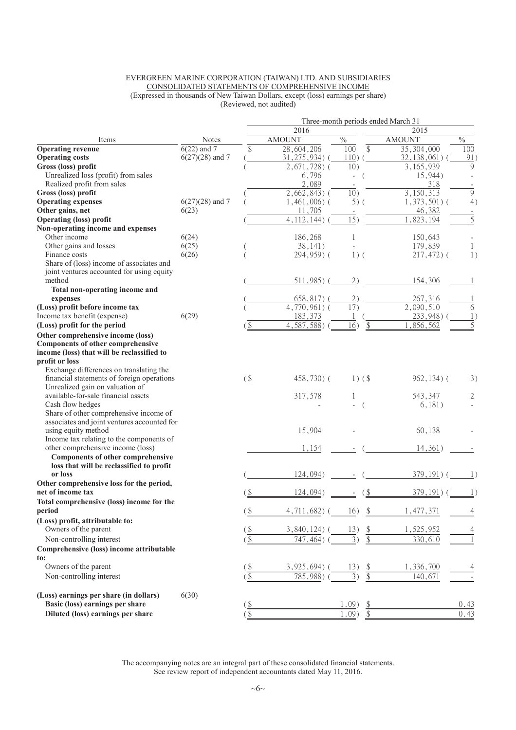#### EVERGREEN MARINE CORPORATION (TAIWAN) LTD. AND SUBSIDIARIES CONSOLIDATED STATEMENTS OF COMPREHENSIVE INCOME (Expressed in thousands of New Taiwan Dollars, except (loss) earnings per share) (Reviewed, not audited)

|                                             |                          |                          |                          |                                     | Three-month periods ended March 31 |                |  |  |  |  |  |  |  |  |
|---------------------------------------------|--------------------------|--------------------------|--------------------------|-------------------------------------|------------------------------------|----------------|--|--|--|--|--|--|--|--|
|                                             |                          |                          | 2016                     |                                     | 2015                               |                |  |  |  |  |  |  |  |  |
| Items                                       | <b>Notes</b>             |                          | <b>AMOUNT</b>            | $\frac{0}{0}$                       | <b>AMOUNT</b>                      | $\frac{0}{0}$  |  |  |  |  |  |  |  |  |
| <b>Operating revenue</b>                    | $\overline{6(22)}$ and 7 | \$                       | 28,604,206               | \$<br>100                           | 35, 304, 000                       | 100            |  |  |  |  |  |  |  |  |
| <b>Operating costs</b>                      | $6(27)(28)$ and 7        |                          | $31, 275, 934$ (         | 110)                                | $32, 138, 061$ )                   | 91)            |  |  |  |  |  |  |  |  |
| Gross (loss) profit                         |                          |                          | $2,671,728$ ) (          | 10)                                 | 3, 165, 939                        | 9              |  |  |  |  |  |  |  |  |
| Unrealized loss (profit) from sales         |                          |                          | 6,796                    | $\overline{\phantom{a}}$            | 15,944)                            |                |  |  |  |  |  |  |  |  |
| Realized profit from sales                  |                          |                          | 2,089                    |                                     | 318                                |                |  |  |  |  |  |  |  |  |
| Gross (loss) profit                         |                          |                          | $2,662,843$ (            | 10)                                 | 3,150,313                          | 9              |  |  |  |  |  |  |  |  |
| <b>Operating expenses</b>                   | $6(27)(28)$ and 7        |                          | $1,461,006$ ) (          | $5)$ (                              | $1,373,501$ (                      | 4)             |  |  |  |  |  |  |  |  |
| Other gains, net                            | 6(23)                    |                          | 11,705                   |                                     | 46,382                             |                |  |  |  |  |  |  |  |  |
| <b>Operating (loss) profit</b>              |                          |                          | $\overline{4,112,144}$   | $\overline{15})$                    | 1,823,194                          | $\overline{5}$ |  |  |  |  |  |  |  |  |
| Non-operating income and expenses           |                          |                          |                          |                                     |                                    |                |  |  |  |  |  |  |  |  |
| Other income                                | 6(24)                    |                          | 186,268                  | 1                                   | 150,643                            |                |  |  |  |  |  |  |  |  |
| Other gains and losses                      | 6(25)                    |                          | 38,141)                  |                                     | 179,839                            | $\mathbf{1}$   |  |  |  |  |  |  |  |  |
| Finance costs                               | 6(26)                    |                          | 294,959)(                | $1)$ (                              | $217,472$ ) (                      | 1)             |  |  |  |  |  |  |  |  |
| Share of (loss) income of associates and    |                          |                          |                          |                                     |                                    |                |  |  |  |  |  |  |  |  |
| joint ventures accounted for using equity   |                          |                          |                          |                                     |                                    |                |  |  |  |  |  |  |  |  |
| method                                      |                          |                          | $511,985$ ) (            | 2)                                  | 154,306                            |                |  |  |  |  |  |  |  |  |
| Total non-operating income and              |                          |                          |                          |                                     |                                    |                |  |  |  |  |  |  |  |  |
| expenses                                    |                          |                          | $658, 817)$ (            | 2)                                  | 267,316                            |                |  |  |  |  |  |  |  |  |
| (Loss) profit before income tax             |                          |                          | $\overline{4,770,961}$ ( | $\overline{17})$                    | 2,090,510                          | 6              |  |  |  |  |  |  |  |  |
| Income tax benefit (expense)                | 6(29)                    |                          | 183,373                  |                                     | 233,948)                           |                |  |  |  |  |  |  |  |  |
| (Loss) profit for the period                |                          |                          | 4,587,588)               | 16)                                 | ,856,562                           |                |  |  |  |  |  |  |  |  |
| Other comprehensive income (loss)           |                          |                          |                          |                                     |                                    |                |  |  |  |  |  |  |  |  |
| <b>Components of other comprehensive</b>    |                          |                          |                          |                                     |                                    |                |  |  |  |  |  |  |  |  |
| income (loss) that will be reclassified to  |                          |                          |                          |                                     |                                    |                |  |  |  |  |  |  |  |  |
| profit or loss                              |                          |                          |                          |                                     |                                    |                |  |  |  |  |  |  |  |  |
| Exchange differences on translating the     |                          |                          |                          |                                     |                                    |                |  |  |  |  |  |  |  |  |
| financial statements of foreign operations  |                          | $($ \$                   | 458,730) (               | $1)$ (\$)                           | $962, 134)$ (                      | 3)             |  |  |  |  |  |  |  |  |
| Unrealized gain on valuation of             |                          |                          |                          |                                     |                                    |                |  |  |  |  |  |  |  |  |
| available-for-sale financial assets         |                          |                          | 317,578                  | 1                                   | 543,347                            | 2              |  |  |  |  |  |  |  |  |
| Cash flow hedges                            |                          |                          |                          |                                     | 6,181)                             |                |  |  |  |  |  |  |  |  |
| Share of other comprehensive income of      |                          |                          |                          |                                     |                                    |                |  |  |  |  |  |  |  |  |
| associates and joint ventures accounted for |                          |                          |                          |                                     |                                    |                |  |  |  |  |  |  |  |  |
| using equity method                         |                          |                          | 15,904                   |                                     | 60,138                             |                |  |  |  |  |  |  |  |  |
| Income tax relating to the components of    |                          |                          |                          |                                     |                                    |                |  |  |  |  |  |  |  |  |
| other comprehensive income (loss)           |                          |                          | 1,154                    |                                     | 14,361)                            |                |  |  |  |  |  |  |  |  |
| <b>Components of other comprehensive</b>    |                          |                          |                          |                                     |                                    |                |  |  |  |  |  |  |  |  |
| loss that will be reclassified to profit    |                          |                          |                          |                                     |                                    |                |  |  |  |  |  |  |  |  |
| or loss                                     |                          |                          | 124,094)                 |                                     | 379, 191)                          |                |  |  |  |  |  |  |  |  |
| Other comprehensive loss for the period,    |                          |                          |                          |                                     |                                    |                |  |  |  |  |  |  |  |  |
| net of income tax                           |                          |                          | 124,094)                 |                                     | 379, 191)                          |                |  |  |  |  |  |  |  |  |
| Total comprehensive (loss) income for the   |                          |                          |                          |                                     |                                    |                |  |  |  |  |  |  |  |  |
| period                                      |                          | $\frac{1}{2}$            | 4,711,682                | 16)<br>\$                           | , 477, 371                         |                |  |  |  |  |  |  |  |  |
| (Loss) profit, attributable to:             |                          |                          |                          |                                     |                                    |                |  |  |  |  |  |  |  |  |
| Owners of the parent                        |                          | $\underline{\$}$         | 3,840,124)               | 13)                                 | 1,525,952                          |                |  |  |  |  |  |  |  |  |
|                                             |                          |                          |                          | $\frac{1}{2}$                       |                                    |                |  |  |  |  |  |  |  |  |
| Non-controlling interest                    |                          | $\overline{\frac{1}{2}}$ | 747, 464)                | $\overline{\$}$<br>3)               | 330,610                            |                |  |  |  |  |  |  |  |  |
| Comprehensive (loss) income attributable    |                          |                          |                          |                                     |                                    |                |  |  |  |  |  |  |  |  |
| to:                                         |                          |                          |                          |                                     |                                    |                |  |  |  |  |  |  |  |  |
| Owners of the parent                        |                          | $\frac{15}{2}$           | $3,925,694)$ (           | 13)<br>$\frac{1}{2}$                | 1,336,700                          |                |  |  |  |  |  |  |  |  |
| Non-controlling interest                    |                          | $\frac{1}{2}$            | $785,988$ )              | \$<br>3)                            | 140,671                            |                |  |  |  |  |  |  |  |  |
| (Loss) earnings per share (in dollars)      | 6(30)                    |                          |                          |                                     |                                    |                |  |  |  |  |  |  |  |  |
| Basic (loss) earnings per share             |                          | <u>(\$</u>               |                          | .09)                                |                                    | 0.43           |  |  |  |  |  |  |  |  |
| Diluted (loss) earnings per share           |                          | $\sqrt{3}$               |                          | $\sqrt[6]{\frac{1}{2}}$<br>$1.09$ ) |                                    | 0.43           |  |  |  |  |  |  |  |  |
|                                             |                          |                          |                          |                                     |                                    |                |  |  |  |  |  |  |  |  |

The accompanying notes are an integral part of these consolidated financial statements. See review report of independent accountants dated May 11, 2016.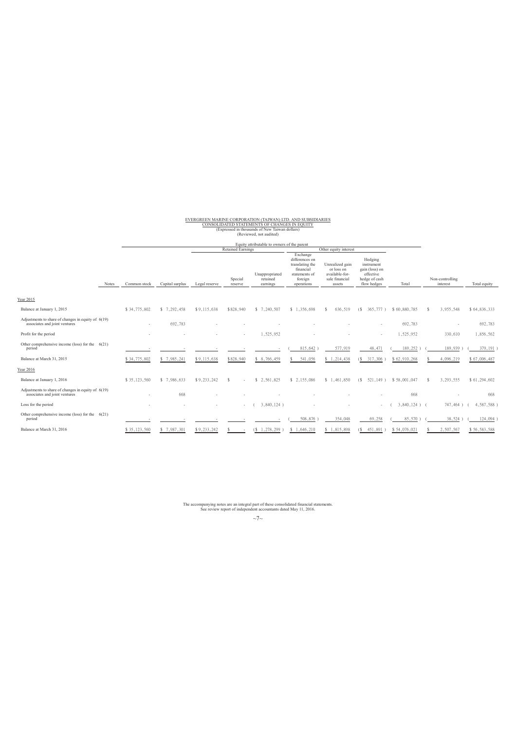# EVERGREEN MARINE CORPORATION (TAIWAN) LTD. AND SUBSIDIARIES CONSOLIDATED STATEMENTS OF CHANGES IN EQUITY (Expressed in thousands of New Taiwan dollars) (Reviewed, not audited)

Equity attributable to owners of the parent

|                                                                                       |       |              |                 |               | <b>Retained Earnings</b> |                                        |                                                                                                      | Other equity interest                                                       |                                                                                      |                 |                             |              |
|---------------------------------------------------------------------------------------|-------|--------------|-----------------|---------------|--------------------------|----------------------------------------|------------------------------------------------------------------------------------------------------|-----------------------------------------------------------------------------|--------------------------------------------------------------------------------------|-----------------|-----------------------------|--------------|
|                                                                                       | Notes | Common stock | Capital surplus | Legal reserve | Special<br>reserve       | Unappropriated<br>retained<br>earnings | Exchange<br>differences on<br>translating the<br>financial<br>statements of<br>foreign<br>operations | Unrealized gain<br>or loss on<br>available-for-<br>sale financial<br>assets | Hedging<br>instrument<br>gain (loss) on<br>effective<br>hedge of cash<br>flow hedges | Total           | Non-controlling<br>interest | Total equity |
| Year 2015                                                                             |       |              |                 |               |                          |                                        |                                                                                                      |                                                                             |                                                                                      |                 |                             |              |
| Balance at January 1, 2015                                                            |       | \$34,775,802 | \$7,292,458     | \$9,115,638   | \$828,940                | \$7,240,507                            | \$1,356,698                                                                                          | 636,519                                                                     | 365,777)<br>(S)                                                                      | \$60,880,785    | 3,955,548                   | \$64,836,333 |
| Adjustments to share of changes in equity of 6(19)<br>associates and joint ventures   |       | $\sim$       | 692,783         |               |                          |                                        |                                                                                                      |                                                                             |                                                                                      | 692,783         |                             | 692,783      |
| Profit for the period                                                                 |       |              |                 |               | a.                       | 1.525.952                              |                                                                                                      |                                                                             | $\sim$                                                                               | 1,525,952       | 330,610                     | 1,856,562    |
| Other comprehensive income (loss) for the $6(21)$<br>period                           |       |              |                 |               |                          |                                        | 815,642                                                                                              | 577,919                                                                     | 48,471                                                                               | 189,252         | 189,939                     | 379,191      |
| Balance at March 31, 2015                                                             |       | \$34,775,802 | \$7,985,241     | \$9,115,638   | \$828,940                | \$8,766,459                            | 541,056                                                                                              | \$1,214,438                                                                 | 317,306                                                                              | \$62,910,268    | 4,096,219                   | \$67,006,487 |
| Year 2016                                                                             |       |              |                 |               |                          |                                        |                                                                                                      |                                                                             |                                                                                      |                 |                             |              |
| Balance at January 1, 2016                                                            |       | \$35,123,560 | \$ 7,986,633    | \$9,233,242   |                          | \$2,561,825                            | \$2.155.086                                                                                          | \$1,461,850                                                                 | 521,149)<br>(S                                                                       | \$58,001,047    | 3,293,555                   | \$61,294,602 |
| Adjustments to share of changes in equity of $6(19)$<br>associates and joint ventures |       | $\sim$       | 668             |               |                          |                                        |                                                                                                      |                                                                             |                                                                                      | 668             |                             | 668          |
| Loss for the period                                                                   |       |              |                 |               | $\sim$                   | 3,840,124)                             |                                                                                                      |                                                                             | $\sim$                                                                               | $3,840,124$ ) ( | 747,464)                    | 4,587,588)   |
| Other comprehensive income (loss) for the $6(21)$<br>period                           |       |              |                 |               |                          |                                        | 508,876                                                                                              | 354,048                                                                     | 69,258                                                                               | 85,570          | 38,524                      | 124,094      |
| Balance at March 31, 2016                                                             |       | \$35,123,560 | \$7,987,301     | \$9,233,242   |                          | ,278,299<br>'S                         | 1,646,210                                                                                            | 1,815,898<br>S.                                                             | 451,891                                                                              | \$54,076,021    | 2,507,567                   | \$56,583,588 |

The accompanying notes are an integral part of these consolidated financial statements. See review report of independent accountants dated May 11, 2016.

 $~\sim$ 7 $\sim$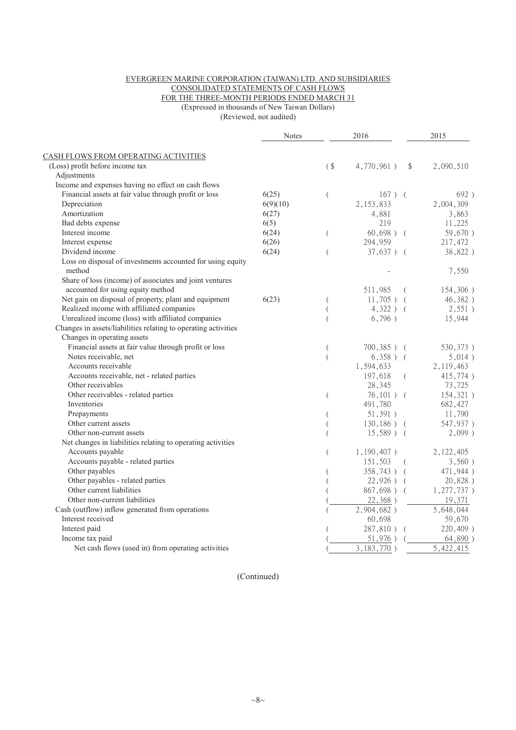#### EVERGREEN MARINE CORPORATION (TAIWAN) LTD. AND SUBSIDIARIES CONSOLIDATED STATEMENTS OF CASH FLOWS FOR THE THREE-MONTH PERIODS ENDED MARCH 31 (Expressed in thousands of New Taiwan Dollars)

(Reviewed, not audited)

|                                                                                               | <b>Notes</b> |                | 2016           |          | 2015          |
|-----------------------------------------------------------------------------------------------|--------------|----------------|----------------|----------|---------------|
| CASH FLOWS FROM OPERATING ACTIVITIES                                                          |              |                |                |          |               |
| (Loss) profit before income tax                                                               |              | $($ \$         | 4,770,961)     | \$       | 2,090,510     |
| Adjustments                                                                                   |              |                |                |          |               |
| Income and expenses having no effect on cash flows                                            |              |                |                |          |               |
| Financial assets at fair value through profit or loss                                         | 6(25)        | $\left($       | $167)$ (       |          | 692)          |
| Depreciation                                                                                  | 6(9)(10)     |                | 2, 153, 833    |          | 2,004,309     |
| Amortization                                                                                  | 6(27)        |                | 4,881          |          | 3,863         |
| Bad debts expense                                                                             | 6(5)         |                | 219            |          | 11,225        |
| Interest income                                                                               | 6(24)        | (              | $60,698$ ) (   |          | 59,670)       |
| Interest expense                                                                              | 6(26)        |                | 294,959        |          | 217,472       |
| Dividend income                                                                               | 6(24)        | $\overline{(}$ | $37,637$ ) (   |          | 38,822)       |
| Loss on disposal of investments accounted for using equity<br>method                          |              |                |                |          | 7,550         |
| Share of loss (income) of associates and joint ventures                                       |              |                |                |          |               |
| accounted for using equity method                                                             |              |                | 511,985        | $\left($ | 154,306)      |
| Net gain on disposal of property, plant and equipment                                         | 6(23)        |                | $11,705$ ) (   |          | 46,382)       |
| Realized income with affiliated companies                                                     |              |                | $4,322$ ) (    |          | 2,551)        |
| Unrealized income (loss) with affiliated companies                                            |              |                | 6,796)         |          | 15,944        |
| Changes in assets/liabilities relating to operating activities<br>Changes in operating assets |              |                |                |          |               |
| Financial assets at fair value through profit or loss                                         |              | (              | $700,385$ ) (  |          | 530, 373)     |
| Notes receivable, net                                                                         |              | (              | $6,358$ ) (    |          | 5,014)        |
| Accounts receivable                                                                           |              |                | 1,594,633      |          | 2, 119, 463   |
| Accounts receivable, net - related parties                                                    |              |                | 197,618        | - (      | 415,774)      |
| Other receivables                                                                             |              |                | 28,345         |          | 73,725        |
| Other receivables - related parties                                                           |              | $\left($       | $76,101$ ) (   |          | 154,321)      |
| Inventories                                                                                   |              |                | 491,780        |          | 682,427       |
| Prepayments                                                                                   |              | $\overline{(}$ | 51,391)        |          | 11,790        |
| Other current assets                                                                          |              |                | $130, 186$ ) ( |          | 547,937)      |
| Other non-current assets                                                                      |              |                | $15,589$ ) (   |          | $2,099$ )     |
| Net changes in liabilities relating to operating activities                                   |              |                |                |          |               |
| Accounts payable                                                                              |              | (              | $1,190,407$ )  |          | 2, 122, 405   |
| Accounts payable - related parties                                                            |              |                | 151,503        | $\left($ | 3,560)        |
| Other payables                                                                                |              |                | $358,743$ ) (  |          | 471,944)      |
| Other payables - related parties                                                              |              |                | $22,926$ ) (   |          | 20,828)       |
| Other current liabilities                                                                     |              |                | 867,698) (     |          | $1,277,737$ ) |
| Other non-current liabilities                                                                 |              |                | 22,368)        |          | 19,371        |
| Cash (outflow) inflow generated from operations                                               |              |                | 2,904,682)     |          | 5,648,044     |
| Interest received                                                                             |              |                | 60,698         |          | 59,670        |
| Interest paid                                                                                 |              |                | 287,810) (     |          | 220,409)      |
| Income tax paid                                                                               |              |                | 51,976)        |          | 64,890)       |
| Net cash flows (used in) from operating activities                                            |              |                | 3, 183, 770)   |          | 5,422,415     |
|                                                                                               |              |                |                |          |               |

(Continued)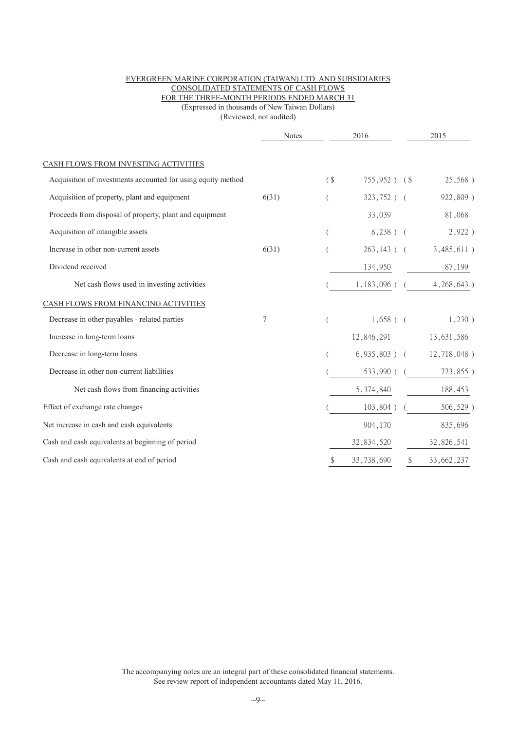#### EVERGREEN MARINE CORPORATION (TAIWAN) LTD. AND SUBSIDIARIES CONSOLIDATED STATEMENTS OF CASH FLOWS FOR THE THREE-MONTH PERIODS ENDED MARCH 31 (Expressed in thousands of New Taiwan Dollars)

(Reviewed, not audited)

|                                                              | Notes | 2016     |                 | 2015 |                                |
|--------------------------------------------------------------|-------|----------|-----------------|------|--------------------------------|
| CASH FLOWS FROM INVESTING ACTIVITIES                         |       |          |                 |      |                                |
| Acquisition of investments accounted for using equity method |       | $($ \$   | $755,952$ ) (\$ |      | 25,568)                        |
| Acquisition of property, plant and equipment                 | 6(31) |          | $323,752$ ) (   |      | 922,809)                       |
| Proceeds from disposal of property, plant and equipment      |       |          | 33,039          |      | 81,068                         |
| Acquisition of intangible assets                             |       | €        | 8,238) (        |      | 2,922)                         |
| Increase in other non-current assets                         | 6(31) |          | $263, 143$ ) (  |      | 3,485,611)                     |
| Dividend received                                            |       |          | 134,950         |      | 87,199                         |
| Net cash flows used in investing activities                  |       |          | $1,183,096$ ) ( |      | 4,268,643)                     |
| CASH FLOWS FROM FINANCING ACTIVITIES                         |       |          |                 |      |                                |
| Decrease in other payables - related parties                 | 7     | $\left($ | $1,658$ ) (     |      | 1,230)                         |
| Increase in long-term loans                                  |       |          | 12,846,291      |      | 13,631,586                     |
| Decrease in long-term loans                                  |       |          |                 |      | $6,935,803$ ) ( $12,718,048$ ) |
| Decrease in other non-current liabilities                    |       |          | $533,990$ ) (   |      | 723,855)                       |
| Net cash flows from financing activities                     |       |          | 5,374,840       |      | 188,453                        |
| Effect of exchange rate changes                              |       |          | $103,804$ )     |      | 506,529)                       |
| Net increase in cash and cash equivalents                    |       |          | 904,170         |      | 835,696                        |
| Cash and cash equivalents at beginning of period             |       |          | 32,834,520      |      | 32,826,541                     |
| Cash and cash equivalents at end of period                   |       | \$       | 33,738,690      |      | 33,662,237                     |

The accompanying notes are an integral part of these consolidated financial statements. See review report of independent accountants dated May 11, 2016.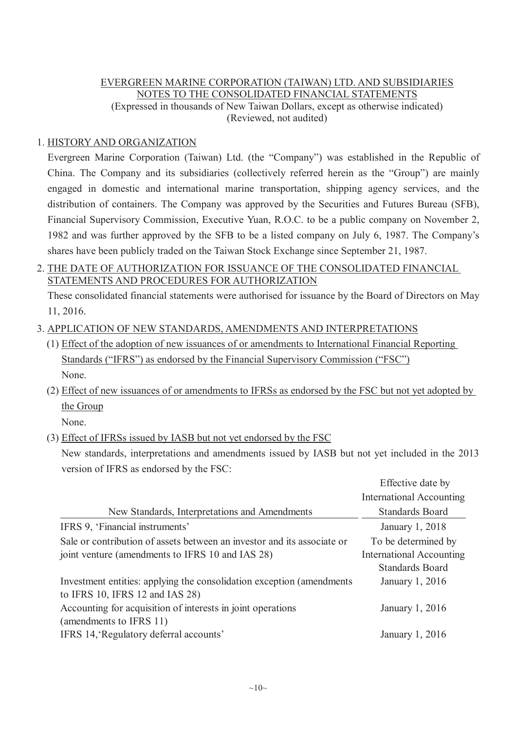# EVERGREEN MARINE CORPORATION (TAIWAN) LTD. AND SUBSIDIARIES NOTES TO THE CONSOLIDATED FINANCIAL STATEMENTS (Expressed in thousands of New Taiwan Dollars, except as otherwise indicated) (Reviewed, not audited)

# 1. HISTORY AND ORGANIZATION

Evergreen Marine Corporation (Taiwan) Ltd. (the "Company") was established in the Republic of China. The Company and its subsidiaries (collectively referred herein as the "Group") are mainly engaged in domestic and international marine transportation, shipping agency services, and the distribution of containers. The Company was approved by the Securities and Futures Bureau (SFB), Financial Supervisory Commission, Executive Yuan, R.O.C. to be a public company on November 2, 1982 and was further approved by the SFB to be a listed company on July 6, 1987. The Company's shares have been publicly traded on the Taiwan Stock Exchange since September 21, 1987.

# 2. THE DATE OF AUTHORIZATION FOR ISSUANCE OF THE CONSOLIDATED FINANCIAL STATEMENTS AND PROCEDURES FOR AUTHORIZATION

These consolidated financial statements were authorised for issuance by the Board of Directors on May 11, 2016.

- 3. APPLICATION OF NEW STANDARDS, AMENDMENTS AND INTERPRETATIONS
	- (1) Effect of the adoption of new issuances of or amendments to International Financial Reporting Standards ("IFRS") as endorsed by the Financial Supervisory Commission ("FSC") None.
	- (2) Effect of new issuances of or amendments to IFRSs as endorsed by the FSC but not yet adopted by the Group

None.

(3) Effect of IFRSs issued by IASB but not yet endorsed by the FSC

New standards, interpretations and amendments issued by IASB but not yet included in the 2013 version of IFRS as endorsed by the FSC:

|                                                                         | Effective date by               |
|-------------------------------------------------------------------------|---------------------------------|
|                                                                         | <b>International Accounting</b> |
| New Standards, Interpretations and Amendments                           | <b>Standards Board</b>          |
| IFRS 9, 'Financial instruments'                                         | January 1, 2018                 |
| Sale or contribution of assets between an investor and its associate or | To be determined by             |
| joint venture (amendments to IFRS 10 and IAS 28)                        | <b>International Accounting</b> |
|                                                                         | <b>Standards Board</b>          |
| Investment entities: applying the consolidation exception (amendments)  | January 1, 2016                 |
| to IFRS 10, IFRS 12 and IAS 28)                                         |                                 |
| Accounting for acquisition of interests in joint operations             | January 1, 2016                 |
| (amendments to IFRS 11)                                                 |                                 |
| IFRS 14, Regulatory deferral accounts'                                  | January 1, 2016                 |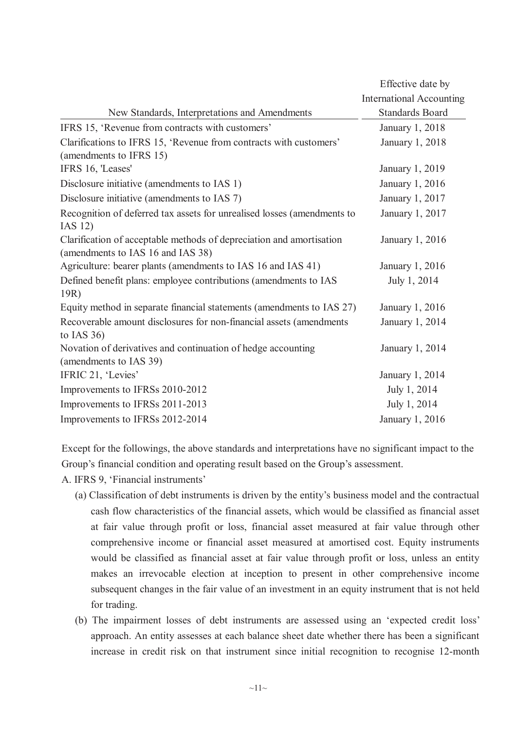|                                                                                                           | Effective date by               |
|-----------------------------------------------------------------------------------------------------------|---------------------------------|
|                                                                                                           | <b>International Accounting</b> |
| New Standards, Interpretations and Amendments                                                             | <b>Standards Board</b>          |
| IFRS 15, 'Revenue from contracts with customers'                                                          | January 1, 2018                 |
| Clarifications to IFRS 15, 'Revenue from contracts with customers'<br>(amendments to IFRS 15)             | January 1, 2018                 |
| IFRS 16, 'Leases'                                                                                         | January 1, 2019                 |
| Disclosure initiative (amendments to IAS 1)                                                               | January 1, 2016                 |
| Disclosure initiative (amendments to IAS 7)                                                               | January 1, 2017                 |
| Recognition of deferred tax assets for unrealised losses (amendments to<br>IAS 12)                        | January 1, 2017                 |
| Clarification of acceptable methods of depreciation and amortisation<br>(amendments to IAS 16 and IAS 38) | January 1, 2016                 |
| Agriculture: bearer plants (amendments to IAS 16 and IAS 41)                                              | January 1, 2016                 |
| Defined benefit plans: employee contributions (amendments to IAS<br>19R)                                  | July 1, 2014                    |
| Equity method in separate financial statements (amendments to IAS 27)                                     | January 1, 2016                 |
| Recoverable amount disclosures for non-financial assets (amendments<br>to IAS $36)$                       | January 1, 2014                 |
| Novation of derivatives and continuation of hedge accounting<br>(amendments to IAS 39)                    | January 1, 2014                 |
| IFRIC 21, 'Levies'                                                                                        | January 1, 2014                 |
| Improvements to IFRSs 2010-2012                                                                           | July 1, 2014                    |
| Improvements to IFRSs 2011-2013                                                                           | July 1, 2014                    |
| Improvements to IFRSs 2012-2014                                                                           | January 1, 2016                 |

Except for the followings, the above standards and interpretations have no significant impact to the Group's financial condition and operating result based on the Group's assessment.

- A. IFRS 9, 'Financial instruments'
	- (a) Classification of debt instruments is driven by the entity's business model and the contractual cash flow characteristics of the financial assets, which would be classified as financial asset at fair value through profit or loss, financial asset measured at fair value through other comprehensive income or financial asset measured at amortised cost. Equity instruments would be classified as financial asset at fair value through profit or loss, unless an entity makes an irrevocable election at inception to present in other comprehensive income subsequent changes in the fair value of an investment in an equity instrument that is not held for trading.
	- (b) The impairment losses of debt instruments are assessed using an 'expected credit loss' approach. An entity assesses at each balance sheet date whether there has been a significant increase in credit risk on that instrument since initial recognition to recognise 12-month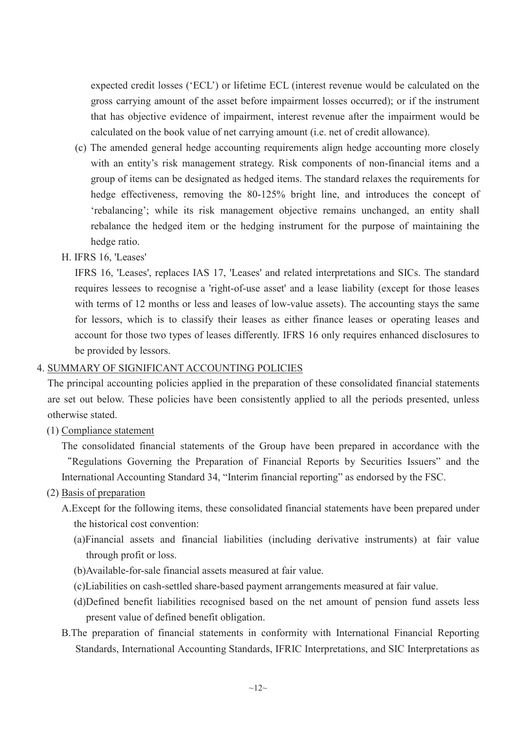expected credit losses ('ECL') or lifetime ECL (interest revenue would be calculated on the gross carrying amount of the asset before impairment losses occurred); or if the instrument that has objective evidence of impairment, interest revenue after the impairment would be calculated on the book value of net carrying amount (i.e. net of credit allowance).

- (c) The amended general hedge accounting requirements align hedge accounting more closely with an entity's risk management strategy. Risk components of non-financial items and a group of items can be designated as hedged items. The standard relaxes the requirements for hedge effectiveness, removing the 80-125% bright line, and introduces the concept of 'rebalancing'; while its risk management objective remains unchanged, an entity shall rebalance the hedged item or the hedging instrument for the purpose of maintaining the hedge ratio.
- H. IFRS 16, 'Leases'

IFRS 16, 'Leases', replaces IAS 17, 'Leases' and related interpretations and SICs. The standard requires lessees to recognise a 'right-of-use asset' and a lease liability (except for those leases with terms of 12 months or less and leases of low-value assets). The accounting stays the same for lessors, which is to classify their leases as either finance leases or operating leases and account for those two types of leases differently. IFRS 16 only requires enhanced disclosures to be provided by lessors.

#### 4. SUMMARY OF SIGNIFICANT ACCOUNTING POLICIES

The principal accounting policies applied in the preparation of these consolidated financial statements are set out below. These policies have been consistently applied to all the periods presented, unless otherwise stated.

(1) Compliance statement

The consolidated financial statements of the Group have been prepared in accordance with the ȸRegulations Governing the Preparation of Financial Reports by Securities Issuers" and the International Accounting Standard 34, "Interim financial reporting" as endorsed by the FSC.

- (2) Basis of preparation
	- A.Except for the following items, these consolidated financial statements have been prepared under the historical cost convention:
		- (a)Financial assets and financial liabilities (including derivative instruments) at fair value through profit or loss.
		- (b)Available-for-sale financial assets measured at fair value.
		- (c)Liabilities on cash-settled share-based payment arrangements measured at fair value.
		- (d)Defined benefit liabilities recognised based on the net amount of pension fund assets less present value of defined benefit obligation.
	- B.The preparation of financial statements in conformity with International Financial Reporting Standards, International Accounting Standards, IFRIC Interpretations, and SIC Interpretations as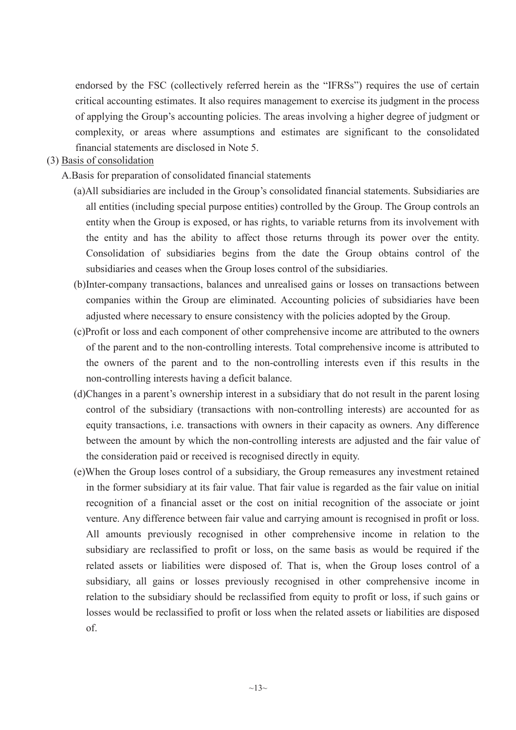endorsed by the FSC (collectively referred herein as the "IFRSs") requires the use of certain critical accounting estimates. It also requires management to exercise its judgment in the process of applying the Group's accounting policies. The areas involving a higher degree of judgment or complexity, or areas where assumptions and estimates are significant to the consolidated financial statements are disclosed in Note 5.

### (3) Basis of consolidation

- A.Basis for preparation of consolidated financial statements
	- (a)All subsidiaries are included in the Group's consolidated financial statements. Subsidiaries are all entities (including special purpose entities) controlled by the Group. The Group controls an entity when the Group is exposed, or has rights, to variable returns from its involvement with the entity and has the ability to affect those returns through its power over the entity. Consolidation of subsidiaries begins from the date the Group obtains control of the subsidiaries and ceases when the Group loses control of the subsidiaries.
	- (b)Inter-company transactions, balances and unrealised gains or losses on transactions between companies within the Group are eliminated. Accounting policies of subsidiaries have been adjusted where necessary to ensure consistency with the policies adopted by the Group.
	- (c)Profit or loss and each component of other comprehensive income are attributed to the owners of the parent and to the non-controlling interests. Total comprehensive income is attributed to the owners of the parent and to the non-controlling interests even if this results in the non-controlling interests having a deficit balance.
	- (d)Changes in a parent's ownership interest in a subsidiary that do not result in the parent losing control of the subsidiary (transactions with non-controlling interests) are accounted for as equity transactions, i.e. transactions with owners in their capacity as owners. Any difference between the amount by which the non-controlling interests are adjusted and the fair value of the consideration paid or received is recognised directly in equity.
	- (e)When the Group loses control of a subsidiary, the Group remeasures any investment retained in the former subsidiary at its fair value. That fair value is regarded as the fair value on initial recognition of a financial asset or the cost on initial recognition of the associate or joint venture. Any difference between fair value and carrying amount is recognised in profit or loss. All amounts previously recognised in other comprehensive income in relation to the subsidiary are reclassified to profit or loss, on the same basis as would be required if the related assets or liabilities were disposed of. That is, when the Group loses control of a subsidiary, all gains or losses previously recognised in other comprehensive income in relation to the subsidiary should be reclassified from equity to profit or loss, if such gains or losses would be reclassified to profit or loss when the related assets or liabilities are disposed of.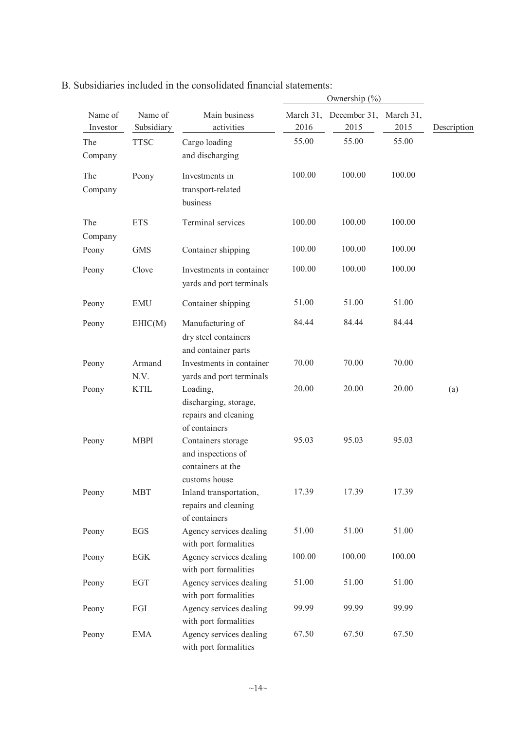| Name of<br>Investor | Name of<br>Subsidiary | Main business<br>activities                                                    | March 31,<br>2016 | December 31, March 31,<br>2015 | 2015   | Description |
|---------------------|-----------------------|--------------------------------------------------------------------------------|-------------------|--------------------------------|--------|-------------|
| The<br>Company      | <b>TTSC</b>           | Cargo loading<br>and discharging                                               | 55.00             | 55.00                          | 55.00  |             |
| The<br>Company      | Peony                 | Investments in<br>transport-related<br>business                                | 100.00            | 100.00                         | 100.00 |             |
| The<br>Company      | <b>ETS</b>            | Terminal services                                                              | 100.00            | 100.00                         | 100.00 |             |
| Peony               | <b>GMS</b>            | Container shipping                                                             | 100.00            | 100.00                         | 100.00 |             |
| Peony               | Clove                 | Investments in container<br>yards and port terminals                           | 100.00            | 100.00                         | 100.00 |             |
| Peony               | <b>EMU</b>            | Container shipping                                                             | 51.00             | 51.00                          | 51.00  |             |
| Peony               | EHIC(M)               | Manufacturing of<br>dry steel containers<br>and container parts                | 84.44             | 84.44                          | 84.44  |             |
| Peony               | Armand<br>N.V.        | Investments in container<br>yards and port terminals                           | 70.00             | 70.00                          | 70.00  |             |
| Peony               | <b>KTIL</b>           | Loading,<br>discharging, storage,<br>repairs and cleaning<br>of containers     | 20.00             | 20.00                          | 20.00  | (a)         |
| Peony               | <b>MBPI</b>           | Containers storage<br>and inspections of<br>containers at the<br>customs house | 95.03             | 95.03                          | 95.03  |             |
| Peony               | <b>MBT</b>            | Inland transportation,<br>repairs and cleaning<br>of containers                | 17.39             | 17.39                          | 17.39  |             |
| Peony               | EGS                   | Agency services dealing<br>with port formalities                               | 51.00             | 51.00                          | 51.00  |             |
| Peony               | EGK                   | Agency services dealing<br>with port formalities                               | 100.00            | 100.00                         | 100.00 |             |
| Peony               | EGT                   | Agency services dealing<br>with port formalities                               | 51.00             | 51.00                          | 51.00  |             |
| Peony               | EGI                   | Agency services dealing<br>with port formalities                               | 99.99             | 99.99                          | 99.99  |             |
| Peony               | <b>EMA</b>            | Agency services dealing<br>with port formalities                               | 67.50             | 67.50                          | 67.50  |             |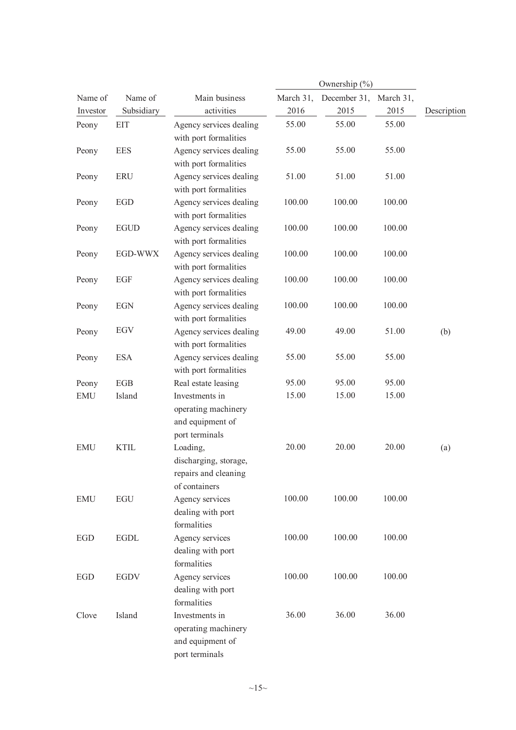|            |                       |                         |           | Ownership (%) |           |             |  |  |
|------------|-----------------------|-------------------------|-----------|---------------|-----------|-------------|--|--|
| Name of    | Name of               | Main business           | March 31, | December 31,  | March 31, |             |  |  |
| Investor   | Subsidiary            | activities              | 2016      | 2015          | 2015      | Description |  |  |
| Peony      | <b>EIT</b>            | Agency services dealing | 55.00     | 55.00         | 55.00     |             |  |  |
|            |                       | with port formalities   |           |               |           |             |  |  |
| Peony      | <b>EES</b>            | Agency services dealing | 55.00     | 55.00         | 55.00     |             |  |  |
|            |                       | with port formalities   |           |               |           |             |  |  |
| Peony      | <b>ERU</b>            | Agency services dealing | 51.00     | 51.00         | 51.00     |             |  |  |
|            |                       | with port formalities   |           |               |           |             |  |  |
| Peony      | <b>EGD</b>            | Agency services dealing | 100.00    | 100.00        | 100.00    |             |  |  |
|            |                       | with port formalities   |           |               |           |             |  |  |
| Peony      | $\operatorname{EGUD}$ | Agency services dealing | 100.00    | 100.00        | 100.00    |             |  |  |
|            |                       | with port formalities   |           |               |           |             |  |  |
| Peony      | EGD-WWX               | Agency services dealing | 100.00    | 100.00        | 100.00    |             |  |  |
|            |                       | with port formalities   |           |               |           |             |  |  |
| Peony      | EGF                   | Agency services dealing | 100.00    | 100.00        | 100.00    |             |  |  |
|            |                       | with port formalities   |           |               |           |             |  |  |
| Peony      | <b>EGN</b>            | Agency services dealing | 100.00    | 100.00        | 100.00    |             |  |  |
|            |                       | with port formalities   |           |               |           |             |  |  |
| Peony      | EGV                   | Agency services dealing | 49.00     | 49.00         | 51.00     | (b)         |  |  |
|            |                       | with port formalities   |           |               |           |             |  |  |
| Peony      | <b>ESA</b>            | Agency services dealing | 55.00     | 55.00         | 55.00     |             |  |  |
|            |                       | with port formalities   |           |               |           |             |  |  |
| Peony      | EGB                   | Real estate leasing     | 95.00     | 95.00         | 95.00     |             |  |  |
| <b>EMU</b> | Island                | Investments in          | 15.00     | 15.00         | 15.00     |             |  |  |
|            |                       | operating machinery     |           |               |           |             |  |  |
|            |                       | and equipment of        |           |               |           |             |  |  |
|            |                       | port terminals          |           |               |           |             |  |  |
| <b>EMU</b> | <b>KTIL</b>           | Loading,                | 20.00     | 20.00         | 20.00     | (a)         |  |  |
|            |                       | discharging, storage,   |           |               |           |             |  |  |
|            |                       | repairs and cleaning    |           |               |           |             |  |  |
|            |                       | of containers           |           |               |           |             |  |  |
| <b>EMU</b> | <b>EGU</b>            | Agency services         | 100.00    | 100.00        | 100.00    |             |  |  |
|            |                       | dealing with port       |           |               |           |             |  |  |
|            |                       | formalities             |           |               |           |             |  |  |
| EGD        | <b>EGDL</b>           | Agency services         | 100.00    | 100.00        | 100.00    |             |  |  |
|            |                       | dealing with port       |           |               |           |             |  |  |
|            |                       | formalities             |           |               |           |             |  |  |
| EGD        | <b>EGDV</b>           | Agency services         | 100.00    | 100.00        | 100.00    |             |  |  |
|            |                       | dealing with port       |           |               |           |             |  |  |
|            |                       | formalities             |           |               |           |             |  |  |
| Clove      | Island                | Investments in          | 36.00     | 36.00         | 36.00     |             |  |  |
|            |                       | operating machinery     |           |               |           |             |  |  |
|            |                       | and equipment of        |           |               |           |             |  |  |
|            |                       | port terminals          |           |               |           |             |  |  |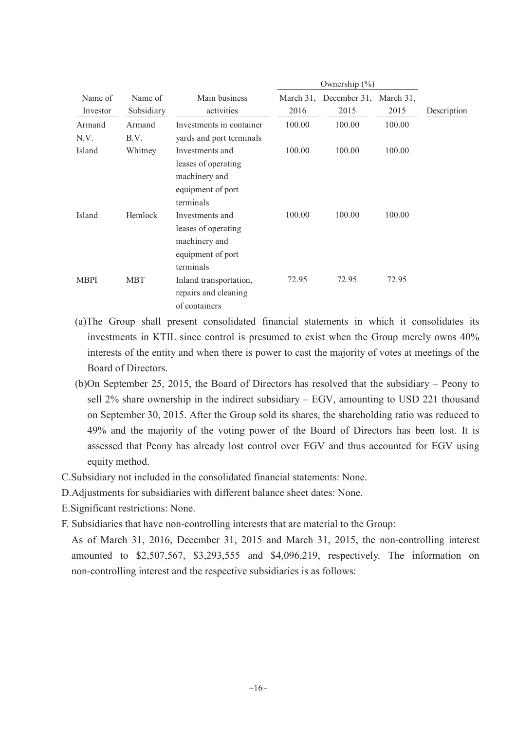| Name of<br>Investor | Name of<br>Subsidiary | Main business<br>activities                                                               | 2016   | March 31, December 31, March 31,<br>2015 | 2015   | Description |
|---------------------|-----------------------|-------------------------------------------------------------------------------------------|--------|------------------------------------------|--------|-------------|
| Armand<br>N.V.      | Armand<br>B.V.        | Investments in container<br>yards and port terminals                                      | 100.00 | 100.00                                   | 100.00 |             |
| Island              | Whitney               | Investments and<br>leases of operating<br>machinery and<br>equipment of port<br>terminals | 100.00 | 100.00                                   | 100.00 |             |
| Island              | Hemlock               | Investments and<br>leases of operating<br>machinery and<br>equipment of port<br>terminals | 100.00 | 100.00                                   | 100.00 |             |
| <b>MBPI</b>         | <b>MBT</b>            | Inland transportation,<br>repairs and cleaning<br>of containers                           | 72.95  | 72.95                                    | 72.95  |             |

- (a)The Group shall present consolidated financial statements in which it consolidates its investments in KTIL since control is presumed to exist when the Group merely owns 40% interests of the entity and when there is power to cast the majority of votes at meetings of the Board of Directors.
- (b)On September 25, 2015, the Board of Directors has resolved that the subsidiary Peony to sell 2% share ownership in the indirect subsidiary – EGV, amounting to USD 221 thousand on September 30, 2015. After the Group sold its shares, the shareholding ratio was reduced to 49% and the majority of the voting power of the Board of Directors has been lost. It is assessed that Peony has already lost control over EGV and thus accounted for EGV using equity method.
- C.Subsidiary not included in the consolidated financial statements: None.
- D.Adjustments for subsidiaries with different balance sheet dates: None.
- E.Significant restrictions: None.
- F. Subsidiaries that have non-controlling interests that are material to the Group:

As of March 31, 2016, December 31, 2015 and March 31, 2015, the non-controlling interest amounted to \$2,507,567, \$3,293,555 and \$4,096,219, respectively. The information on non-controlling interest and the respective subsidiaries is as follows: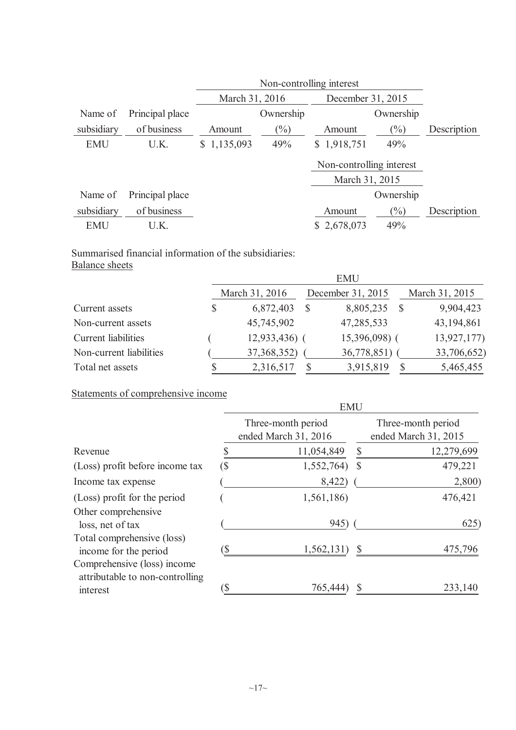|            |                 |                | Non-controlling interest |                          |                |             |  |  |  |
|------------|-----------------|----------------|--------------------------|--------------------------|----------------|-------------|--|--|--|
|            |                 | March 31, 2016 |                          | December 31, 2015        |                |             |  |  |  |
| Name of    | Principal place |                | Ownership                |                          | Ownership      |             |  |  |  |
| subsidiary | of business     | Amount         | $(\%)$                   | Amount                   | $(\%)$         | Description |  |  |  |
| <b>EMU</b> | U.K.            | \$1,135,093    | 49%                      | \$1,918,751              | 49%            |             |  |  |  |
|            |                 |                |                          | Non-controlling interest |                |             |  |  |  |
|            |                 |                |                          |                          | March 31, 2015 |             |  |  |  |
| Name of    | Principal place |                |                          |                          | Ownership      |             |  |  |  |
| subsidiary | of business     |                |                          | Amount                   | $\frac{1}{2}$  | Description |  |  |  |
| <b>EMU</b> | U.K.            |                |                          | \$2,678,073              | 49%            |             |  |  |  |

# Summarised financial information of the subsidiaries: Balance sheets

|                         | <b>EMU</b> |                |   |                   |  |                |  |  |
|-------------------------|------------|----------------|---|-------------------|--|----------------|--|--|
|                         |            | March 31, 2016 |   | December 31, 2015 |  | March 31, 2015 |  |  |
| Current assets          |            | 6,872,403      | S | 8,805,235         |  | 9,904,423      |  |  |
| Non-current assets      |            | 45,745,902     |   | 47,285,533        |  | 43,194,861     |  |  |
| Current liabilities     |            | $12,933,436$ ( |   | 15,396,098) (     |  | 13,927,177)    |  |  |
| Non-current liabilities |            | 37,368,352)    |   | 36,778,851)       |  | 33,706,652)    |  |  |
| Total net assets        |            | 2,316,517      |   | 3,915,819         |  | 5,465,455      |  |  |

Statements of comprehensive income

|                                                                | <b>EMU</b> |                                            |              |                                            |  |  |  |  |
|----------------------------------------------------------------|------------|--------------------------------------------|--------------|--------------------------------------------|--|--|--|--|
|                                                                |            | Three-month period<br>ended March 31, 2016 |              | Three-month period<br>ended March 31, 2015 |  |  |  |  |
| Revenue                                                        |            | 11,054,849                                 | $\mathbb{S}$ | 12,279,699                                 |  |  |  |  |
| (Loss) profit before income tax                                | $(\$\,$    | 1,552,764)                                 | <sup>S</sup> | 479,221                                    |  |  |  |  |
| Income tax expense                                             |            | 8,422)                                     |              | 2,800)                                     |  |  |  |  |
| (Loss) profit for the period                                   |            | 1,561,186)                                 |              | 476,421                                    |  |  |  |  |
| Other comprehensive<br>loss, net of tax                        |            | 945)                                       |              | 625)                                       |  |  |  |  |
| Total comprehensive (loss)<br>income for the period            | `S         | 1,562,131)                                 | <sup>S</sup> | 475,796                                    |  |  |  |  |
| Comprehensive (loss) income<br>attributable to non-controlling |            |                                            |              |                                            |  |  |  |  |
| interest                                                       |            | 765,444                                    |              | 233,140                                    |  |  |  |  |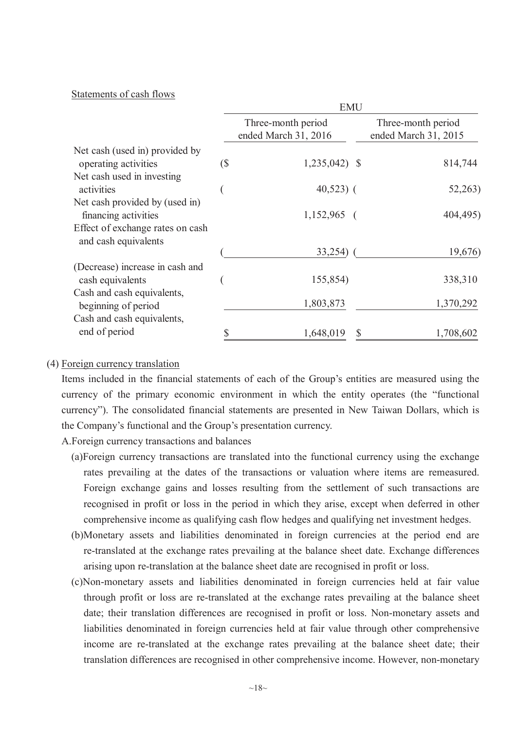#### Statements of cash flows

|                                                          |                          | Three-month period<br>ended March 31, 2016 | Three-month period<br>ended March 31, 2015 |
|----------------------------------------------------------|--------------------------|--------------------------------------------|--------------------------------------------|
| Net cash (used in) provided by<br>operating activities   | $\overline{\mathcal{S}}$ | $1,235,042$ \$                             | 814,744                                    |
| Net cash used in investing<br>activities                 |                          | $40,523$ (                                 | 52,263)                                    |
| Net cash provided by (used in)<br>financing activities   |                          | $1,152,965$ (                              | 404,495)                                   |
| Effect of exchange rates on cash<br>and cash equivalents |                          |                                            |                                            |
|                                                          |                          | 33,254)                                    | 19,676)                                    |
| (Decrease) increase in cash and<br>cash equivalents      |                          | 155,854)                                   | 338,310                                    |
| Cash and cash equivalents,<br>beginning of period        |                          | 1,803,873                                  | 1,370,292                                  |
| Cash and cash equivalents,                               |                          |                                            |                                            |
| end of period                                            |                          | 1,648,019<br>\$                            | 1,708,602                                  |

#### (4) Foreign currency translation

Items included in the financial statements of each of the Group's entities are measured using the currency of the primary economic environment in which the entity operates (the "functional currency"). The consolidated financial statements are presented in New Taiwan Dollars, which is the Company's functional and the Group's presentation currency.

- A.Foreign currency transactions and balances
	- (a)Foreign currency transactions are translated into the functional currency using the exchange rates prevailing at the dates of the transactions or valuation where items are remeasured. Foreign exchange gains and losses resulting from the settlement of such transactions are recognised in profit or loss in the period in which they arise, except when deferred in other comprehensive income as qualifying cash flow hedges and qualifying net investment hedges.
	- (b)Monetary assets and liabilities denominated in foreign currencies at the period end are re-translated at the exchange rates prevailing at the balance sheet date. Exchange differences arising upon re-translation at the balance sheet date are recognised in profit or loss.
	- (c)Non-monetary assets and liabilities denominated in foreign currencies held at fair value through profit or loss are re-translated at the exchange rates prevailing at the balance sheet date; their translation differences are recognised in profit or loss. Non-monetary assets and liabilities denominated in foreign currencies held at fair value through other comprehensive income are re-translated at the exchange rates prevailing at the balance sheet date; their translation differences are recognised in other comprehensive income. However, non-monetary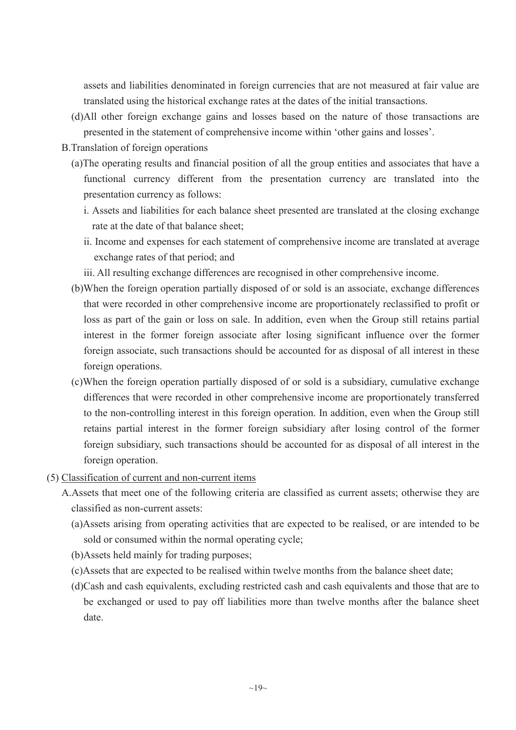assets and liabilities denominated in foreign currencies that are not measured at fair value are translated using the historical exchange rates at the dates of the initial transactions.

- (d)All other foreign exchange gains and losses based on the nature of those transactions are presented in the statement of comprehensive income within 'other gains and losses'.
- B.Translation of foreign operations
	- (a)The operating results and financial position of all the group entities and associates that have a functional currency different from the presentation currency are translated into the presentation currency as follows:
		- i. Assets and liabilities for each balance sheet presented are translated at the closing exchange rate at the date of that balance sheet;
		- ii. Income and expenses for each statement of comprehensive income are translated at average exchange rates of that period; and
		- iii. All resulting exchange differences are recognised in other comprehensive income.
	- (b)When the foreign operation partially disposed of or sold is an associate, exchange differences that were recorded in other comprehensive income are proportionately reclassified to profit or loss as part of the gain or loss on sale. In addition, even when the Group still retains partial interest in the former foreign associate after losing significant influence over the former foreign associate, such transactions should be accounted for as disposal of all interest in these foreign operations.
	- (c)When the foreign operation partially disposed of or sold is a subsidiary, cumulative exchange differences that were recorded in other comprehensive income are proportionately transferred to the non-controlling interest in this foreign operation. In addition, even when the Group still retains partial interest in the former foreign subsidiary after losing control of the former foreign subsidiary, such transactions should be accounted for as disposal of all interest in the foreign operation.
- (5) Classification of current and non-current items
	- A.Assets that meet one of the following criteria are classified as current assets; otherwise they are classified as non-current assets:
		- (a)Assets arising from operating activities that are expected to be realised, or are intended to be sold or consumed within the normal operating cycle;
		- (b)Assets held mainly for trading purposes;
		- (c)Assets that are expected to be realised within twelve months from the balance sheet date;
		- (d)Cash and cash equivalents, excluding restricted cash and cash equivalents and those that are to be exchanged or used to pay off liabilities more than twelve months after the balance sheet date.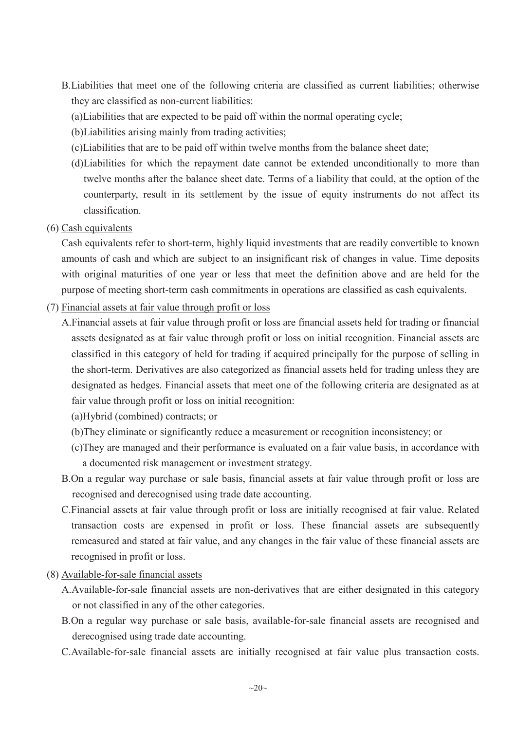- B.Liabilities that meet one of the following criteria are classified as current liabilities; otherwise they are classified as non-current liabilities:
	- (a)Liabilities that are expected to be paid off within the normal operating cycle;
	- (b)Liabilities arising mainly from trading activities;
	- (c)Liabilities that are to be paid off within twelve months from the balance sheet date;
	- (d)Liabilities for which the repayment date cannot be extended unconditionally to more than twelve months after the balance sheet date. Terms of a liability that could, at the option of the counterparty, result in its settlement by the issue of equity instruments do not affect its classification.
- (6) Cash equivalents

Cash equivalents refer to short-term, highly liquid investments that are readily convertible to known amounts of cash and which are subject to an insignificant risk of changes in value. Time deposits with original maturities of one year or less that meet the definition above and are held for the purpose of meeting short-term cash commitments in operations are classified as cash equivalents.

- (7) Financial assets at fair value through profit or loss
	- A.Financial assets at fair value through profit or loss are financial assets held for trading or financial assets designated as at fair value through profit or loss on initial recognition. Financial assets are classified in this category of held for trading if acquired principally for the purpose of selling in the short-term. Derivatives are also categorized as financial assets held for trading unless they are designated as hedges. Financial assets that meet one of the following criteria are designated as at fair value through profit or loss on initial recognition:
		- (a)Hybrid (combined) contracts; or
		- (b)They eliminate or significantly reduce a measurement or recognition inconsistency; or
		- (c)They are managed and their performance is evaluated on a fair value basis, in accordance with a documented risk management or investment strategy.
	- B.On a regular way purchase or sale basis, financial assets at fair value through profit or loss are recognised and derecognised using trade date accounting.
	- C.Financial assets at fair value through profit or loss are initially recognised at fair value. Related transaction costs are expensed in profit or loss. These financial assets are subsequently remeasured and stated at fair value, and any changes in the fair value of these financial assets are recognised in profit or loss.
- (8) Available-for-sale financial assets
	- A.Available-for-sale financial assets are non-derivatives that are either designated in this category or not classified in any of the other categories.
	- B.On a regular way purchase or sale basis, available-for-sale financial assets are recognised and derecognised using trade date accounting.
	- C.Available-for-sale financial assets are initially recognised at fair value plus transaction costs.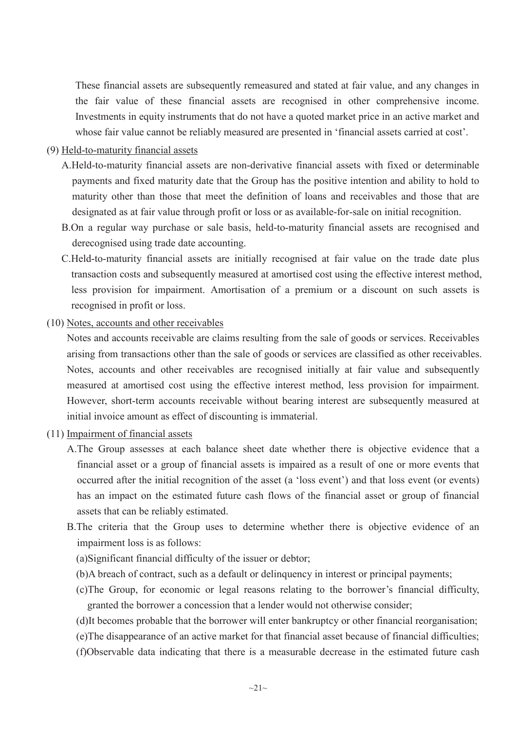These financial assets are subsequently remeasured and stated at fair value, and any changes in the fair value of these financial assets are recognised in other comprehensive income. Investments in equity instruments that do not have a quoted market price in an active market and whose fair value cannot be reliably measured are presented in 'financial assets carried at cost'.

- (9) Held-to-maturity financial assets
	- A.Held-to-maturity financial assets are non-derivative financial assets with fixed or determinable payments and fixed maturity date that the Group has the positive intention and ability to hold to maturity other than those that meet the definition of loans and receivables and those that are designated as at fair value through profit or loss or as available-for-sale on initial recognition.
	- B.On a regular way purchase or sale basis, held-to-maturity financial assets are recognised and derecognised using trade date accounting.
	- C.Held-to-maturity financial assets are initially recognised at fair value on the trade date plus transaction costs and subsequently measured at amortised cost using the effective interest method, less provision for impairment. Amortisation of a premium or a discount on such assets is recognised in profit or loss.
- (10) Notes, accounts and other receivables

Notes and accounts receivable are claims resulting from the sale of goods or services. Receivables arising from transactions other than the sale of goods or services are classified as other receivables. Notes, accounts and other receivables are recognised initially at fair value and subsequently measured at amortised cost using the effective interest method, less provision for impairment. However, short-term accounts receivable without bearing interest are subsequently measured at initial invoice amount as effect of discounting is immaterial.

- (11) Impairment of financial assets
	- A.The Group assesses at each balance sheet date whether there is objective evidence that a financial asset or a group of financial assets is impaired as a result of one or more events that occurred after the initial recognition of the asset (a 'loss event') and that loss event (or events) has an impact on the estimated future cash flows of the financial asset or group of financial assets that can be reliably estimated.
	- B.The criteria that the Group uses to determine whether there is objective evidence of an impairment loss is as follows:
		- (a)Significant financial difficulty of the issuer or debtor;
		- (b)A breach of contract, such as a default or delinquency in interest or principal payments;
		- (c)The Group, for economic or legal reasons relating to the borrower's financial difficulty, granted the borrower a concession that a lender would not otherwise consider;
		- (d)It becomes probable that the borrower will enter bankruptcy or other financial reorganisation;
		- (e)The disappearance of an active market for that financial asset because of financial difficulties;
		- (f)Observable data indicating that there is a measurable decrease in the estimated future cash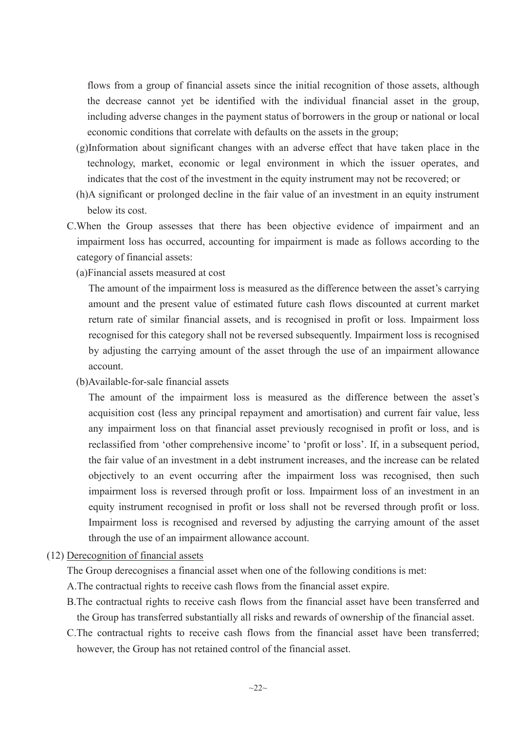flows from a group of financial assets since the initial recognition of those assets, although the decrease cannot yet be identified with the individual financial asset in the group, including adverse changes in the payment status of borrowers in the group or national or local economic conditions that correlate with defaults on the assets in the group;

- (g)Information about significant changes with an adverse effect that have taken place in the technology, market, economic or legal environment in which the issuer operates, and indicates that the cost of the investment in the equity instrument may not be recovered; or
- (h)A significant or prolonged decline in the fair value of an investment in an equity instrument below its cost.
- C.When the Group assesses that there has been objective evidence of impairment and an impairment loss has occurred, accounting for impairment is made as follows according to the category of financial assets:
	- (a)Financial assets measured at cost

The amount of the impairment loss is measured as the difference between the asset's carrying amount and the present value of estimated future cash flows discounted at current market return rate of similar financial assets, and is recognised in profit or loss. Impairment loss recognised for this category shall not be reversed subsequently. Impairment loss is recognised by adjusting the carrying amount of the asset through the use of an impairment allowance account.

(b)Available-for-sale financial assets

The amount of the impairment loss is measured as the difference between the asset's acquisition cost (less any principal repayment and amortisation) and current fair value, less any impairment loss on that financial asset previously recognised in profit or loss, and is reclassified from 'other comprehensive income' to 'profit or loss'. If, in a subsequent period, the fair value of an investment in a debt instrument increases, and the increase can be related objectively to an event occurring after the impairment loss was recognised, then such impairment loss is reversed through profit or loss. Impairment loss of an investment in an equity instrument recognised in profit or loss shall not be reversed through profit or loss. Impairment loss is recognised and reversed by adjusting the carrying amount of the asset through the use of an impairment allowance account.

(12) Derecognition of financial assets

The Group derecognises a financial asset when one of the following conditions is met:

- A.The contractual rights to receive cash flows from the financial asset expire.
- B.The contractual rights to receive cash flows from the financial asset have been transferred and the Group has transferred substantially all risks and rewards of ownership of the financial asset.
- C.The contractual rights to receive cash flows from the financial asset have been transferred; however, the Group has not retained control of the financial asset.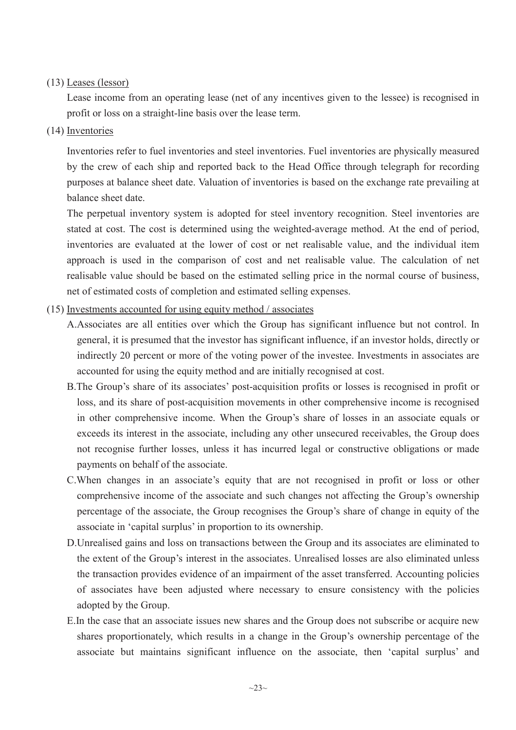## (13) Leases (lessor)

Lease income from an operating lease (net of any incentives given to the lessee) is recognised in profit or loss on a straight-line basis over the lease term.

## (14) Inventories

Inventories refer to fuel inventories and steel inventories. Fuel inventories are physically measured by the crew of each ship and reported back to the Head Office through telegraph for recording purposes at balance sheet date. Valuation of inventories is based on the exchange rate prevailing at balance sheet date.

The perpetual inventory system is adopted for steel inventory recognition. Steel inventories are stated at cost. The cost is determined using the weighted-average method. At the end of period, inventories are evaluated at the lower of cost or net realisable value, and the individual item approach is used in the comparison of cost and net realisable value. The calculation of net realisable value should be based on the estimated selling price in the normal course of business, net of estimated costs of completion and estimated selling expenses.

## (15) Investments accounted for using equity method / associates

- A.Associates are all entities over which the Group has significant influence but not control. In general, it is presumed that the investor has significant influence, if an investor holds, directly or indirectly 20 percent or more of the voting power of the investee. Investments in associates are accounted for using the equity method and are initially recognised at cost.
- B.The Group's share of its associates' post-acquisition profits or losses is recognised in profit or loss, and its share of post-acquisition movements in other comprehensive income is recognised in other comprehensive income. When the Group's share of losses in an associate equals or exceeds its interest in the associate, including any other unsecured receivables, the Group does not recognise further losses, unless it has incurred legal or constructive obligations or made payments on behalf of the associate.
- C.When changes in an associate's equity that are not recognised in profit or loss or other comprehensive income of the associate and such changes not affecting the Group's ownership percentage of the associate, the Group recognises the Group's share of change in equity of the associate in 'capital surplus' in proportion to its ownership.
- D.Unrealised gains and loss on transactions between the Group and its associates are eliminated to the extent of the Group's interest in the associates. Unrealised losses are also eliminated unless the transaction provides evidence of an impairment of the asset transferred. Accounting policies of associates have been adjusted where necessary to ensure consistency with the policies adopted by the Group.
- E.In the case that an associate issues new shares and the Group does not subscribe or acquire new shares proportionately, which results in a change in the Group's ownership percentage of the associate but maintains significant influence on the associate, then 'capital surplus' and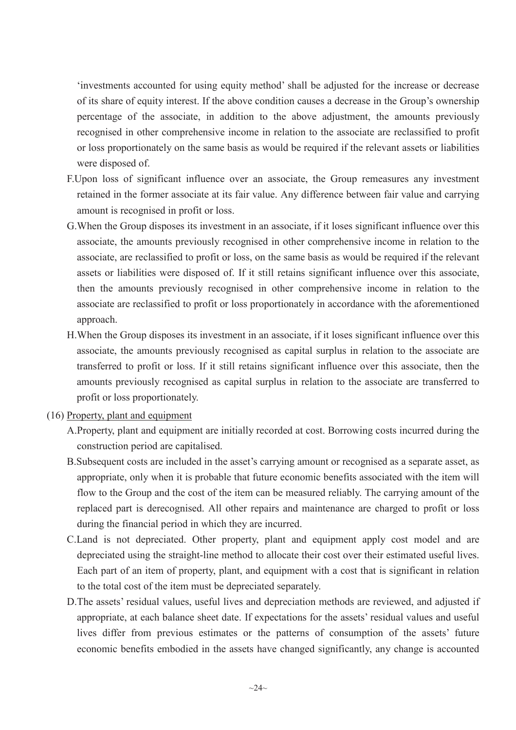'investments accounted for using equity method' shall be adjusted for the increase or decrease of its share of equity interest. If the above condition causes a decrease in the Group's ownership percentage of the associate, in addition to the above adjustment, the amounts previously recognised in other comprehensive income in relation to the associate are reclassified to profit or loss proportionately on the same basis as would be required if the relevant assets or liabilities were disposed of.

- F.Upon loss of significant influence over an associate, the Group remeasures any investment retained in the former associate at its fair value. Any difference between fair value and carrying amount is recognised in profit or loss.
- G.When the Group disposes its investment in an associate, if it loses significant influence over this associate, the amounts previously recognised in other comprehensive income in relation to the associate, are reclassified to profit or loss, on the same basis as would be required if the relevant assets or liabilities were disposed of. If it still retains significant influence over this associate, then the amounts previously recognised in other comprehensive income in relation to the associate are reclassified to profit or loss proportionately in accordance with the aforementioned approach.
- H.When the Group disposes its investment in an associate, if it loses significant influence over this associate, the amounts previously recognised as capital surplus in relation to the associate are transferred to profit or loss. If it still retains significant influence over this associate, then the amounts previously recognised as capital surplus in relation to the associate are transferred to profit or loss proportionately.
- (16) Property, plant and equipment
	- A.Property, plant and equipment are initially recorded at cost. Borrowing costs incurred during the construction period are capitalised.
	- B.Subsequent costs are included in the asset's carrying amount or recognised as a separate asset, as appropriate, only when it is probable that future economic benefits associated with the item will flow to the Group and the cost of the item can be measured reliably. The carrying amount of the replaced part is derecognised. All other repairs and maintenance are charged to profit or loss during the financial period in which they are incurred.
	- C.Land is not depreciated. Other property, plant and equipment apply cost model and are depreciated using the straight-line method to allocate their cost over their estimated useful lives. Each part of an item of property, plant, and equipment with a cost that is significant in relation to the total cost of the item must be depreciated separately.
	- D.The assets' residual values, useful lives and depreciation methods are reviewed, and adjusted if appropriate, at each balance sheet date. If expectations for the assets' residual values and useful lives differ from previous estimates or the patterns of consumption of the assets' future economic benefits embodied in the assets have changed significantly, any change is accounted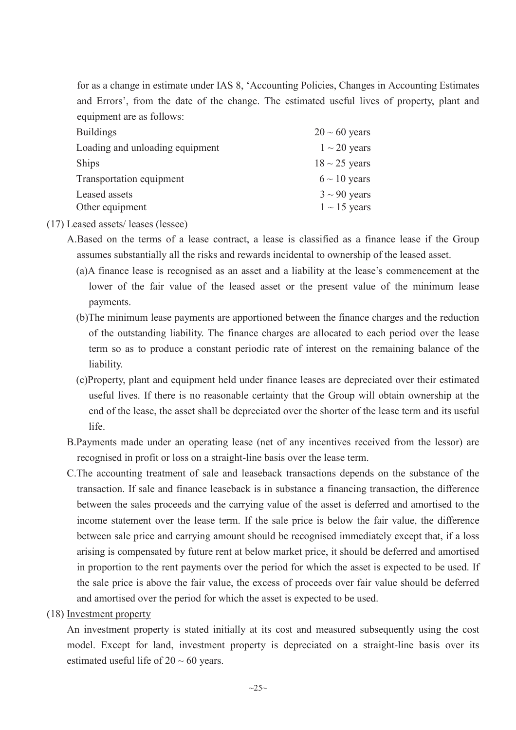for as a change in estimate under IAS 8, 'Accounting Policies, Changes in Accounting Estimates and Errors', from the date of the change. The estimated useful lives of property, plant and equipment are as follows:

| $20 \sim 60$ years |
|--------------------|
| $1 \sim 20$ years  |
| $18 \sim 25$ years |
| $6 \sim 10$ years  |
| $3 \sim 90$ years  |
| $1 \sim 15$ years  |
|                    |

## (17) Leased assets/ leases (lessee)

A.Based on the terms of a lease contract, a lease is classified as a finance lease if the Group assumes substantially all the risks and rewards incidental to ownership of the leased asset.

- (a)A finance lease is recognised as an asset and a liability at the lease's commencement at the lower of the fair value of the leased asset or the present value of the minimum lease payments.
- (b)The minimum lease payments are apportioned between the finance charges and the reduction of the outstanding liability. The finance charges are allocated to each period over the lease term so as to produce a constant periodic rate of interest on the remaining balance of the liability.
- (c)Property, plant and equipment held under finance leases are depreciated over their estimated useful lives. If there is no reasonable certainty that the Group will obtain ownership at the end of the lease, the asset shall be depreciated over the shorter of the lease term and its useful life.
- B.Payments made under an operating lease (net of any incentives received from the lessor) are recognised in profit or loss on a straight-line basis over the lease term.
- C.The accounting treatment of sale and leaseback transactions depends on the substance of the transaction. If sale and finance leaseback is in substance a financing transaction, the difference between the sales proceeds and the carrying value of the asset is deferred and amortised to the income statement over the lease term. If the sale price is below the fair value, the difference between sale price and carrying amount should be recognised immediately except that, if a loss arising is compensated by future rent at below market price, it should be deferred and amortised in proportion to the rent payments over the period for which the asset is expected to be used. If the sale price is above the fair value, the excess of proceeds over fair value should be deferred and amortised over the period for which the asset is expected to be used.
- (18) Investment property

An investment property is stated initially at its cost and measured subsequently using the cost model. Except for land, investment property is depreciated on a straight-line basis over its estimated useful life of  $20 \sim 60$  years.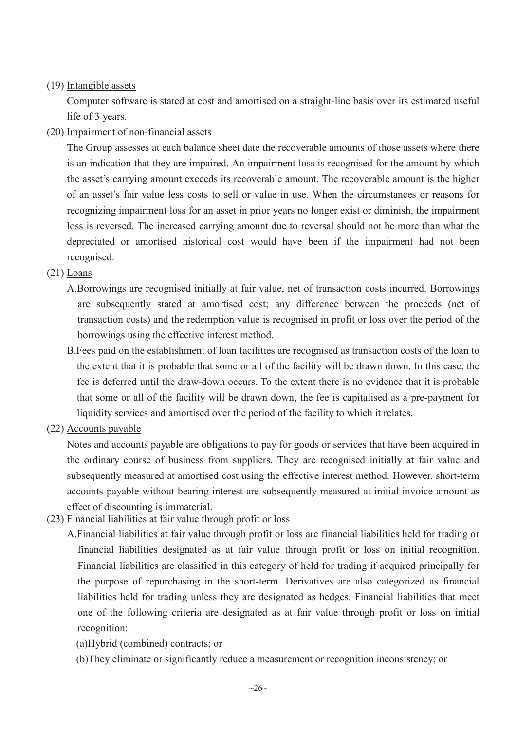# (19) Intangible assets

Computer software is stated at cost and amortised on a straight-line basis over its estimated useful life of 3 years.

## (20) Impairment of non-financial assets

The Group assesses at each balance sheet date the recoverable amounts of those assets where there is an indication that they are impaired. An impairment loss is recognised for the amount by which the asset's carrying amount exceeds its recoverable amount. The recoverable amount is the higher of an asset's fair value less costs to sell or value in use. When the circumstances or reasons for recognizing impairment loss for an asset in prior years no longer exist or diminish, the impairment loss is reversed. The increased carrying amount due to reversal should not be more than what the depreciated or amortised historical cost would have been if the impairment had not been recognised.

## (21) Loans

- A.Borrowings are recognised initially at fair value, net of transaction costs incurred. Borrowings are subsequently stated at amortised cost; any difference between the proceeds (net of transaction costs) and the redemption value is recognised in profit or loss over the period of the borrowings using the effective interest method.
- B.Fees paid on the establishment of loan facilities are recognised as transaction costs of the loan to the extent that it is probable that some or all of the facility will be drawn down. In this case, the fee is deferred until the draw-down occurs. To the extent there is no evidence that it is probable that some or all of the facility will be drawn down, the fee is capitalised as a pre-payment for liquidity services and amortised over the period of the facility to which it relates.
- (22) Accounts payable

Notes and accounts payable are obligations to pay for goods or services that have been acquired in the ordinary course of business from suppliers. They are recognised initially at fair value and subsequently measured at amortised cost using the effective interest method. However, short-term accounts payable without bearing interest are subsequently measured at initial invoice amount as effect of discounting is immaterial.

- (23) Financial liabilities at fair value through profit or loss
	- A.Financial liabilities at fair value through profit or loss are financial liabilities held for trading or financial liabilities designated as at fair value through profit or loss on initial recognition. Financial liabilities are classified in this category of held for trading if acquired principally for the purpose of repurchasing in the short-term. Derivatives are also categorized as financial liabilities held for trading unless they are designated as hedges. Financial liabilities that meet one of the following criteria are designated as at fair value through profit or loss on initial recognition:

# (a)Hybrid (combined) contracts; or

(b)They eliminate or significantly reduce a measurement or recognition inconsistency; or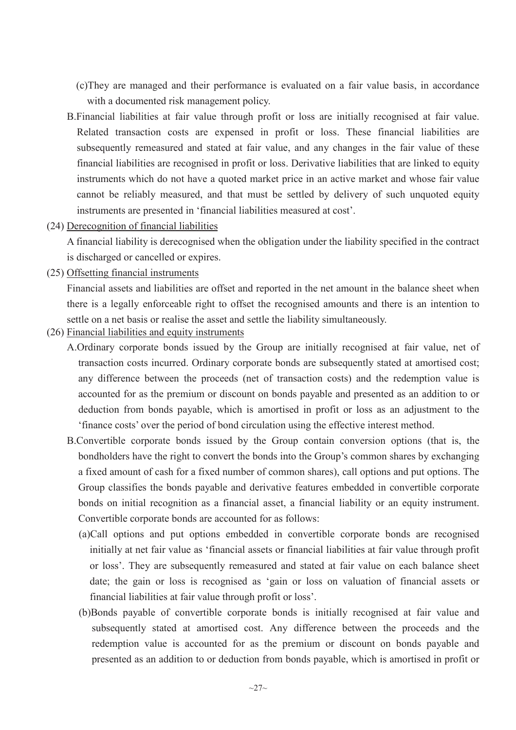(c)They are managed and their performance is evaluated on a fair value basis, in accordance with a documented risk management policy.

- B.Financial liabilities at fair value through profit or loss are initially recognised at fair value. Related transaction costs are expensed in profit or loss. These financial liabilities are subsequently remeasured and stated at fair value, and any changes in the fair value of these financial liabilities are recognised in profit or loss. Derivative liabilities that are linked to equity instruments which do not have a quoted market price in an active market and whose fair value cannot be reliably measured, and that must be settled by delivery of such unquoted equity instruments are presented in 'financial liabilities measured at cost'.
- (24) Derecognition of financial liabilities

A financial liability is derecognised when the obligation under the liability specified in the contract is discharged or cancelled or expires.

(25) Offsetting financial instruments

Financial assets and liabilities are offset and reported in the net amount in the balance sheet when there is a legally enforceable right to offset the recognised amounts and there is an intention to settle on a net basis or realise the asset and settle the liability simultaneously.

- (26) Financial liabilities and equity instruments
	- A.Ordinary corporate bonds issued by the Group are initially recognised at fair value, net of transaction costs incurred. Ordinary corporate bonds are subsequently stated at amortised cost; any difference between the proceeds (net of transaction costs) and the redemption value is accounted for as the premium or discount on bonds payable and presented as an addition to or deduction from bonds payable, which is amortised in profit or loss as an adjustment to the 'finance costs' over the period of bond circulation using the effective interest method.
	- B.Convertible corporate bonds issued by the Group contain conversion options (that is, the bondholders have the right to convert the bonds into the Group's common shares by exchanging a fixed amount of cash for a fixed number of common shares), call options and put options. The Group classifies the bonds payable and derivative features embedded in convertible corporate bonds on initial recognition as a financial asset, a financial liability or an equity instrument. Convertible corporate bonds are accounted for as follows:
		- (a)Call options and put options embedded in convertible corporate bonds are recognised initially at net fair value as 'financial assets or financial liabilities at fair value through profit or loss'. They are subsequently remeasured and stated at fair value on each balance sheet date; the gain or loss is recognised as 'gain or loss on valuation of financial assets or financial liabilities at fair value through profit or loss'.
		- (b)Bonds payable of convertible corporate bonds is initially recognised at fair value and subsequently stated at amortised cost. Any difference between the proceeds and the redemption value is accounted for as the premium or discount on bonds payable and presented as an addition to or deduction from bonds payable, which is amortised in profit or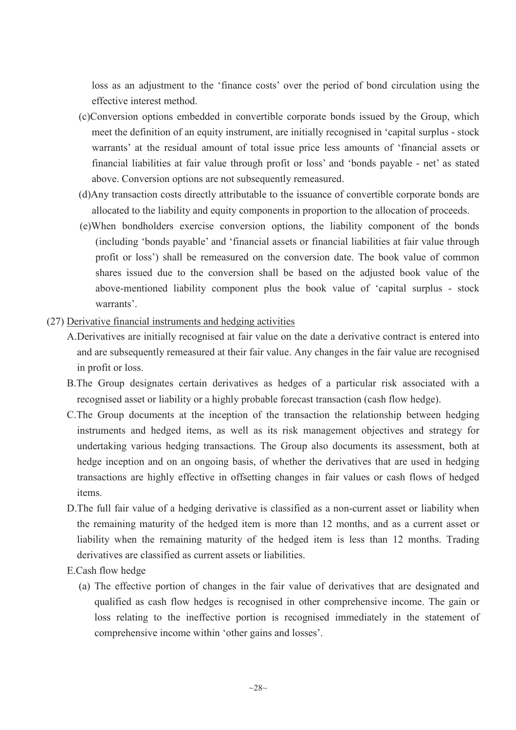loss as an adjustment to the 'finance costs' over the period of bond circulation using the effective interest method.

- (c)Conversion options embedded in convertible corporate bonds issued by the Group, which meet the definition of an equity instrument, are initially recognised in 'capital surplus - stock warrants' at the residual amount of total issue price less amounts of 'financial assets or financial liabilities at fair value through profit or loss' and 'bonds payable - net' as stated above. Conversion options are not subsequently remeasured.
- (d)Any transaction costs directly attributable to the issuance of convertible corporate bonds are allocated to the liability and equity components in proportion to the allocation of proceeds.
- (e)When bondholders exercise conversion options, the liability component of the bonds (including 'bonds payable' and 'financial assets or financial liabilities at fair value through profit or loss') shall be remeasured on the conversion date. The book value of common shares issued due to the conversion shall be based on the adjusted book value of the above-mentioned liability component plus the book value of 'capital surplus - stock warrants'.
- (27) Derivative financial instruments and hedging activities
	- A.Derivatives are initially recognised at fair value on the date a derivative contract is entered into and are subsequently remeasured at their fair value. Any changes in the fair value are recognised in profit or loss.
	- B.The Group designates certain derivatives as hedges of a particular risk associated with a recognised asset or liability or a highly probable forecast transaction (cash flow hedge).
	- C.The Group documents at the inception of the transaction the relationship between hedging instruments and hedged items, as well as its risk management objectives and strategy for undertaking various hedging transactions. The Group also documents its assessment, both at hedge inception and on an ongoing basis, of whether the derivatives that are used in hedging transactions are highly effective in offsetting changes in fair values or cash flows of hedged items.
	- D.The full fair value of a hedging derivative is classified as a non-current asset or liability when the remaining maturity of the hedged item is more than 12 months, and as a current asset or liability when the remaining maturity of the hedged item is less than 12 months. Trading derivatives are classified as current assets or liabilities.
	- E.Cash flow hedge
		- (a) The effective portion of changes in the fair value of derivatives that are designated and qualified as cash flow hedges is recognised in other comprehensive income. The gain or loss relating to the ineffective portion is recognised immediately in the statement of comprehensive income within 'other gains and losses'.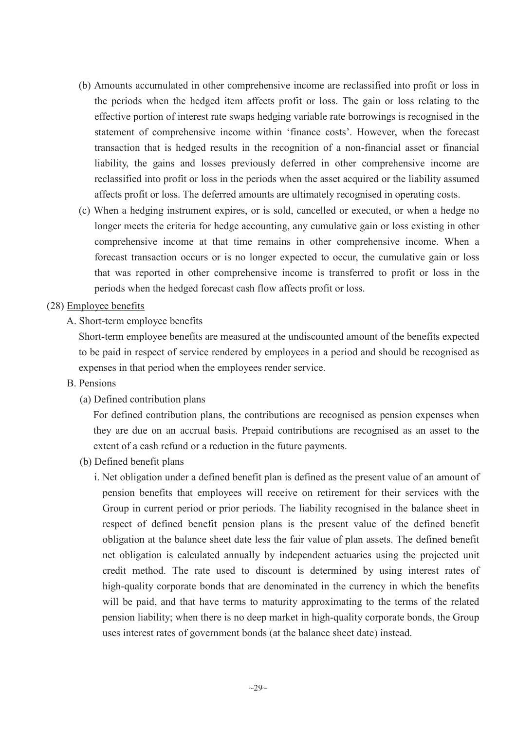- (b) Amounts accumulated in other comprehensive income are reclassified into profit or loss in the periods when the hedged item affects profit or loss. The gain or loss relating to the effective portion of interest rate swaps hedging variable rate borrowings is recognised in the statement of comprehensive income within 'finance costs'. However, when the forecast transaction that is hedged results in the recognition of a non-financial asset or financial liability, the gains and losses previously deferred in other comprehensive income are reclassified into profit or loss in the periods when the asset acquired or the liability assumed affects profit or loss. The deferred amounts are ultimately recognised in operating costs.
- (c) When a hedging instrument expires, or is sold, cancelled or executed, or when a hedge no longer meets the criteria for hedge accounting, any cumulative gain or loss existing in other comprehensive income at that time remains in other comprehensive income. When a forecast transaction occurs or is no longer expected to occur, the cumulative gain or loss that was reported in other comprehensive income is transferred to profit or loss in the periods when the hedged forecast cash flow affects profit or loss.
- (28) Employee benefits
	- A. Short-term employee benefits

Short-term employee benefits are measured at the undiscounted amount of the benefits expected to be paid in respect of service rendered by employees in a period and should be recognised as expenses in that period when the employees render service.

- B. Pensions
	- (a) Defined contribution plans

For defined contribution plans, the contributions are recognised as pension expenses when they are due on an accrual basis. Prepaid contributions are recognised as an asset to the extent of a cash refund or a reduction in the future payments.

- (b) Defined benefit plans
	- i. Net obligation under a defined benefit plan is defined as the present value of an amount of pension benefits that employees will receive on retirement for their services with the Group in current period or prior periods. The liability recognised in the balance sheet in respect of defined benefit pension plans is the present value of the defined benefit obligation at the balance sheet date less the fair value of plan assets. The defined benefit net obligation is calculated annually by independent actuaries using the projected unit credit method. The rate used to discount is determined by using interest rates of high-quality corporate bonds that are denominated in the currency in which the benefits will be paid, and that have terms to maturity approximating to the terms of the related pension liability; when there is no deep market in high-quality corporate bonds, the Group uses interest rates of government bonds (at the balance sheet date) instead.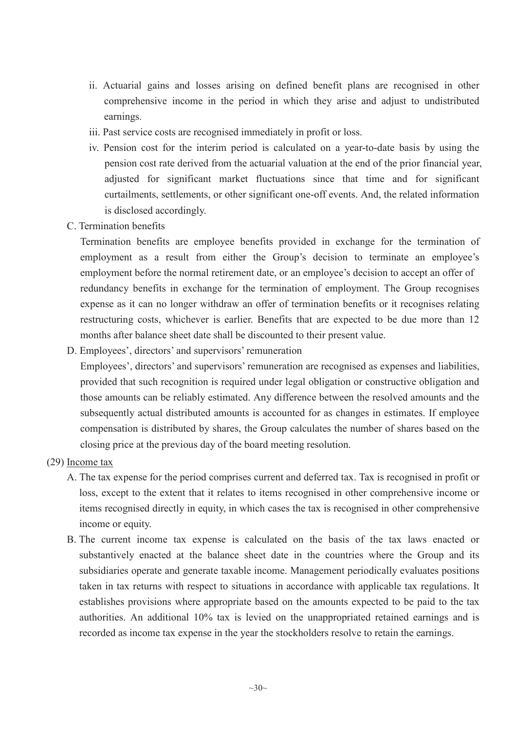- ii. Actuarial gains and losses arising on defined benefit plans are recognised in other comprehensive income in the period in which they arise and adjust to undistributed earnings.
- iii. Past service costs are recognised immediately in profit or loss.
- iv. Pension cost for the interim period is calculated on a year-to-date basis by using the pension cost rate derived from the actuarial valuation at the end of the prior financial year, adjusted for significant market fluctuations since that time and for significant curtailments, settlements, or other significant one-off events. And, the related information is disclosed accordingly.
- C. Termination benefits

Termination benefits are employee benefits provided in exchange for the termination of employment as a result from either the Group's decision to terminate an employee's employment before the normal retirement date, or an employee's decision to accept an offer of redundancy benefits in exchange for the termination of employment. The Group recognises expense as it can no longer withdraw an offer of termination benefits or it recognises relating restructuring costs, whichever is earlier. Benefits that are expected to be due more than 12 months after balance sheet date shall be discounted to their present value.

D. Employees', directors' and supervisors' remuneration

Employees', directors' and supervisors' remuneration are recognised as expenses and liabilities, provided that such recognition is required under legal obligation or constructive obligation and those amounts can be reliably estimated. Any difference between the resolved amounts and the subsequently actual distributed amounts is accounted for as changes in estimates. If employee compensation is distributed by shares, the Group calculates the number of shares based on the closing price at the previous day of the board meeting resolution.

- (29) Income tax
	- A. The tax expense for the period comprises current and deferred tax. Tax is recognised in profit or loss, except to the extent that it relates to items recognised in other comprehensive income or items recognised directly in equity, in which cases the tax is recognised in other comprehensive income or equity.
	- B. The current income tax expense is calculated on the basis of the tax laws enacted or substantively enacted at the balance sheet date in the countries where the Group and its subsidiaries operate and generate taxable income. Management periodically evaluates positions taken in tax returns with respect to situations in accordance with applicable tax regulations. It establishes provisions where appropriate based on the amounts expected to be paid to the tax authorities. An additional 10% tax is levied on the unappropriated retained earnings and is recorded as income tax expense in the year the stockholders resolve to retain the earnings.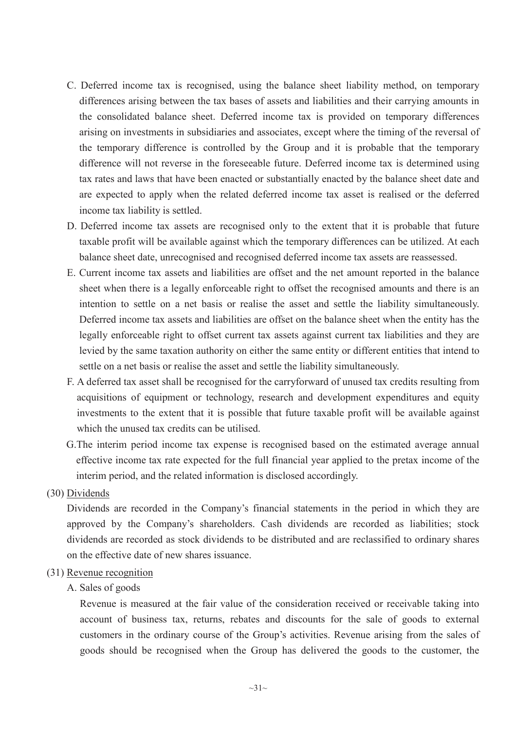- C. Deferred income tax is recognised, using the balance sheet liability method, on temporary differences arising between the tax bases of assets and liabilities and their carrying amounts in the consolidated balance sheet. Deferred income tax is provided on temporary differences arising on investments in subsidiaries and associates, except where the timing of the reversal of the temporary difference is controlled by the Group and it is probable that the temporary difference will not reverse in the foreseeable future. Deferred income tax is determined using tax rates and laws that have been enacted or substantially enacted by the balance sheet date and are expected to apply when the related deferred income tax asset is realised or the deferred income tax liability is settled.
- D. Deferred income tax assets are recognised only to the extent that it is probable that future taxable profit will be available against which the temporary differences can be utilized. At each balance sheet date, unrecognised and recognised deferred income tax assets are reassessed.
- E. Current income tax assets and liabilities are offset and the net amount reported in the balance sheet when there is a legally enforceable right to offset the recognised amounts and there is an intention to settle on a net basis or realise the asset and settle the liability simultaneously. Deferred income tax assets and liabilities are offset on the balance sheet when the entity has the legally enforceable right to offset current tax assets against current tax liabilities and they are levied by the same taxation authority on either the same entity or different entities that intend to settle on a net basis or realise the asset and settle the liability simultaneously.
- F. A deferred tax asset shall be recognised for the carryforward of unused tax credits resulting from acquisitions of equipment or technology, research and development expenditures and equity investments to the extent that it is possible that future taxable profit will be available against which the unused tax credits can be utilised.
- G.The interim period income tax expense is recognised based on the estimated average annual effective income tax rate expected for the full financial year applied to the pretax income of the interim period, and the related information is disclosed accordingly.

## (30) Dividends

Dividends are recorded in the Company's financial statements in the period in which they are approved by the Company's shareholders. Cash dividends are recorded as liabilities; stock dividends are recorded as stock dividends to be distributed and are reclassified to ordinary shares on the effective date of new shares issuance.

## (31) Revenue recognition

## A. Sales of goods

Revenue is measured at the fair value of the consideration received or receivable taking into account of business tax, returns, rebates and discounts for the sale of goods to external customers in the ordinary course of the Group's activities. Revenue arising from the sales of goods should be recognised when the Group has delivered the goods to the customer, the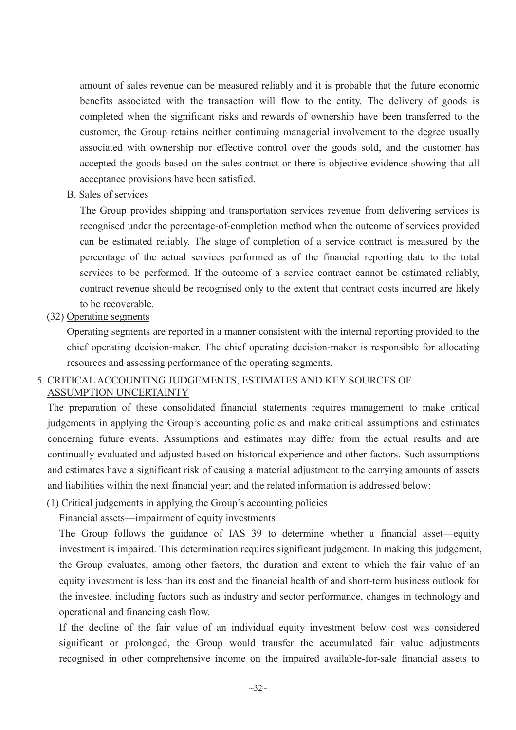amount of sales revenue can be measured reliably and it is probable that the future economic benefits associated with the transaction will flow to the entity. The delivery of goods is completed when the significant risks and rewards of ownership have been transferred to the customer, the Group retains neither continuing managerial involvement to the degree usually associated with ownership nor effective control over the goods sold, and the customer has accepted the goods based on the sales contract or there is objective evidence showing that all acceptance provisions have been satisfied.

B. Sales of services

The Group provides shipping and transportation services revenue from delivering services is recognised under the percentage-of-completion method when the outcome of services provided can be estimated reliably. The stage of completion of a service contract is measured by the percentage of the actual services performed as of the financial reporting date to the total services to be performed. If the outcome of a service contract cannot be estimated reliably, contract revenue should be recognised only to the extent that contract costs incurred are likely to be recoverable.

(32) Operating segments

Operating segments are reported in a manner consistent with the internal reporting provided to the chief operating decision-maker. The chief operating decision-maker is responsible for allocating resources and assessing performance of the operating segments.

# 5. CRITICAL ACCOUNTING JUDGEMENTS, ESTIMATES AND KEY SOURCES OF

ASSUMPTION UNCERTAINTY

The preparation of these consolidated financial statements requires management to make critical judgements in applying the Group's accounting policies and make critical assumptions and estimates concerning future events. Assumptions and estimates may differ from the actual results and are continually evaluated and adjusted based on historical experience and other factors. Such assumptions and estimates have a significant risk of causing a material adjustment to the carrying amounts of assets and liabilities within the next financial year; and the related information is addressed below:

(1) Critical judgements in applying the Group's accounting policies

Financial assets—impairment of equity investments

The Group follows the guidance of IAS 39 to determine whether a financial asset—equity investment is impaired. This determination requires significant judgement. In making this judgement, the Group evaluates, among other factors, the duration and extent to which the fair value of an equity investment is less than its cost and the financial health of and short-term business outlook for the investee, including factors such as industry and sector performance, changes in technology and operational and financing cash flow.

If the decline of the fair value of an individual equity investment below cost was considered significant or prolonged, the Group would transfer the accumulated fair value adjustments recognised in other comprehensive income on the impaired available-for-sale financial assets to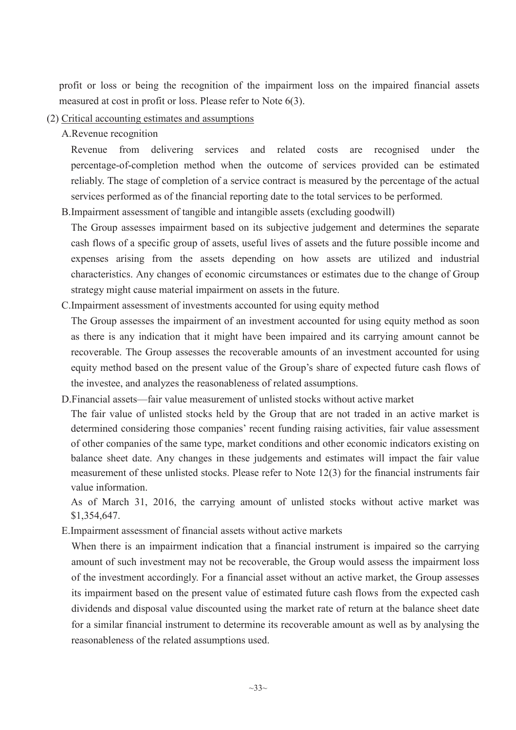profit or loss or being the recognition of the impairment loss on the impaired financial assets measured at cost in profit or loss. Please refer to Note 6(3).

(2) Critical accounting estimates and assumptions

A.Revenue recognition

Revenue from delivering services and related costs are recognised under the percentage-of-completion method when the outcome of services provided can be estimated reliably. The stage of completion of a service contract is measured by the percentage of the actual services performed as of the financial reporting date to the total services to be performed.

B.Impairment assessment of tangible and intangible assets (excluding goodwill)

The Group assesses impairment based on its subjective judgement and determines the separate cash flows of a specific group of assets, useful lives of assets and the future possible income and expenses arising from the assets depending on how assets are utilized and industrial characteristics. Any changes of economic circumstances or estimates due to the change of Group strategy might cause material impairment on assets in the future.

C.Impairment assessment of investments accounted for using equity method

The Group assesses the impairment of an investment accounted for using equity method as soon as there is any indication that it might have been impaired and its carrying amount cannot be recoverable. The Group assesses the recoverable amounts of an investment accounted for using equity method based on the present value of the Group's share of expected future cash flows of the investee, and analyzes the reasonableness of related assumptions.

D.Financial assets—fair value measurement of unlisted stocks without active market The fair value of unlisted stocks held by the Group that are not traded in an active market is determined considering those companies' recent funding raising activities, fair value assessment of other companies of the same type, market conditions and other economic indicators existing on balance sheet date. Any changes in these judgements and estimates will impact the fair value measurement of these unlisted stocks. Please refer to Note 12(3) for the financial instruments fair value information.

As of March 31, 2016, the carrying amount of unlisted stocks without active market was \$1,354,647.

E.Impairment assessment of financial assets without active markets

When there is an impairment indication that a financial instrument is impaired so the carrying amount of such investment may not be recoverable, the Group would assess the impairment loss of the investment accordingly. For a financial asset without an active market, the Group assesses its impairment based on the present value of estimated future cash flows from the expected cash dividends and disposal value discounted using the market rate of return at the balance sheet date for a similar financial instrument to determine its recoverable amount as well as by analysing the reasonableness of the related assumptions used.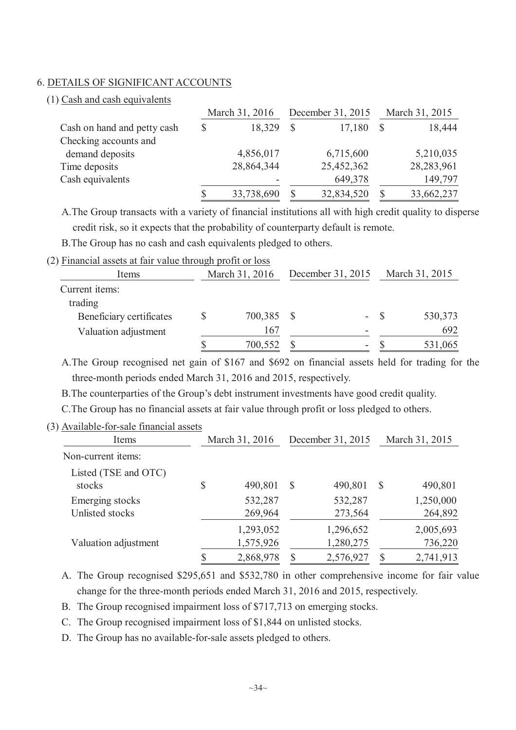#### 6. DETAILS OF SIGNIFICANT ACCOUNTS

(1) Cash and cash equivalents

|                             | March 31, 2016 |            | December 31, 2015 |            |   | March 31, 2015 |
|-----------------------------|----------------|------------|-------------------|------------|---|----------------|
| Cash on hand and petty cash | $\mathcal{S}$  | 18,329     | <sup>S</sup>      | 17,180     | S | 18,444         |
| Checking accounts and       |                |            |                   |            |   |                |
| demand deposits             |                | 4,856,017  |                   | 6,715,600  |   | 5,210,035      |
| Time deposits               |                | 28,864,344 |                   | 25,452,362 |   | 28,283,961     |
| Cash equivalents            |                |            |                   | 649,378    |   | 149,797        |
|                             |                | 33,738,690 |                   | 32,834,520 |   | 33,662,237     |

A.The Group transacts with a variety of financial institutions all with high credit quality to disperse credit risk, so it expects that the probability of counterparty default is remote.

B.The Group has no cash and cash equivalents pledged to others.

(2) Financial assets at fair value through profit or loss

| Items                    | March 31, 2016 | December 31, 2015 | March 31, 2015 |
|--------------------------|----------------|-------------------|----------------|
| Current items:           |                |                   |                |
| trading                  |                |                   |                |
| Beneficiary certificates | 700,385        | ۰.                | 530,373        |
| Valuation adjustment     | 167            |                   | 692            |
|                          | 700,552        | ۰                 | 531,065        |

A.The Group recognised net gain of \$167 and \$692 on financial assets held for trading for the three-month periods ended March 31, 2016 and 2015, respectively.

B.The counterparties of the Group's debt instrument investments have good credit quality.

C.The Group has no financial assets at fair value through profit or loss pledged to others.

(3) Available-for-sale financial assets

| Items                | March 31, 2016  | December 31, 2015 |           | March 31, 2015 |           |  |
|----------------------|-----------------|-------------------|-----------|----------------|-----------|--|
| Non-current items:   |                 |                   |           |                |           |  |
| Listed (TSE and OTC) |                 |                   |           |                |           |  |
| stocks               | \$<br>490,801   | S                 | 490,801   | $\mathcal{S}$  | 490,801   |  |
| Emerging stocks      | 532,287         |                   | 532,287   |                | 1,250,000 |  |
| Unlisted stocks      | 269,964         |                   | 273,564   |                | 264,892   |  |
|                      | 1,293,052       |                   | 1,296,652 |                | 2,005,693 |  |
| Valuation adjustment | 1,575,926       |                   | 1,280,275 |                | 736,220   |  |
|                      | \$<br>2,868,978 |                   | 2,576,927 | <sup>S</sup>   | 2,741,913 |  |

A. The Group recognised \$295,651 and \$532,780 in other comprehensive income for fair value change for the three-month periods ended March 31, 2016 and 2015, respectively.

B. The Group recognised impairment loss of \$717,713 on emerging stocks.

C. The Group recognised impairment loss of \$1,844 on unlisted stocks.

D. The Group has no available-for-sale assets pledged to others.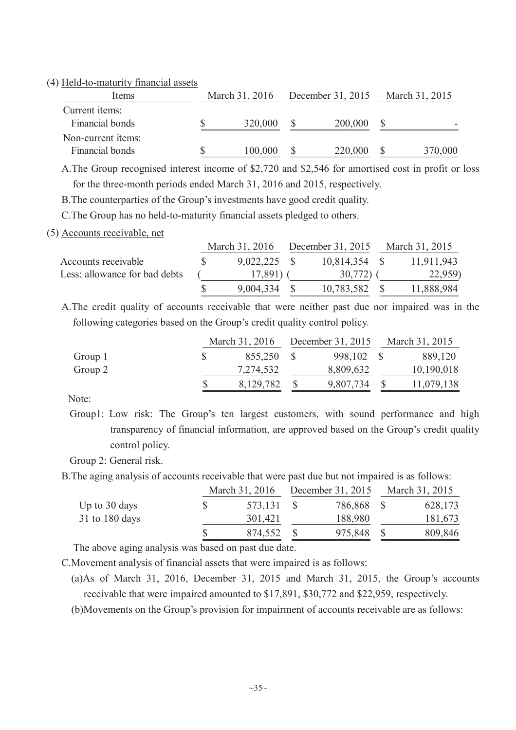#### (4) Held-to-maturity financial assets

| Items                                     | March 31, 2016 | December 31, 2015 |         | March 31, 2015 |         |
|-------------------------------------------|----------------|-------------------|---------|----------------|---------|
| Current <i>items</i> :<br>Financial bonds | 320,000        |                   | 200,000 |                |         |
| Non-current items:                        |                |                   |         |                |         |
| Financial bonds                           | 100,000        |                   | 220,000 |                | 370,000 |

A.The Group recognised interest income of \$2,720 and \$2,546 for amortised cost in profit or loss for the three-month periods ended March 31, 2016 and 2015, respectively.

B.The counterparties of the Group's investments have good credit quality.

C.The Group has no held-to-maturity financial assets pledged to others.

(5) Accounts receivable, net

|                               | March 31, 2016 |  | December 31, 2015 |  | March 31, 2015 |
|-------------------------------|----------------|--|-------------------|--|----------------|
| Accounts receivable           | $9,022,225$ \$ |  | $10,814,354$ \$   |  | 11,911,943     |
| Less: allowance for bad debts | 17,891)        |  | 30,772            |  | 22,959)        |
|                               | 9,004,334      |  | 10,783,582        |  | 11,888,984     |

A.The credit quality of accounts receivable that were neither past due nor impaired was in the following categories based on the Group's credit quality control policy.

|         | March 31, 2016 | December 31, 2015 | March 31, 2015 |
|---------|----------------|-------------------|----------------|
| Group 1 | 855,250        | 998,102           | 889,120        |
| Group 2 | 7,274,532      | 8,809,632         | 10,190,018     |
|         | 8,129,782      | 9,807,734         | 11,079,138     |

Note:

Group1: Low risk: The Group's ten largest customers, with sound performance and high transparency of financial information, are approved based on the Group's credit quality control policy.

Group 2: General risk.

B.The aging analysis of accounts receivable that were past due but not impaired is as follows:

|                | March 31, 2016 | December 31, 2015 | March 31, 2015 |
|----------------|----------------|-------------------|----------------|
| Up to 30 days  | 573,131        | 786,868           | 628,173        |
| 31 to 180 days | 301,421        | 188,980           | 181,673        |
|                | 874,552        | 975,848           | 809,846        |

The above aging analysis was based on past due date.

C.Movement analysis of financial assets that were impaired is as follows:

(a)As of March 31, 2016, December 31, 2015 and March 31, 2015, the Group's accounts receivable that were impaired amounted to \$17,891, \$30,772 and \$22,959, respectively.

(b)Movements on the Group's provision for impairment of accounts receivable are as follows: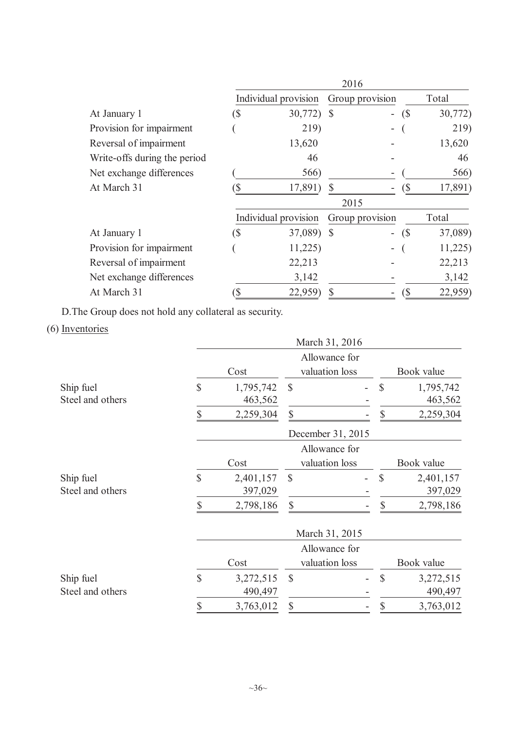|                              |     |                      |              | 2016            |                              |         |  |
|------------------------------|-----|----------------------|--------------|-----------------|------------------------------|---------|--|
|                              |     | Individual provision |              | Group provision | Total                        |         |  |
| At January 1                 | (\$ | 30,772)              | S            | Ξ.              | (S)                          | 30,772) |  |
| Provision for impairment     |     | 219)                 |              | -               |                              | 219)    |  |
| Reversal of impairment       |     | 13,620               |              |                 |                              | 13,620  |  |
| Write-offs during the period |     | 46                   |              |                 |                              | 46      |  |
| Net exchange differences     |     | 566)                 |              |                 |                              | 566)    |  |
| At March 31                  |     | 17,891)              |              |                 | $\left( \mathsf{\$} \right)$ | 17,891) |  |
|                              |     |                      |              | 2015            |                              |         |  |
|                              |     | Individual provision |              | Group provision |                              | Total   |  |
| At January 1                 | (\$ | 37,089)              | <sup>S</sup> | -               | (S)                          | 37,089) |  |
| Provision for impairment     |     | 11,225               |              | -               |                              | 11,225  |  |
| Reversal of impairment       |     | 22,213               |              |                 |                              | 22,213  |  |
| Net exchange differences     |     | 3,142                |              |                 |                              | 3,142   |  |
| At March 31                  |     | 22,959)              |              |                 |                              | 22,959) |  |

D.The Group does not hold any collateral as security.

# (6) Inventories

|                               | March 31, 2016 |                      |                                 |              |              |                      |  |  |  |  |
|-------------------------------|----------------|----------------------|---------------------------------|--------------|--------------|----------------------|--|--|--|--|
|                               |                | Cost                 | Allowance for<br>valuation loss |              | Book value   |                      |  |  |  |  |
| Ship fuel<br>Steel and others | \$             | 1,795,742<br>463,562 | $\mathcal{S}$                   | $\mathbb{S}$ |              | 1,795,742<br>463,562 |  |  |  |  |
|                               | \$             | 2,259,304            | \$                              |              | $\mathbb{S}$ | 2,259,304            |  |  |  |  |
|                               |                |                      | December 31, 2015               |              |              |                      |  |  |  |  |
|                               |                | Cost                 | Allowance for<br>valuation loss |              |              | Book value           |  |  |  |  |
| Ship fuel<br>Steel and others | \$             | 2,401,157<br>397,029 | $\mathcal{S}$                   |              | \$           | 2,401,157<br>397,029 |  |  |  |  |
|                               | \$             | 2,798,186            | \$                              |              | \$           | 2,798,186            |  |  |  |  |
|                               | March 31, 2015 |                      |                                 |              |              |                      |  |  |  |  |
|                               |                |                      | Allowance for                   |              |              |                      |  |  |  |  |
|                               |                | Cost                 | valuation loss                  |              |              | Book value           |  |  |  |  |
| Ship fuel<br>Steel and others | \$             | 3,272,515<br>490,497 | $\mathcal{S}$                   |              | $\mathbb{S}$ | 3,272,515<br>490,497 |  |  |  |  |
|                               | \$             | 3,763,012            | \$                              |              | \$           | 3,763,012            |  |  |  |  |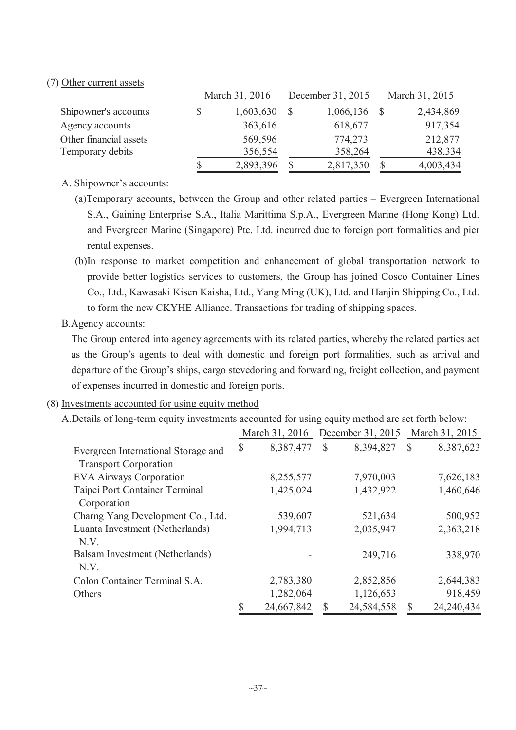### (7) Other current assets

|                        |    | March 31, 2016 | December 31, 2015 | March 31, 2015 |           |  |
|------------------------|----|----------------|-------------------|----------------|-----------|--|
| Shipowner's accounts   | \$ | 1,603,630      | 1,066,136         |                | 2,434,869 |  |
| Agency accounts        |    | 363,616        | 618,677           |                | 917,354   |  |
| Other financial assets |    | 569,596        | 774,273           |                | 212,877   |  |
| Temporary debits       |    | 356,554        | 358,264           |                | 438,334   |  |
|                        | S  | 2,893,396      | 2,817,350         | S              | 4,003,434 |  |

A. Shipowner's accounts:

- (a)Temporary accounts, between the Group and other related parties Evergreen International S.A., Gaining Enterprise S.A., Italia Marittima S.p.A., Evergreen Marine (Hong Kong) Ltd. and Evergreen Marine (Singapore) Pte. Ltd. incurred due to foreign port formalities and pier rental expenses.
- (b)In response to market competition and enhancement of global transportation network to provide better logistics services to customers, the Group has joined Cosco Container Lines Co., Ltd., Kawasaki Kisen Kaisha, Ltd., Yang Ming (UK), Ltd. and Hanjin Shipping Co., Ltd. to form the new CKYHE Alliance. Transactions for trading of shipping spaces.

### B.Agency accounts:

The Group entered into agency agreements with its related parties, whereby the related parties act as the Group's agents to deal with domestic and foreign port formalities, such as arrival and departure of the Group's ships, cargo stevedoring and forwarding, freight collection, and payment of expenses incurred in domestic and foreign ports.

### (8) Investments accounted for using equity method

A.Details of long-term equity investments accounted for using equity method are set forth below:

|                                     |               | March 31, 2016 |               | December 31, 2015 |               | March 31, 2015 |
|-------------------------------------|---------------|----------------|---------------|-------------------|---------------|----------------|
| Evergreen International Storage and | $\mathcal{S}$ | 8,387,477      | $\mathcal{S}$ | 8,394,827         | $\mathcal{S}$ | 8,387,623      |
| <b>Transport Corporation</b>        |               |                |               |                   |               |                |
| <b>EVA Airways Corporation</b>      |               | 8,255,577      |               | 7,970,003         |               | 7,626,183      |
| Taipei Port Container Terminal      |               | 1,425,024      |               | 1,432,922         |               | 1,460,646      |
| Corporation                         |               |                |               |                   |               |                |
| Charng Yang Development Co., Ltd.   |               | 539,607        |               | 521,634           |               | 500,952        |
| Luanta Investment (Netherlands)     |               | 1,994,713      |               | 2,035,947         |               | 2,363,218      |
| N.V.                                |               |                |               |                   |               |                |
| Balsam Investment (Netherlands)     |               |                |               | 249,716           |               | 338,970        |
| N.V.                                |               |                |               |                   |               |                |
| Colon Container Terminal S.A.       |               | 2,783,380      |               | 2,852,856         |               | 2,644,383      |
| Others                              |               | 1,282,064      |               | 1,126,653         |               | 918,459        |
|                                     | $\mathbf S$   | 24,667,842     | $\mathbb{S}$  | 24,584,558        | $\mathcal{S}$ | 24,240,434     |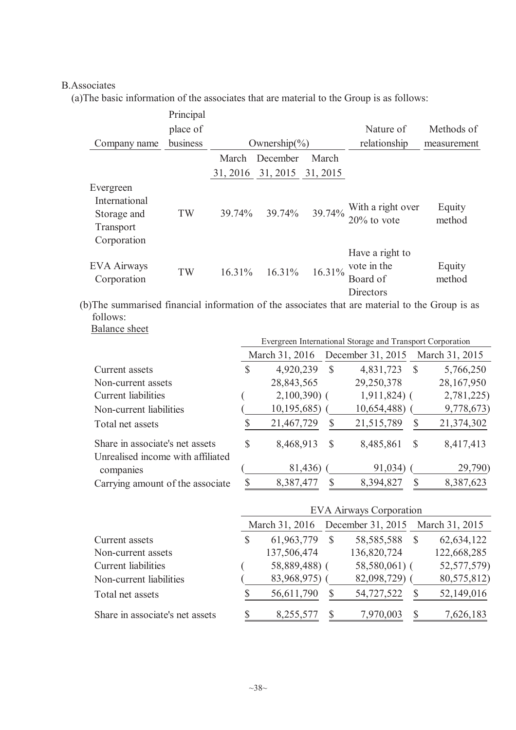## B.Associates

(a)The basic information of the associates that are material to the Group is as follows:

|                                                                       | Principal |        |                                      |        |                                                         |                  |  |  |
|-----------------------------------------------------------------------|-----------|--------|--------------------------------------|--------|---------------------------------------------------------|------------------|--|--|
|                                                                       | place of  |        |                                      |        | Nature of                                               | Methods of       |  |  |
| Company name                                                          | business  |        | Ownership $\left(\frac{6}{6}\right)$ |        | relationship                                            | measurement      |  |  |
|                                                                       |           | March  | December                             | March  |                                                         |                  |  |  |
|                                                                       |           |        | 31, 2016 31, 2015 31, 2015           |        |                                                         |                  |  |  |
| Evergreen<br>International<br>Storage and<br>Transport<br>Corporation | TW        |        | 39.74% 39.74%                        | 39.74% | With a right over<br>$20\%$ to vote                     | Equity<br>method |  |  |
| <b>EVA Airways</b><br>Corporation                                     | TW        | 16.31% | $16.31\%$                            | 16.31% | Have a right to<br>vote in the<br>Board of<br>Directors | Equity<br>method |  |  |

(b)The summarised financial information of the associates that are material to the Group is as follows: Balance sheet

|                                                |                |               |   | Evergreen International Storage and Transport Corporation |              |                |  |  |
|------------------------------------------------|----------------|---------------|---|-----------------------------------------------------------|--------------|----------------|--|--|
|                                                | March 31, 2016 |               |   | December 31, 2015                                         |              | March 31, 2015 |  |  |
| Current assets                                 | S              | 4,920,239     | S | 4,831,723                                                 | <sup>S</sup> | 5,766,250      |  |  |
| Non-current assets                             |                | 28,843,565    |   | 29,250,378                                                |              | 28,167,950     |  |  |
| Current liabilities                            |                | $2,100,390$ ( |   | $1,911,824$ (                                             |              | 2,781,225)     |  |  |
| Non-current liabilities                        |                | 10, 195, 685  |   | 10,654,488)                                               |              | 9,778,673)     |  |  |
| Total net assets                               |                | 21,467,729    |   | 21,515,789                                                |              | 21,374,302     |  |  |
| Share in associate's net assets                | S              | 8,468,913     | S | 8,485,861                                                 | S            | 8,417,413      |  |  |
| Unrealised income with affiliated<br>companies |                | 81,436)       |   | 91,034)                                                   |              | 29,790)        |  |  |
| Carrying amount of the associate               |                | 8,387,477     |   | 8,394,827                                                 |              | 8,387,623      |  |  |

|                                 | <b>EVA Airways Corporation</b> |                |  |                |                                  |             |  |  |  |  |
|---------------------------------|--------------------------------|----------------|--|----------------|----------------------------------|-------------|--|--|--|--|
|                                 |                                | March 31, 2016 |  |                | December 31, 2015 March 31, 2015 |             |  |  |  |  |
| Current assets                  |                                | 61,963,779     |  | 58, 585, 588   |                                  | 62,634,122  |  |  |  |  |
| Non-current assets              |                                | 137,506,474    |  | 136,820,724    |                                  | 122,668,285 |  |  |  |  |
| Current liabilities             |                                | 58,889,488) (  |  | $58,580,061$ ( |                                  | 52,577,579) |  |  |  |  |
| Non-current liabilities         |                                | 83,968,975)    |  | 82,098,729)    |                                  | 80,575,812) |  |  |  |  |
| Total net assets                |                                | 56,611,790     |  | 54,727,522     |                                  | 52,149,016  |  |  |  |  |
| Share in associate's net assets |                                | 8,255,577      |  | 7,970,003      |                                  | 7,626,183   |  |  |  |  |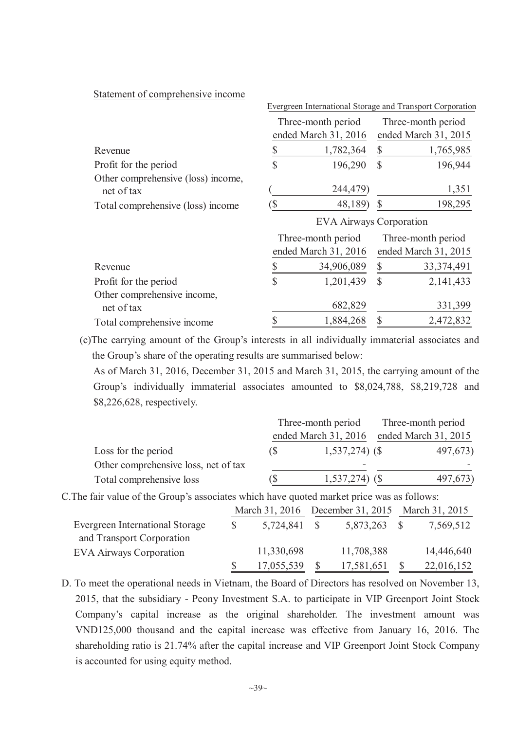| Evergreen International Storage and Transport Corporation |            |                                                                                                     |                                            |  |  |  |  |
|-----------------------------------------------------------|------------|-----------------------------------------------------------------------------------------------------|--------------------------------------------|--|--|--|--|
|                                                           |            |                                                                                                     | Three-month period<br>ended March 31, 2015 |  |  |  |  |
|                                                           | 1,782,364  | \$                                                                                                  | 1,765,985                                  |  |  |  |  |
| $\mathbf S$                                               | 196,290    | \$                                                                                                  | 196,944                                    |  |  |  |  |
|                                                           | 244,479)   |                                                                                                     | 1,351                                      |  |  |  |  |
|                                                           |            |                                                                                                     | 198,295                                    |  |  |  |  |
| <b>EVA Airways Corporation</b>                            |            |                                                                                                     |                                            |  |  |  |  |
|                                                           |            |                                                                                                     | Three-month period<br>ended March 31, 2015 |  |  |  |  |
|                                                           | 34,906,089 | \$                                                                                                  | 33, 374, 491                               |  |  |  |  |
| \$                                                        | 1,201,439  | \$                                                                                                  | 2,141,433                                  |  |  |  |  |
|                                                           | 682,829    |                                                                                                     | 331,399                                    |  |  |  |  |
|                                                           |            |                                                                                                     |                                            |  |  |  |  |
|                                                           | S          | Three-month period<br>ended March 31, 2016<br>48,189)<br>Three-month period<br>ended March 31, 2016 | \$                                         |  |  |  |  |

Statement of comprehensive income

(c)The carrying amount of the Group's interests in all individually immaterial associates and

the Group's share of the operating results are summarised below: As of March 31, 2016, December 31, 2015 and March 31, 2015, the carrying amount of the Group's individually immaterial associates amounted to \$8,024,788, \$8,219,728 and \$8,226,628, respectively.

|                                      |    | Three-month period   | Three-month period   |
|--------------------------------------|----|----------------------|----------------------|
|                                      |    | ended March 31, 2016 | ended March 31, 2015 |
| Loss for the period                  | (১ | $1,537,274$ (\$)     | 497,673)             |
| Other comprehensive loss, net of tax |    | -                    |                      |
| Total comprehensive loss             |    | 1,537,274)           | 497,673)             |

C.The fair value of the Group's associates which have quoted market price was as follows:

|                                                             |   | March 31, 2016 | December 31, 2015 March 31, 2015 |            |
|-------------------------------------------------------------|---|----------------|----------------------------------|------------|
| Evergreen International Storage                             | S | 5,724,841 \$   | 5,873,263                        | 7,569,512  |
| and Transport Corporation<br><b>EVA Airways Corporation</b> |   | 11,330,698     | 11,708,388                       | 14,446,640 |
|                                                             |   | 17,055,539     | 17,581,651                       | 22,016,152 |

D. To meet the operational needs in Vietnam, the Board of Directors has resolved on November 13, 2015, that the subsidiary - Peony Investment S.A. to participate in VIP Greenport Joint Stock Company's capital increase as the original shareholder. The investment amount was VND125,000 thousand and the capital increase was effective from January 16, 2016. The shareholding ratio is 21.74% after the capital increase and VIP Greenport Joint Stock Company is accounted for using equity method.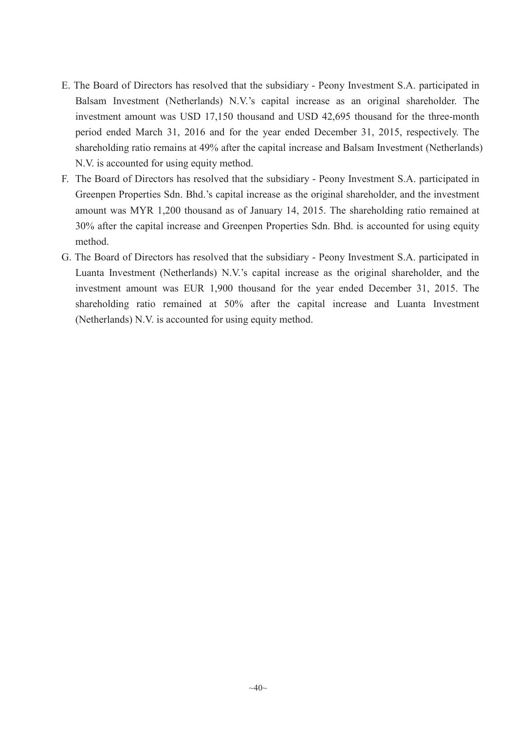- E. The Board of Directors has resolved that the subsidiary Peony Investment S.A. participated in Balsam Investment (Netherlands) N.V.'s capital increase as an original shareholder. The investment amount was USD 17,150 thousand and USD 42,695 thousand for the three-month period ended March 31, 2016 and for the year ended December 31, 2015, respectively. The shareholding ratio remains at 49% after the capital increase and Balsam Investment (Netherlands) N.V. is accounted for using equity method.
- F. The Board of Directors has resolved that the subsidiary Peony Investment S.A. participated in Greenpen Properties Sdn. Bhd.'s capital increase as the original shareholder, and the investment amount was MYR 1,200 thousand as of January 14, 2015. The shareholding ratio remained at 30% after the capital increase and Greenpen Properties Sdn. Bhd. is accounted for using equity method.
- G. The Board of Directors has resolved that the subsidiary Peony Investment S.A. participated in Luanta Investment (Netherlands) N.V.'s capital increase as the original shareholder, and the investment amount was EUR 1,900 thousand for the year ended December 31, 2015. The shareholding ratio remained at 50% after the capital increase and Luanta Investment (Netherlands) N.V. is accounted for using equity method.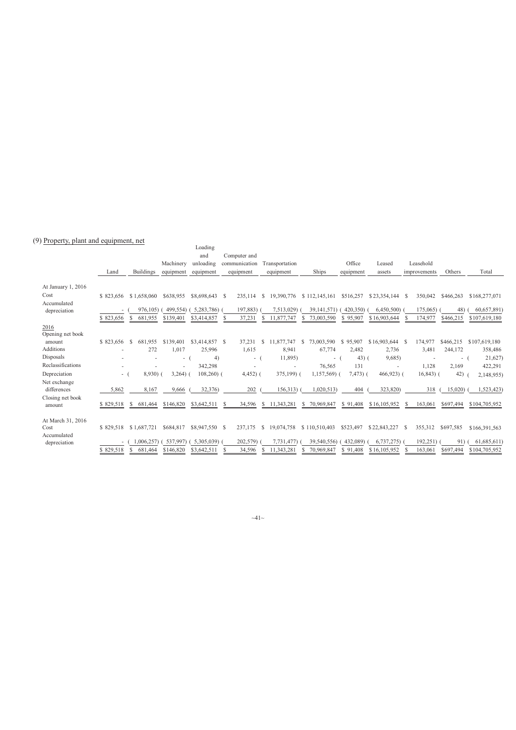#### (9) Property, plant and equipment, net

|                             |           |                  |           | Loading        |      |               |                             |                 |           |                   |                         |           |               |
|-----------------------------|-----------|------------------|-----------|----------------|------|---------------|-----------------------------|-----------------|-----------|-------------------|-------------------------|-----------|---------------|
|                             |           |                  |           | and            |      | Computer and  |                             |                 |           |                   |                         |           |               |
|                             |           |                  | Machinery | unloading      |      | communication | Transportation              |                 | Office    | Leased            | Leasehold               |           |               |
|                             | Land      | <b>Buildings</b> | equipment | equipment      |      | equipment     | equipment                   | Ships           | equipment | assets            | improvements            | Others    | Total         |
| At January 1, 2016          |           |                  |           |                |      |               |                             |                 |           |                   |                         |           |               |
| Cost                        | \$823.656 | \$1.658,060      | \$638.955 | \$8,698,643    | - \$ | 235.114       | 19.390.776<br><sup>S</sup>  | \$112,145,161   | \$516,257 | \$23,354,144 \$   | 350.042                 | \$466.263 | \$168,277,071 |
| Accumulated<br>depreciation |           | 976.105)         | 499,554)  | 5,283,786)     |      | 197,883)      | 7,513,029)                  | 39,141,571      | 420,350)  | 6,450,500         | 175,065)                | 48)       | 60,657,891)   |
|                             | \$823,656 | S<br>681,955     | \$139,401 | \$3,414,857    | -S   | 37,231        | 11,877,747                  | 73,003,590      | \$95,907  | \$16,903,644      | 174,977                 | \$466,215 | \$107,619,180 |
| 2016<br>Opening net book    |           |                  |           |                |      |               |                             |                 |           |                   |                         |           |               |
| amount                      | \$823,656 | S<br>681.955     | \$139.401 | \$3,414,857 \$ |      | 37,231        | 11,877,747<br>S             | 73.003.590<br>S | \$95,907  | $$16,903,644$ \\$ | 174,977                 | \$466,215 | \$107,619,180 |
| Additions                   |           | 272              | 1,017     | 25,996         |      | 1,615         | 8,941                       | 67,774          | 2,482     | 2,736             | 3,481                   | 244,172   | 358,486       |
| Disposals                   |           | ÷                | $\sim$    | 4)             |      | $-$ (         | 11,895)                     | - (             | $43)$ (   | 9,685             |                         | $-1$      | 21,627)       |
| Reclassifications           |           |                  | ٠         | 342,298        |      | ٠             |                             | 76,565          | 131       |                   | 1,128                   | 2,169     | 422,291       |
| Depreciation                | $\sim$    | $8,930$ )        | 3,264     | $108,260$ (    |      | $4,452$ ) (   | 375,199) (                  | 1,157,569)      | 7,473) (  | $466,923$ (       | $16,843$ ) (            | 42)       | 2,148,955)    |
| Net exchange<br>differences | 5,862     | 8,167            | 9,666     | 32,376)        |      | 202           | 156,313)                    | 1,020,513       | 404       | 323,820)          | 318                     | 15,020)   | 1,523,423)    |
| Closing net book<br>amount  | \$829,518 | 681,464<br>S     | \$146,820 | \$3,642,511    |      | 34,596        | 11,343,281<br>S             | 70,969,847<br>S | \$91,408  | \$16,105,952      | 163,061<br>S            | \$697,494 | \$104,705,952 |
| At March 31, 2016           |           |                  |           |                |      |               |                             |                 |           |                   |                         |           |               |
| Cost                        | \$829,518 | \$1,687,721      | \$684,817 | \$8,947,550    | - S  | 237,175       | <sup>\$</sup><br>19,074,758 | \$110,510,403   | \$523,497 | \$22,843,227      | 355,312<br><sup>S</sup> | \$697,585 | \$166,391,563 |
| Accumulated<br>depreciation | ۰.        | ,006,257)        | 537,997)  | 5,305,039)     |      | 202,579)      | 7.731.477)                  | 39,540,556)     | 432,089)  | 6,737,275         | 192,251)                | 91)       | 61,685,611)   |
|                             | \$829,518 | S<br>681,464     | \$146,820 | \$3,642,511    | -S   | 34,596        | 11,343,281                  | 70,969,847      | \$91,408  | \$16,105,952      | 163,061                 | \$697,494 | \$104,705,952 |

 $~1~1~$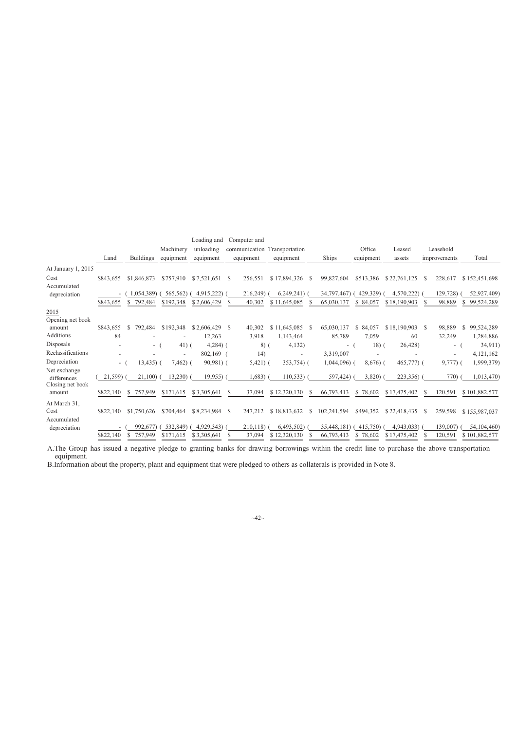|                                                 |           |                  |            | Loading and   | Computer and             |                     |               |              |              |                          |                  |
|-------------------------------------------------|-----------|------------------|------------|---------------|--------------------------|---------------------|---------------|--------------|--------------|--------------------------|------------------|
|                                                 |           |                  | Machinery  | unloading     | communication            | Transportation      |               | Office       | Leased       | Leasehold                |                  |
|                                                 | Land      | <b>Buildings</b> | equipment  | equipment     | equipment                | equipment           | Ships         | equipment    | assets       | improvements             | Total            |
| At January 1, 2015                              |           |                  |            |               |                          |                     |               |              |              |                          |                  |
| Cost                                            | \$843.655 | \$1,846,873      | \$757,910  | \$7.521.651   | 256.551<br>-S            | \$17,894,326<br>- S | 99,827,604    | \$513.386    | \$22,761,125 | 228,617<br>-S            | \$152,451,698    |
| Accumulated                                     |           |                  |            |               |                          |                     |               |              |              |                          |                  |
| depreciation                                    | ۰.        | 1,054,389        | 565,562)   | 4,915,222)    | 216,249)                 | 6,249,241           | 34,797,467)   | 429,329)     | 4,570,222)   | 129,728                  | 52,927,409)      |
|                                                 | \$843,655 | 792,484<br>\$    | \$192,348  | \$2,606,429   | 40,302<br>S              | \$11,645,085        | 65,030,137    | S.<br>84,057 | \$18,190,903 | 98,889                   | 99,524,289       |
| 2015                                            |           |                  |            |               |                          |                     |               |              |              |                          |                  |
| Opening net book                                |           |                  |            |               |                          |                     |               |              |              |                          |                  |
| amount                                          | \$843,655 | 792,484<br>S.    | \$192,348  | \$2,606,429   | 40,302<br>-S             | \$11,645,085<br>-S  | 65,030,137    | 84,057<br>S. | \$18,190,903 | 98,889<br>- \$           | 99,524,289<br>S. |
| Additions                                       | 84        |                  |            | 12,263        | 3,918                    | 1,143,464           | 85,789        | 7.059        | 60           | 32,249                   | 1,284,886        |
| Disposals                                       |           | $-1$             | $41)$ (    | $4,284$ ) (   | $8)$ (                   | 4,132)              | $\sim$        | $18)$ (      | 26,428)      | $\sim$                   | 34,911)          |
| Reclassifications                               |           |                  |            | 802,169 (     | 14)                      |                     | 3,319,007     |              |              | $\overline{\phantom{a}}$ | 4,121,162        |
| Depreciation                                    | $\sim$    | $13,435$ ) (     | $7,462)$ ( | $90,981$ (    | $5,421)$ (               | $353,754$ ) (       | $1,044,096$ ) | $8,676$ (    | 465,777) (   | $9,777)$ (               | 1,999,379)       |
| Net exchange<br>differences<br>Closing net book | 21,599)   | 21.100)          | $13,230$ ) | $19,955$ )    | 1,683)                   | $110,533$ ) (       | 597,424)      | $3,820$ )    | 223,356)     | 770)                     | 1,013,470)       |
| amount                                          | \$822,140 | 757,949<br>S.    | \$171,615  | \$3,305,641   | 37,094<br>S              | \$12,320,130<br>S   | 66,793,413    | \$78,602     | \$17,475,402 | 120,591<br>S             | \$101,882,577    |
| At March 31,                                    |           |                  |            |               |                          |                     |               |              |              |                          |                  |
| Cost                                            | \$822,140 | \$1,750,626      | \$704,464  | \$8,234,984   | <sup>\$</sup><br>247,212 | \$18,813,632<br>S   | 102,241,594   | \$494,352    | \$22,418,435 | 259,598<br>S             | \$155,987,037    |
| Accumulated<br>depreciation                     |           | 992,677          | 532,849)   | $4,929,343$ ) | 210,118)                 | 6,493,502           | 35,448,181)   | 415,750)     | 4,943,033    | 139,007                  | 54,104,460)      |
|                                                 | \$822,140 | 757,949<br>S.    | \$171.615  | \$3,305,641   | 37,094<br>S              | \$12,320,130<br>-S  | 66,793,413    | \$78,602     | \$17,475,402 | 120,591                  | \$101,882,577    |

A.The Group has issued a negative pledge to granting banks for drawing borrowings within the credit line to purchase the above transportation equipment.

B.Information about the property, plant and equipment that were pledged to others as collaterals is provided in Note 8.

 $-42$ ~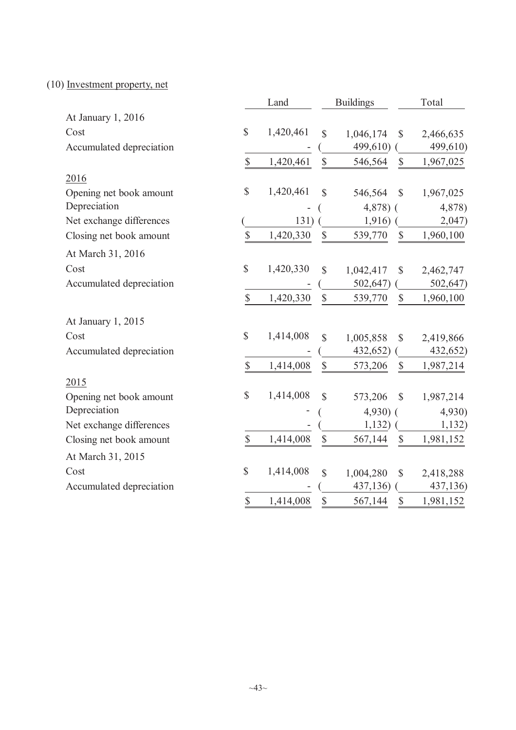(10) Investment property, net

|                          |                         | Land      |                           | <b>Buildings</b>                     | Total |           |  |
|--------------------------|-------------------------|-----------|---------------------------|--------------------------------------|-------|-----------|--|
| At January 1, 2016       |                         |           |                           |                                      |       |           |  |
| Cost                     | \$                      | 1,420,461 | \$                        | 1,046,174<br>$\mathbb{S}$            |       | 2,466,635 |  |
| Accumulated depreciation |                         |           |                           | 499,610)                             |       | 499,610)  |  |
|                          | \$                      | 1,420,461 | \$                        | 546,564<br>$\mathbb{S}$              |       | 1,967,025 |  |
| 2016                     |                         |           |                           |                                      |       |           |  |
| Opening net book amount  | \$                      | 1,420,461 | \$                        | 546,564<br>$\mathcal{S}$             |       | 1,967,025 |  |
| Depreciation             |                         |           |                           | $4,878$ ) (                          |       | 4,878)    |  |
| Net exchange differences |                         | 131)      |                           | 1,916)                               |       | 2,047)    |  |
| Closing net book amount  | \$                      | 1,420,330 | \$                        | 539,770<br>$\mathbb{S}$              |       | 1,960,100 |  |
| At March 31, 2016        |                         |           |                           |                                      |       |           |  |
| Cost                     | \$                      | 1,420,330 | $\mathbf S$               | 1,042,417<br>$\mathcal{S}$           |       | 2,462,747 |  |
| Accumulated depreciation |                         |           |                           | 502,647)                             |       | 502,647)  |  |
|                          | \$                      | 1,420,330 | $\boldsymbol{\mathsf{S}}$ | $\mathbb{S}$<br>539,770              |       | 1,960,100 |  |
| At January 1, 2015       |                         |           |                           |                                      |       |           |  |
| Cost                     | \$                      | 1,414,008 | \$                        | 1,005,858<br>$\mathcal{S}$           |       | 2,419,866 |  |
| Accumulated depreciation |                         |           |                           | 432,652)                             |       | 432,652)  |  |
|                          | \$                      | 1,414,008 | \$                        | $\boldsymbol{\mathsf{S}}$<br>573,206 |       | 1,987,214 |  |
| 2015                     |                         |           |                           |                                      |       |           |  |
| Opening net book amount  | \$                      | 1,414,008 | \$                        | 573,206<br>$\mathcal{S}$             |       | 1,987,214 |  |
| Depreciation             |                         |           |                           | $4,930$ (                            |       | 4,930)    |  |
| Net exchange differences |                         |           |                           | 1,132)                               |       | 1,132)    |  |
| Closing net book amount  | $\mathbb{S}$            | 1,414,008 | $\mathbb{S}$              | 567,144<br>$\mathcal{S}$             |       | 1,981,152 |  |
| At March 31, 2015        |                         |           |                           |                                      |       |           |  |
| Cost                     | \$                      | 1,414,008 | $\mathbf S$               | 1,004,280<br>$\mathbb{S}$            |       | 2,418,288 |  |
| Accumulated depreciation |                         |           |                           | 437,136)                             |       | 437,136)  |  |
|                          | $\overline{\mathbb{S}}$ | 1,414,008 | \$                        | 567,144<br>$\mathcal{S}$             |       | 1,981,152 |  |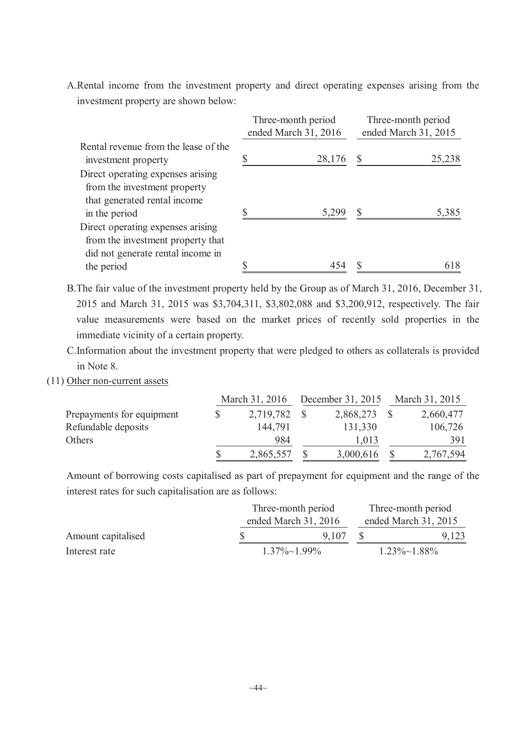A.Rental income from the investment property and direct operating expenses arising from the investment property are shown below:

|                                                                                                                           | Three-month period<br>ended March 31, 2016 | Three-month period<br>ended March 31, 2015 |        |  |  |
|---------------------------------------------------------------------------------------------------------------------------|--------------------------------------------|--------------------------------------------|--------|--|--|
| Rental revenue from the lease of the<br>investment property                                                               | 28,176                                     | S                                          | 25,238 |  |  |
| Direct operating expenses arising<br>from the investment property<br>that generated rental income<br>in the period        | 5,299                                      |                                            | 5,385  |  |  |
| Direct operating expenses arising<br>from the investment property that<br>did not generate rental income in<br>the period |                                            |                                            | 618    |  |  |

B.The fair value of the investment property held by the Group as of March 31, 2016, December 31, 2015 and March 31, 2015 was \$3,704,311, \$3,802,088 and \$3,200,912, respectively. The fair value measurements were based on the market prices of recently sold properties in the immediate vicinity of a certain property.

C.Information about the investment property that were pledged to others as collaterals is provided in Note 8.

(11) Other non-current assets

|                           | March 31, 2016  |  | December 31, 2015 | March 31, 2015 |           |  |
|---------------------------|-----------------|--|-------------------|----------------|-----------|--|
| Prepayments for equipment | \$<br>2,719,782 |  | 2,868,273         |                | 2,660,477 |  |
| Refundable deposits       | 144,791         |  | 131,330           |                | 106,726   |  |
| Others                    | 984             |  | 1,013             |                | 391       |  |
|                           | \$<br>2,865,557 |  | 3,000,616         |                | 2,767,594 |  |

Amount of borrowing costs capitalised as part of prepayment for equipment and the range of the interest rates for such capitalisation are as follows:

|                    | Three-month period | Three-month period     |                      |                      |  |
|--------------------|--------------------|------------------------|----------------------|----------------------|--|
|                    |                    | ended March $31, 2016$ | ended March 31, 2015 |                      |  |
| Amount capitalised |                    | 9 1 0 7                |                      | 9,123                |  |
| Interest rate      |                    | $1.37\% \sim 1.99\%$   |                      | $1.23\% \sim 1.88\%$ |  |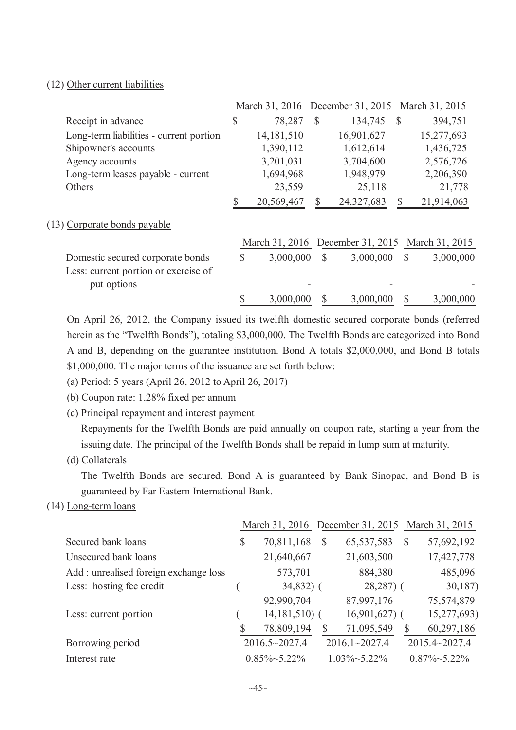### (12) Other current liabilities

|                                                     |              |            |    | March 31, 2016 December 31, 2015                |              | March 31, 2015 |
|-----------------------------------------------------|--------------|------------|----|-------------------------------------------------|--------------|----------------|
| Receipt in advance                                  | \$           | 78,287     | S  | 134,745                                         | <sup>S</sup> | 394,751        |
| Long-term liabilities - current portion             |              | 14,181,510 |    | 16,901,627                                      |              | 15,277,693     |
| Shipowner's accounts                                |              | 1,390,112  |    | 1,612,614                                       |              | 1,436,725      |
| Agency accounts                                     |              | 3,201,031  |    | 3,704,600                                       |              | 2,576,726      |
| Long-term leases payable - current                  |              | 1,694,968  |    | 1,948,979                                       |              | 2,206,390      |
| Others                                              |              | 23,559     |    | 25,118                                          |              | 21,778         |
|                                                     |              | 20,569,467 |    | 24,327,683                                      | S            | 21,914,063     |
| (13) Corporate bonds payable                        |              |            |    |                                                 |              |                |
|                                                     |              |            |    | March 31, 2016 December 31, 2015 March 31, 2015 |              |                |
| Domestic secured corporate bonds                    | $\mathbb{S}$ | 3,000,000  | S  | 3,000,000                                       | $\mathbb{S}$ | 3,000,000      |
| Less: current portion or exercise of<br>put options |              |            |    |                                                 |              |                |
|                                                     | \$           | 3,000,000  | \$ | 3,000,000                                       |              | 3,000,000      |

On April 26, 2012, the Company issued its twelfth domestic secured corporate bonds (referred herein as the "Twelfth Bonds"), totaling \$3,000,000. The Twelfth Bonds are categorized into Bond A and B, depending on the guarantee institution. Bond A totals \$2,000,000, and Bond B totals \$1,000,000. The major terms of the issuance are set forth below:

- (a) Period: 5 years (April 26, 2012 to April 26, 2017)
- (b) Coupon rate: 1.28% fixed per annum
- (c) Principal repayment and interest payment

Repayments for the Twelfth Bonds are paid annually on coupon rate, starting a year from the issuing date. The principal of the Twelfth Bonds shall be repaid in lump sum at maturity.

(d) Collaterals

The Twelfth Bonds are secured. Bond A is guaranteed by Bank Sinopac, and Bond B is guaranteed by Far Eastern International Bank.

(14) Long-term loans

|                                       |                      | March 31, 2016 December 31, 2015 March 31, 2015 |              |                      |
|---------------------------------------|----------------------|-------------------------------------------------|--------------|----------------------|
| Secured bank loans                    | \$<br>70,811,168     | \$<br>65,537,583                                | \$           | 57,692,192           |
| Unsecured bank loans                  | 21,640,667           | 21,603,500                                      |              | 17,427,778           |
| Add: unrealised foreign exchange loss | 573,701              | 884,380                                         |              | 485,096              |
| Less: hosting fee credit              | 34,832)              | 28,287)                                         |              | 30,187)              |
|                                       | 92,990,704           | 87,997,176                                      |              | 75,574,879           |
| Less: current portion                 | 14,181,510)          | 16,901,627)                                     |              | 15,277,693)          |
|                                       | \$<br>78,809,194     | 71,095,549                                      | $\mathbb{S}$ | 60,297,186           |
| Borrowing period                      | 2016.5~2027.4        | $2016.1 \times 2027.4$                          |              | 2015.4~2027.4        |
| Interest rate                         | $0.85\% \sim 5.22\%$ | $1.03\% \sim 5.22\%$                            |              | $0.87\% \sim 5.22\%$ |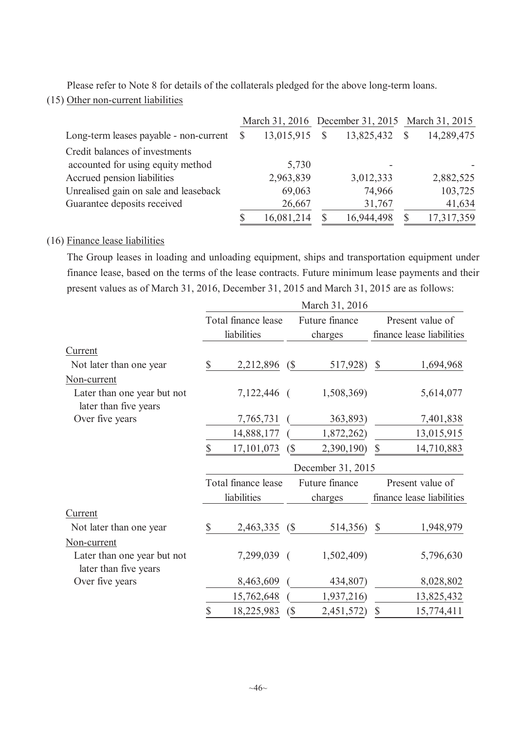Please refer to Note 8 for details of the collaterals pledged for the above long-term loans.

(15) Other non-current liabilities

|                                        | March 31, 2016 December 31, 2015 March 31, 2015 |            |            |   |            |
|----------------------------------------|-------------------------------------------------|------------|------------|---|------------|
| Long-term leases payable - non-current | $\mathbb{S}$                                    | 13,015,915 | 13,825,432 | S | 14,289,475 |
| Credit balances of investments         |                                                 |            |            |   |            |
| accounted for using equity method      |                                                 | 5,730      |            |   |            |
| Accrued pension liabilities            |                                                 | 2,963,839  | 3,012,333  |   | 2,882,525  |
| Unrealised gain on sale and leaseback  |                                                 | 69,063     | 74,966     |   | 103,725    |
| Guarantee deposits received            |                                                 | 26,667     | 31,767     |   | 41,634     |
|                                        |                                                 | 16,081,214 | 16,944,498 |   | 17,317,359 |

## (16) Finance lease liabilities

The Group leases in loading and unloading equipment, ships and transportation equipment under finance lease, based on the terms of the lease contracts. Future minimum lease payments and their present values as of March 31, 2016, December 31, 2015 and March 31, 2015 are as follows:

|                                                      | March 31, 2016 |                     |                            |                |                           |                           |  |  |  |  |
|------------------------------------------------------|----------------|---------------------|----------------------------|----------------|---------------------------|---------------------------|--|--|--|--|
|                                                      |                | Total finance lease |                            | Future finance |                           | Present value of          |  |  |  |  |
|                                                      |                | liabilities         |                            | charges        | finance lease liabilities |                           |  |  |  |  |
| Current                                              |                |                     |                            |                |                           |                           |  |  |  |  |
| Not later than one year                              | $\mathbb{S}$   | 2,212,896           | $\binom{6}{ }$             | 517,928)       | $\boldsymbol{\mathsf{S}}$ | 1,694,968                 |  |  |  |  |
| Non-current                                          |                |                     |                            |                |                           |                           |  |  |  |  |
| Later than one year but not<br>later than five years |                | 7,122,446 (         |                            | 1,508,369)     |                           | 5,614,077                 |  |  |  |  |
| Over five years                                      |                | 7,765,731           |                            | 363,893)       |                           | 7,401,838                 |  |  |  |  |
|                                                      |                | 14,888,177          |                            | 1,872,262)     |                           | 13,015,915                |  |  |  |  |
|                                                      | \$             | 17,101,073          | $\left( \text{\$} \right)$ | 2,390,190)     | $\boldsymbol{\mathsf{S}}$ | 14,710,883                |  |  |  |  |
|                                                      |                | December 31, 2015   |                            |                |                           |                           |  |  |  |  |
|                                                      |                | Total finance lease |                            | Future finance | Present value of          |                           |  |  |  |  |
|                                                      |                | liabilities         |                            | charges        |                           | finance lease liabilities |  |  |  |  |
| <b>Current</b>                                       |                |                     |                            |                |                           |                           |  |  |  |  |
| Not later than one year                              | $\mathbb{S}$   | 2,463,335 (\$)      |                            | 514,356) \$    |                           | 1,948,979                 |  |  |  |  |
| Non-current                                          |                |                     |                            |                |                           |                           |  |  |  |  |
| Later than one year but not<br>later than five years |                | 7,299,039 (         |                            | 1,502,409)     |                           | 5,796,630                 |  |  |  |  |
|                                                      |                |                     |                            |                |                           |                           |  |  |  |  |
| Over five years                                      |                | 8,463,609           |                            | 434,807)       |                           | 8,028,802                 |  |  |  |  |
|                                                      |                | 15,762,648          |                            | 1,937,216)     |                           | 13,825,432                |  |  |  |  |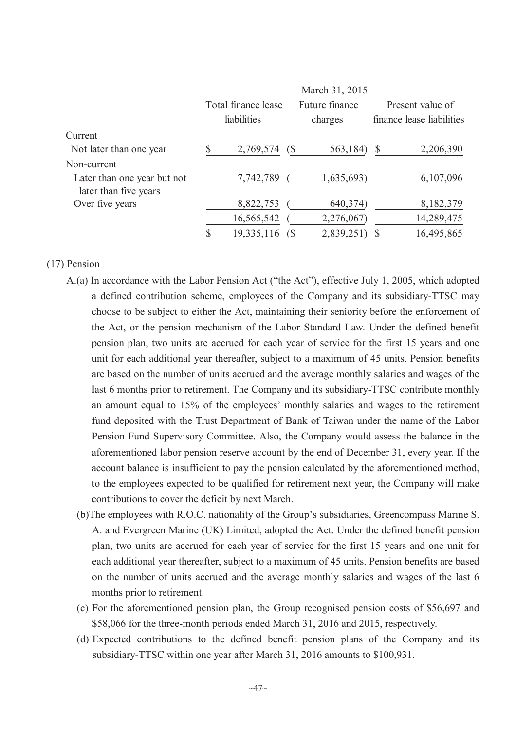|                                                      | March 31, 2015 |                     |                |                |                           |            |  |  |  |
|------------------------------------------------------|----------------|---------------------|----------------|----------------|---------------------------|------------|--|--|--|
|                                                      |                | Total finance lease |                | Future finance | Present value of          |            |  |  |  |
|                                                      | liabilities    |                     |                | charges        | finance lease liabilities |            |  |  |  |
| Current                                              |                |                     |                |                |                           |            |  |  |  |
| Not later than one year                              |                | 2,769,574           | $\binom{S}{ }$ | 563,184)       | S                         | 2,206,390  |  |  |  |
| Non-current                                          |                |                     |                |                |                           |            |  |  |  |
| Later than one year but not<br>later than five years |                | 7,742,789 (         |                | 1,635,693      |                           | 6,107,096  |  |  |  |
| Over five years                                      |                | 8,822,753           |                | 640, 374)      |                           | 8,182,379  |  |  |  |
|                                                      |                | 16,565,542          |                | 2,276,067)     |                           | 14,289,475 |  |  |  |
|                                                      |                | 19,335,116          |                | 2,839,251      |                           | 16,495,865 |  |  |  |

### (17) Pension

- A.(a) In accordance with the Labor Pension Act ("the Act"), effective July 1, 2005, which adopted a defined contribution scheme, employees of the Company and its subsidiary-TTSC may choose to be subject to either the Act, maintaining their seniority before the enforcement of the Act, or the pension mechanism of the Labor Standard Law. Under the defined benefit pension plan, two units are accrued for each year of service for the first 15 years and one unit for each additional year thereafter, subject to a maximum of 45 units. Pension benefits are based on the number of units accrued and the average monthly salaries and wages of the last 6 months prior to retirement. The Company and its subsidiary-TTSC contribute monthly an amount equal to 15% of the employees' monthly salaries and wages to the retirement fund deposited with the Trust Department of Bank of Taiwan under the name of the Labor Pension Fund Supervisory Committee. Also, the Company would assess the balance in the aforementioned labor pension reserve account by the end of December 31, every year. If the account balance is insufficient to pay the pension calculated by the aforementioned method, to the employees expected to be qualified for retirement next year, the Company will make contributions to cover the deficit by next March.
	- (b)The employees with R.O.C. nationality of the Group's subsidiaries, Greencompass Marine S. A. and Evergreen Marine (UK) Limited, adopted the Act. Under the defined benefit pension plan, two units are accrued for each year of service for the first 15 years and one unit for each additional year thereafter, subject to a maximum of 45 units. Pension benefits are based on the number of units accrued and the average monthly salaries and wages of the last 6 months prior to retirement.
	- (c) For the aforementioned pension plan, the Group recognised pension costs of \$56,697 and \$58,066 for the three-month periods ended March 31, 2016 and 2015, respectively.
	- (d) Expected contributions to the defined benefit pension plans of the Company and its subsidiary-TTSC within one year after March 31, 2016 amounts to \$100,931.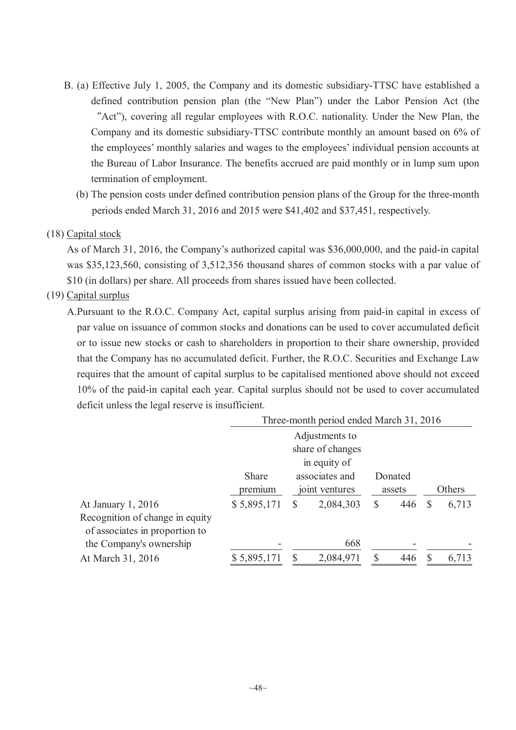- B. (a) Effective July 1, 2005, the Company and its domestic subsidiary-TTSC have established a defined contribution pension plan (the "New Plan") under the Labor Pension Act (the "Act"), covering all regular employees with R.O.C. nationality. Under the New Plan, the Company and its domestic subsidiary-TTSC contribute monthly an amount based on 6% of the employees' monthly salaries and wages to the employees' individual pension accounts at the Bureau of Labor Insurance. The benefits accrued are paid monthly or in lump sum upon termination of employment.
	- (b) The pension costs under defined contribution pension plans of the Group for the three-month periods ended March 31, 2016 and 2015 were \$41,402 and \$37,451, respectively.

### (18) Capital stock

As of March 31, 2016, the Company's authorized capital was \$36,000,000, and the paid-in capital was \$35,123,560, consisting of 3,512,356 thousand shares of common stocks with a par value of \$10 (in dollars) per share. All proceeds from shares issued have been collected.

### (19) Capital surplus

A.Pursuant to the R.O.C. Company Act, capital surplus arising from paid-in capital in excess of par value on issuance of common stocks and donations can be used to cover accumulated deficit or to issue new stocks or cash to shareholders in proportion to their share ownership, provided that the Company has no accumulated deficit. Further, the R.O.C. Securities and Exchange Law requires that the amount of capital surplus to be capitalised mentioned above should not exceed 10% of the paid-in capital each year. Capital surplus should not be used to cover accumulated deficit unless the legal reserve is insufficient.

|                                 | Three-month period ended March 31, 2016 |                                  |           |    |         |        |       |  |  |
|---------------------------------|-----------------------------------------|----------------------------------|-----------|----|---------|--------|-------|--|--|
|                                 | Adjustments to                          |                                  |           |    |         |        |       |  |  |
|                                 | share of changes                        |                                  |           |    |         |        |       |  |  |
|                                 | in equity of                            |                                  |           |    |         |        |       |  |  |
|                                 | Share                                   | associates and<br>joint ventures |           |    | Donated |        |       |  |  |
|                                 | premium                                 |                                  |           |    | assets  | Others |       |  |  |
| At January 1, 2016              | \$5,895,171                             | S                                | 2,084,303 | \$ | 446     | S      | 6,713 |  |  |
| Recognition of change in equity |                                         |                                  |           |    |         |        |       |  |  |
| of associates in proportion to  |                                         |                                  |           |    |         |        |       |  |  |
| the Company's ownership         |                                         |                                  | 668       |    |         |        |       |  |  |
| At March 31, 2016               | \$5,895,171                             |                                  | 2,084,971 | S  | 446     |        | 6,713 |  |  |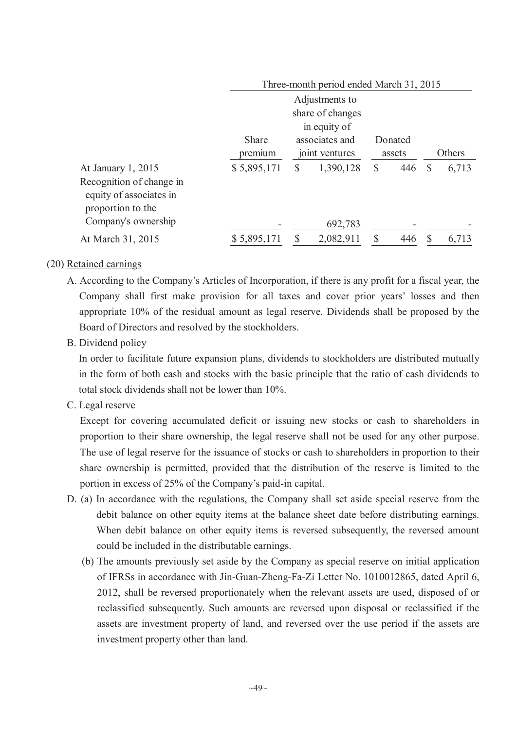|                          | Three-month period ended March 31, 2015 |                                  |           |              |         |        |       |  |  |  |
|--------------------------|-----------------------------------------|----------------------------------|-----------|--------------|---------|--------|-------|--|--|--|
|                          | Adjustments to                          |                                  |           |              |         |        |       |  |  |  |
|                          | share of changes<br>in equity of        |                                  |           |              |         |        |       |  |  |  |
|                          |                                         |                                  |           |              |         |        |       |  |  |  |
|                          | <b>Share</b>                            | associates and<br>joint ventures |           |              | Donated |        |       |  |  |  |
|                          | premium                                 |                                  |           | assets       |         | Others |       |  |  |  |
| At January 1, 2015       | \$5,895,171                             | S                                | 1,390,128 | $\mathbb{S}$ | 446     | S      | 6,713 |  |  |  |
| Recognition of change in |                                         |                                  |           |              |         |        |       |  |  |  |
| equity of associates in  |                                         |                                  |           |              |         |        |       |  |  |  |
| proportion to the        |                                         |                                  |           |              |         |        |       |  |  |  |
| Company's ownership      |                                         |                                  | 692,783   |              |         |        |       |  |  |  |
| At March 31, 2015        | \$5,895,171                             |                                  | 2,082,911 | \$           | 446     |        | 6,713 |  |  |  |

### (20) Retained earnings

- A. According to the Company's Articles of Incorporation, if there is any profit for a fiscal year, the Company shall first make provision for all taxes and cover prior years' losses and then appropriate 10% of the residual amount as legal reserve. Dividends shall be proposed by the Board of Directors and resolved by the stockholders.
- B. Dividend policy

In order to facilitate future expansion plans, dividends to stockholders are distributed mutually in the form of both cash and stocks with the basic principle that the ratio of cash dividends to total stock dividends shall not be lower than 10%.

C. Legal reserve

Except for covering accumulated deficit or issuing new stocks or cash to shareholders in proportion to their share ownership, the legal reserve shall not be used for any other purpose. The use of legal reserve for the issuance of stocks or cash to shareholders in proportion to their share ownership is permitted, provided that the distribution of the reserve is limited to the portion in excess of 25% of the Company's paid-in capital.

- D. (a) In accordance with the regulations, the Company shall set aside special reserve from the debit balance on other equity items at the balance sheet date before distributing earnings. When debit balance on other equity items is reversed subsequently, the reversed amount could be included in the distributable earnings.
	- (b) The amounts previously set aside by the Company as special reserve on initial application of IFRSs in accordance with Jin-Guan-Zheng-Fa-Zi Letter No. 1010012865, dated April 6, 2012, shall be reversed proportionately when the relevant assets are used, disposed of or reclassified subsequently. Such amounts are reversed upon disposal or reclassified if the assets are investment property of land, and reversed over the use period if the assets are investment property other than land.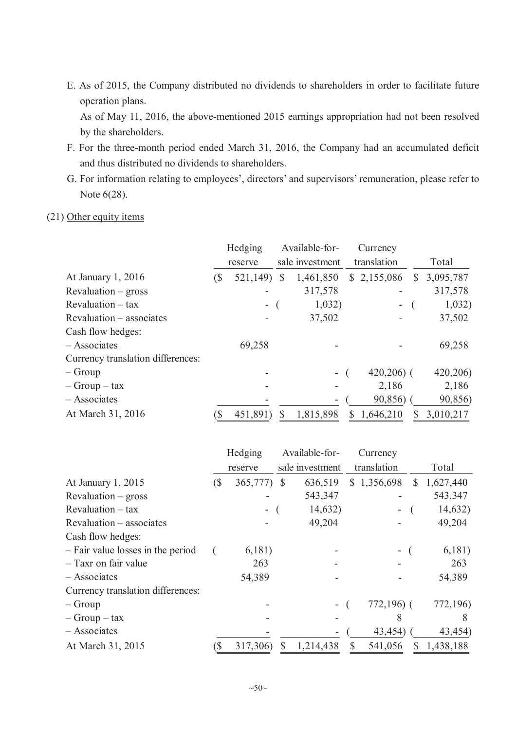E. As of 2015, the Company distributed no dividends to shareholders in order to facilitate future operation plans.

As of May 11, 2016, the above-mentioned 2015 earnings appropriation had not been resolved by the shareholders.

- F. For the three-month period ended March 31, 2016, the Company had an accumulated deficit and thus distributed no dividends to shareholders.
- G. For information relating to employees', directors' and supervisors' remuneration, please refer to Note 6(28).

### (21) Other equity items

|                                   | Hedging |                |   | Available-for-  |              | Currency    |   |           |
|-----------------------------------|---------|----------------|---|-----------------|--------------|-------------|---|-----------|
|                                   | reserve |                |   | sale investment |              | translation |   | Total     |
| At January $1, 2016$              | (S      | 521,149)       | S | 1,461,850       | $\mathbb{S}$ | 2,155,086   | S | 3,095,787 |
| $Revaluation - gross$             |         |                |   | 317,578         |              |             |   | 317,578   |
| $Revaluation - tax$               |         | $\blacksquare$ |   | 1,032)          |              | ۰           |   | 1,032)    |
| Revaluation – associates          |         |                |   | 37,502          |              |             |   | 37,502    |
| Cash flow hedges:                 |         |                |   |                 |              |             |   |           |
| $-$ Associates                    |         | 69,258         |   |                 |              |             |   | 69,258    |
| Currency translation differences: |         |                |   |                 |              |             |   |           |
| $-Group$                          |         |                |   |                 |              | $420,206$ ( |   | 420,206)  |
| $-$ Group $-$ tax                 |         |                |   |                 |              | 2,186       |   | 2,186     |
| $-$ Associates                    |         |                |   |                 |              | 90,856)     |   | 90,856)   |
| At March 31, 2016                 | `\$     | 451,891)       |   | 1,815,898       | S.           | 1,646,210   |   | 3,010,217 |

|                                   |     | Hedging                  |               | Available-for-  | Currency                 |              |           |
|-----------------------------------|-----|--------------------------|---------------|-----------------|--------------------------|--------------|-----------|
|                                   |     | reserve                  |               | sale investment | translation              |              | Total     |
| At January 1, 2015                | (\$ | 365,777)                 | $\mathcal{S}$ | 636,519         | \$1,356,698              | $\mathbb{S}$ | 1,627,440 |
| $Revaluation - gross$             |     |                          |               | 543,347         |                          |              | 543,347   |
| $Revaluation - tax$               |     | $\overline{\phantom{0}}$ |               | 14,632)         | $\overline{\phantom{a}}$ |              | 14,632)   |
| Revaluation – associates          |     |                          |               | 49,204          |                          |              | 49,204    |
| Cash flow hedges:                 |     |                          |               |                 |                          |              |           |
| - Fair value losses in the period |     | 6,181)                   |               |                 | $\overline{\phantom{a}}$ |              | 6,181)    |
| - Taxr on fair value              |     | 263                      |               |                 |                          |              | 263       |
| $-$ Associates                    |     | 54,389                   |               |                 |                          |              | 54,389    |
| Currency translation differences: |     |                          |               |                 |                          |              |           |
| $-$ Group                         |     |                          |               |                 | $772,196$ (              |              | 772,196)  |
| $-$ Group $-$ tax                 |     |                          |               |                 | 8                        |              | 8         |
| $-$ Associates                    |     |                          |               |                 | 43,454)                  |              | 43,454)   |
| At March 31, 2015                 | (\$ | 317,306)                 | $\mathbb{S}$  | 1,214,438       | 541,056                  | <sup>S</sup> | 1,438,188 |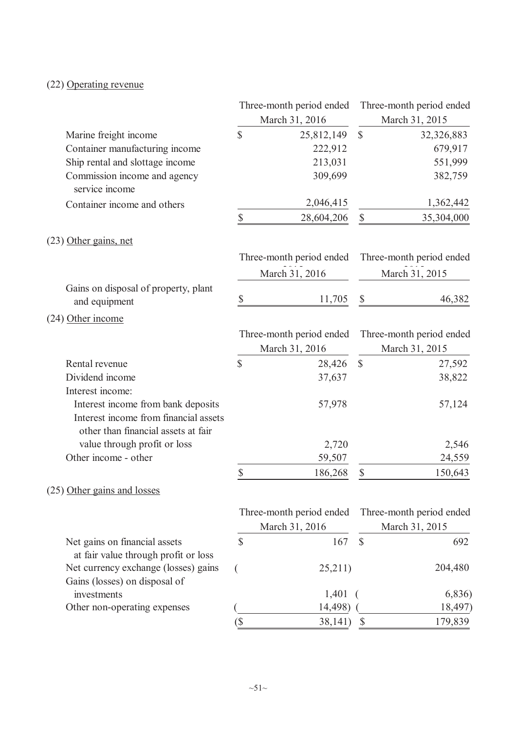## (22) Operating revenue

|                                                                                                                    |    | Three-month period ended |               | Three-month period ended |
|--------------------------------------------------------------------------------------------------------------------|----|--------------------------|---------------|--------------------------|
|                                                                                                                    |    | March 31, 2016           |               | March 31, 2015           |
| Marine freight income                                                                                              | \$ | 25,812,149               | $\mathcal{S}$ | 32,326,883               |
| Container manufacturing income                                                                                     |    | 222,912                  |               | 679,917                  |
| Ship rental and slottage income                                                                                    |    | 213,031                  |               | 551,999                  |
| Commission income and agency<br>service income                                                                     |    | 309,699                  |               | 382,759                  |
| Container income and others                                                                                        |    | 2,046,415                |               | 1,362,442                |
|                                                                                                                    | \$ | 28,604,206               | \$            | 35,304,000               |
| (23) Other gains, net                                                                                              |    |                          |               |                          |
|                                                                                                                    |    | Three-month period ended |               | Three-month period ended |
|                                                                                                                    |    | March 31, 2016           |               | March 31, 2015           |
| Gains on disposal of property, plant<br>and equipment                                                              | \$ | 11,705                   | \$            | 46,382                   |
| (24) Other income                                                                                                  |    |                          |               |                          |
|                                                                                                                    |    | Three-month period ended |               | Three-month period ended |
|                                                                                                                    |    | March 31, 2016           |               | March 31, 2015           |
| Rental revenue                                                                                                     | \$ | 28,426                   | $\mathbb{S}$  | 27,592                   |
| Dividend income                                                                                                    |    | 37,637                   |               | 38,822                   |
| Interest income:                                                                                                   |    |                          |               |                          |
| Interest income from bank deposits<br>Interest income from financial assets<br>other than financial assets at fair |    | 57,978                   |               | 57,124                   |
| value through profit or loss                                                                                       |    | 2,720                    |               | 2,546                    |
| Other income - other                                                                                               |    | 59,507                   |               | 24,559                   |
|                                                                                                                    | \$ | 186,268                  | \$            | 150,643                  |
| (25) Other gains and losses                                                                                        |    |                          |               |                          |
|                                                                                                                    |    | Three-month period ended |               | Three-month period ended |
|                                                                                                                    |    | March 31, 2016           |               | March 31, 2015           |
| Net gains on financial assets<br>at fair value through profit or loss                                              | \$ | 167                      | $\mathcal{S}$ | 692                      |
| Net currency exchange (losses) gains<br>Gains (losses) on disposal of                                              |    | 25,211)                  |               | 204,480                  |
| investments                                                                                                        |    | 1,401                    |               | 6,836)                   |
| Other non-operating expenses                                                                                       |    | 14,498)                  |               | 18,497)                  |
|                                                                                                                    | (  | 38,141)                  | $\mathcal{S}$ | 179,839                  |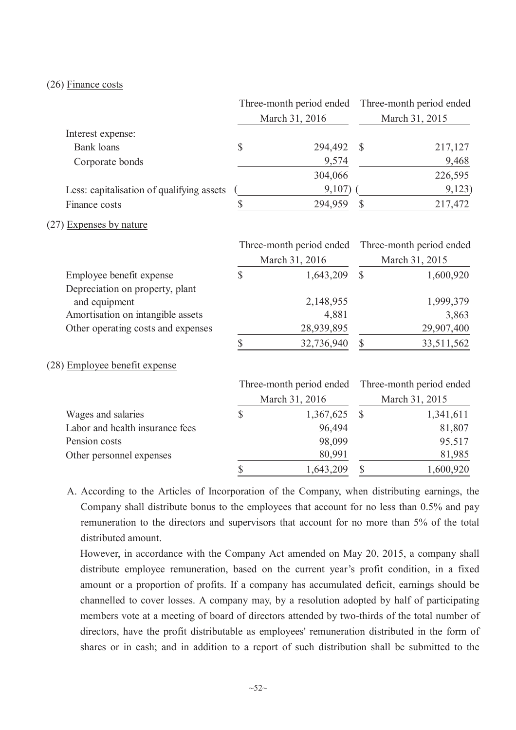#### (26) Finance costs

|                                           | Three-month period ended<br>March 31, 2016 |                          | Three-month period ended<br>March 31, 2015 |                          |
|-------------------------------------------|--------------------------------------------|--------------------------|--------------------------------------------|--------------------------|
| Interest expense:                         |                                            |                          |                                            |                          |
| <b>Bank</b> loans                         | \$                                         | 294,492                  | $\mathbb{S}$                               | 217,127                  |
| Corporate bonds                           |                                            | 9,574                    |                                            | 9,468                    |
|                                           |                                            | 304,066                  |                                            | 226,595                  |
| Less: capitalisation of qualifying assets |                                            | 9,107)                   |                                            | 9,123)                   |
| Finance costs                             | \$                                         | 294,959                  | $\mathbb{S}$                               | 217,472                  |
| (27) Expenses by nature                   |                                            |                          |                                            |                          |
|                                           |                                            | Three-month period ended |                                            | Three-month period ended |
|                                           |                                            | March 31, 2016           |                                            | March 31, 2015           |
| Employee benefit expense                  | $\overline{\mathbb{S}}$                    | 1,643,209                | $\mathcal{S}$                              | 1,600,920                |
| Depreciation on property, plant           |                                            |                          |                                            |                          |
| and equipment                             |                                            | 2,148,955                |                                            | 1,999,379                |
| Amortisation on intangible assets         |                                            | 4,881                    |                                            | 3,863                    |
| Other operating costs and expenses        |                                            | 28,939,895               |                                            | 29,907,400               |
|                                           | \$                                         | 32,736,940               | $\mathbb{S}$                               | 33,511,562               |
| (28) Employee benefit expense             |                                            |                          |                                            |                          |
|                                           |                                            | Three-month period ended |                                            | Three-month period ended |
|                                           |                                            | March 31, 2016           |                                            | March 31, 2015           |
| Wages and salaries                        | $\sqrt{\frac{2}{\pi}}$                     | 1,367,625                | $\mathbb{S}$                               | 1,341,611                |
| Labor and health insurance fees           |                                            | 96,494                   |                                            | 81,807                   |
| Pension costs                             |                                            | 98,099                   |                                            | 95,517                   |
| Other personnel expenses                  |                                            | 80,991                   |                                            | 81,985                   |
|                                           | \$                                         | 1,643,209                | \$                                         | 1,600,920                |

A. According to the Articles of Incorporation of the Company, when distributing earnings, the Company shall distribute bonus to the employees that account for no less than 0.5% and pay remuneration to the directors and supervisors that account for no more than 5% of the total distributed amount.

However, in accordance with the Company Act amended on May 20, 2015, a company shall distribute employee remuneration, based on the current year's profit condition, in a fixed amount or a proportion of profits. If a company has accumulated deficit, earnings should be channelled to cover losses. A company may, by a resolution adopted by half of participating members vote at a meeting of board of directors attended by two-thirds of the total number of directors, have the profit distributable as employees' remuneration distributed in the form of shares or in cash; and in addition to a report of such distribution shall be submitted to the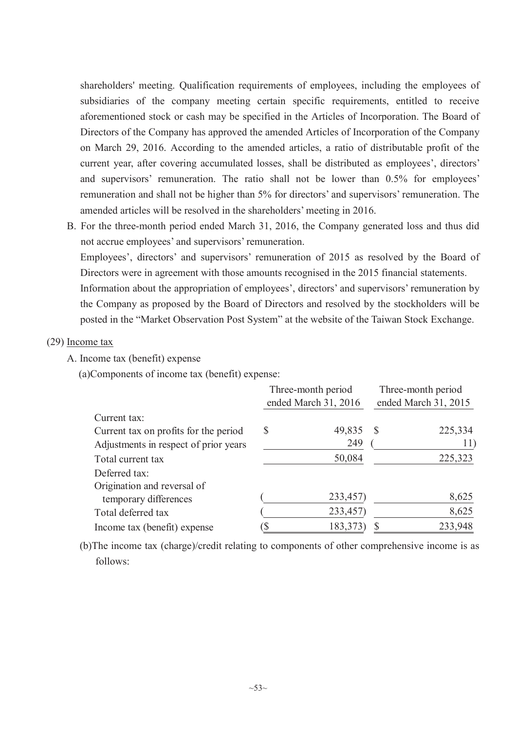shareholders' meeting. Qualification requirements of employees, including the employees of subsidiaries of the company meeting certain specific requirements, entitled to receive aforementioned stock or cash may be specified in the Articles of Incorporation. The Board of Directors of the Company has approved the amended Articles of Incorporation of the Company on March 29, 2016. According to the amended articles, a ratio of distributable profit of the current year, after covering accumulated losses, shall be distributed as employees', directors' and supervisors' remuneration. The ratio shall not be lower than 0.5% for employees' remuneration and shall not be higher than 5% for directors' and supervisors' remuneration. The amended articles will be resolved in the shareholders' meeting in 2016.

B. For the three-month period ended March 31, 2016, the Company generated loss and thus did not accrue employees' and supervisors' remuneration.

Employees', directors' and supervisors' remuneration of 2015 as resolved by the Board of Directors were in agreement with those amounts recognised in the 2015 financial statements.

Information about the appropriation of employees', directors' and supervisors' remuneration by the Company as proposed by the Board of Directors and resolved by the stockholders will be posted in the "Market Observation Post System" at the website of the Taiwan Stock Exchange.

### (29) Income tax

A. Income tax (benefit) expense

(a)Components of income tax (benefit) expense:

|                                       | Three-month period   |                      | Three-month period |  |
|---------------------------------------|----------------------|----------------------|--------------------|--|
|                                       | ended March 31, 2016 | ended March 31, 2015 |                    |  |
| Current tax:                          |                      |                      |                    |  |
| Current tax on profits for the period | \$<br>49,835         |                      | 225,334            |  |
| Adjustments in respect of prior years | 249                  |                      | 11)                |  |
| Total current tax                     | 50,084               |                      | 225,323            |  |
| Deferred tax:                         |                      |                      |                    |  |
| Origination and reversal of           |                      |                      |                    |  |
| temporary differences                 | 233,457)             |                      | 8,625              |  |
| Total deferred tax                    | 233,457)             |                      | 8,625              |  |
| Income tax (benefit) expense          | 183,373              |                      | 233,948            |  |

(b)The income tax (charge)/credit relating to components of other comprehensive income is as follows: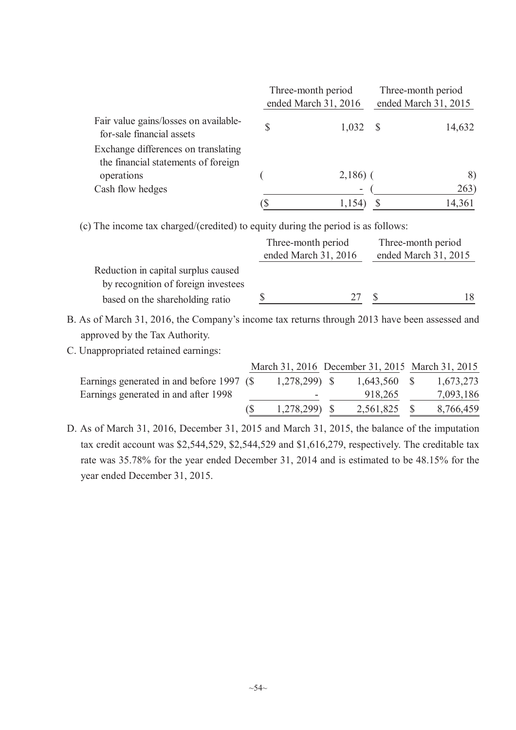|                                                                            | Three-month period<br>ended March 31, 2016 |  | Three-month period<br>ended March 31, 2015 |  |  |
|----------------------------------------------------------------------------|--------------------------------------------|--|--------------------------------------------|--|--|
| Fair value gains/losses on available-<br>for-sale financial assets         | \$<br>1,032                                |  | 14,632                                     |  |  |
| Exchange differences on translating<br>the financial statements of foreign |                                            |  |                                            |  |  |
| operations                                                                 | $2,186$ ) (                                |  | 8)                                         |  |  |
| Cash flow hedges                                                           | ۰                                          |  | 263)                                       |  |  |
|                                                                            |                                            |  | 14,361                                     |  |  |

(c) The income tax charged/(credited) to equity during the period is as follows:

|                                     | Three-month period   | Three-month period |                      |
|-------------------------------------|----------------------|--------------------|----------------------|
|                                     | ended March 31, 2016 |                    | ended March 31, 2015 |
| Reduction in capital surplus caused |                      |                    |                      |
| by recognition of foreign investees |                      |                    |                      |
| based on the shareholding ratio     |                      | דר                 |                      |

- B. As of March 31, 2016, the Company's income tax returns through 2013 have been assessed and approved by the Tax Authority.
- C. Unappropriated retained earnings:

|                                           |                | March 31, 2016 December 31, 2015 March 31, 2015 |           |
|-------------------------------------------|----------------|-------------------------------------------------|-----------|
| Earnings generated in and before 1997 (\$ | $1,278,299$ \$ | $1,643,560$ \$                                  | 1,673,273 |
| Earnings generated in and after 1998      | ۰              | 918,265                                         | 7,093,186 |
|                                           | 1,278,299) \$  | 2,561,825                                       | 8,766,459 |

D. As of March 31, 2016, December 31, 2015 and March 31, 2015, the balance of the imputation tax credit account was \$2,544,529, \$2,544,529 and \$1,616,279, respectively. The creditable tax rate was 35.78% for the year ended December 31, 2014 and is estimated to be 48.15% for the year ended December 31, 2015.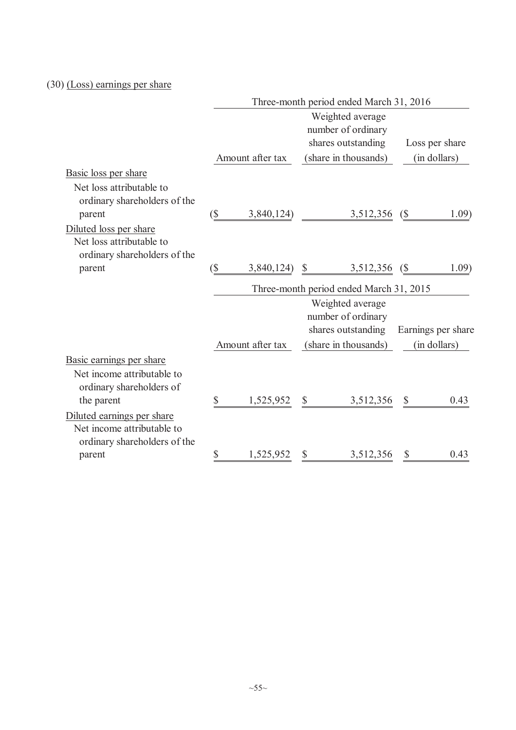## (30) (Loss) earnings per share

|                                                                                          | Three-month period ended March 31, 2016 |                  |                           |                                                              |                           |                    |  |
|------------------------------------------------------------------------------------------|-----------------------------------------|------------------|---------------------------|--------------------------------------------------------------|---------------------------|--------------------|--|
|                                                                                          |                                         |                  |                           | Weighted average<br>number of ordinary                       |                           |                    |  |
|                                                                                          |                                         |                  |                           | shares outstanding                                           |                           | Loss per share     |  |
|                                                                                          |                                         | Amount after tax |                           | (share in thousands)                                         |                           | (in dollars)       |  |
| Basic loss per share                                                                     |                                         |                  |                           |                                                              |                           |                    |  |
| Net loss attributable to<br>ordinary shareholders of the                                 |                                         |                  |                           |                                                              |                           |                    |  |
| parent                                                                                   | $(\$\)$                                 | 3,840,124)       |                           | 3,512,356 (\$)                                               |                           | 1.09)              |  |
| Diluted loss per share<br>Net loss attributable to<br>ordinary shareholders of the       |                                         |                  |                           |                                                              |                           |                    |  |
| parent                                                                                   | $\left(\frac{5}{2}\right)$              | $3,840,124$ \$   |                           | 3,512,356 (\$)                                               |                           | 1.09)              |  |
|                                                                                          |                                         |                  |                           | Three-month period ended March 31, 2015                      |                           |                    |  |
|                                                                                          |                                         |                  |                           | Weighted average<br>number of ordinary<br>shares outstanding |                           | Earnings per share |  |
|                                                                                          |                                         | Amount after tax |                           | (share in thousands)                                         |                           | (in dollars)       |  |
| Basic earnings per share                                                                 |                                         |                  |                           |                                                              |                           |                    |  |
| Net income attributable to<br>ordinary shareholders of                                   |                                         |                  |                           |                                                              |                           |                    |  |
| the parent                                                                               | \$                                      | 1,525,952        | $\mathbb{S}$              | 3,512,356                                                    | $\boldsymbol{\mathsf{S}}$ | 0.43               |  |
| Diluted earnings per share<br>Net income attributable to<br>ordinary shareholders of the |                                         |                  |                           |                                                              |                           |                    |  |
| parent                                                                                   | \$                                      | 1,525,952        | $\boldsymbol{\mathsf{S}}$ | 3,512,356                                                    | \$                        | 0.43               |  |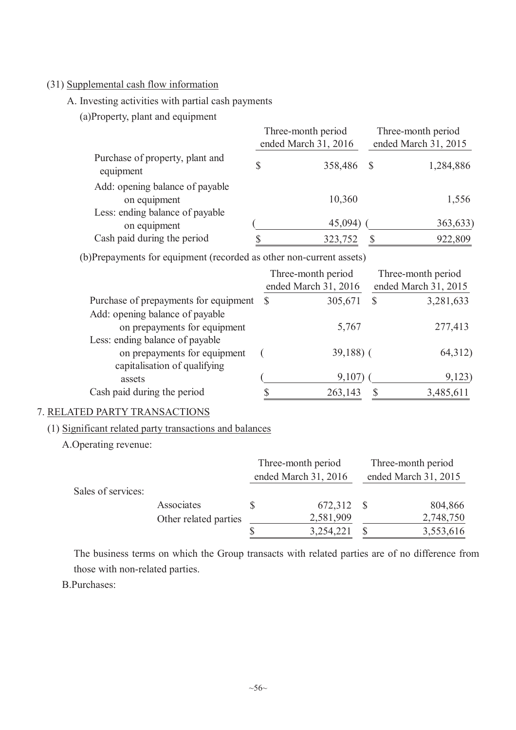## (31) Supplemental cash flow information

A. Investing activities with partial cash payments

(a)Property, plant and equipment

|                                                 | Three-month period<br>ended March 31, 2016 | Three-month period<br>ended March 31, 2015 |           |  |
|-------------------------------------------------|--------------------------------------------|--------------------------------------------|-----------|--|
| Purchase of property, plant and<br>equipment    | 358,486                                    |                                            | 1,284,886 |  |
| Add: opening balance of payable<br>on equipment | 10,360                                     |                                            | 1,556     |  |
| Less: ending balance of payable<br>on equipment | 45,094)                                    |                                            | 363,633)  |  |
| Cash paid during the period                     | 323,752                                    |                                            | 922,809   |  |

(b)Prepayments for equipment (recorded as other non-current assets)

|                                       | Three-month period |                      | Three-month period |                      |  |
|---------------------------------------|--------------------|----------------------|--------------------|----------------------|--|
|                                       |                    | ended March 31, 2016 |                    | ended March 31, 2015 |  |
| Purchase of prepayments for equipment | <sup>S</sup>       | 305,671              | S                  | 3,281,633            |  |
| Add: opening balance of payable       |                    |                      |                    |                      |  |
| on prepayments for equipment          |                    | 5,767                |                    | 277,413              |  |
| Less: ending balance of payable       |                    |                      |                    |                      |  |
| on prepayments for equipment          |                    | $39,188$ ) (         |                    | 64,312)              |  |
| capitalisation of qualifying          |                    |                      |                    |                      |  |
| assets                                |                    | 9,107                |                    | 9,123                |  |
| Cash paid during the period           |                    | 263,143              |                    | 3,485,611            |  |

## 7. RELATED PARTY TRANSACTIONS

### (1) Significant related party transactions and balances

A.Operating revenue:

|                    |                       | Three-month period |                      | Three-month period |                      |  |
|--------------------|-----------------------|--------------------|----------------------|--------------------|----------------------|--|
|                    |                       |                    | ended March 31, 2016 |                    | ended March 31, 2015 |  |
| Sales of services: |                       |                    |                      |                    |                      |  |
|                    | Associates            |                    | 672,312              |                    | 804,866              |  |
|                    | Other related parties |                    | 2,581,909            |                    | 2,748,750            |  |
|                    |                       |                    | 3,254,221            |                    | 3,553,616            |  |

The business terms on which the Group transacts with related parties are of no difference from those with non-related parties.

B.Purchases: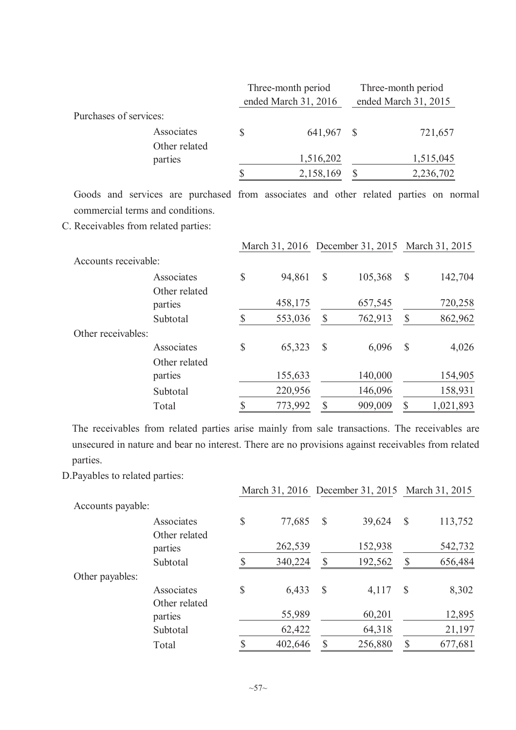|                        | Three-month period<br>ended March 31, 2016 | Three-month period<br>ended March 31, 2015 |           |  |
|------------------------|--------------------------------------------|--------------------------------------------|-----------|--|
| Purchases of services: |                                            |                                            |           |  |
| Associates             | \$<br>641,967                              | - \$                                       | 721,657   |  |
| Other related          |                                            |                                            |           |  |
| parties                | 1,516,202                                  |                                            | 1,515,045 |  |
|                        | \$<br>2,158,169                            |                                            | 2,236,702 |  |

Goods and services are purchased from associates and other related parties on normal commercial terms and conditions.

C. Receivables from related parties:

|                      |                             |               |         |               | March 31, 2016 December 31, 2015 March 31, 2015 |                           |           |
|----------------------|-----------------------------|---------------|---------|---------------|-------------------------------------------------|---------------------------|-----------|
| Accounts receivable: |                             |               |         |               |                                                 |                           |           |
|                      | Associates<br>Other related | \$            | 94,861  | $\mathbb{S}$  | 105,368                                         | $\mathcal{S}$             | 142,704   |
|                      | parties                     |               | 458,175 |               | 657,545                                         |                           | 720,258   |
|                      | Subtotal                    | $\mathbb{S}$  | 553,036 | S             | 762,913                                         | $\boldsymbol{\mathsf{S}}$ | 862,962   |
| Other receivables:   |                             |               |         |               |                                                 |                           |           |
|                      | Associates                  | \$            | 65,323  | $\mathcal{S}$ | 6,096                                           | $\mathcal{S}$             | 4,026     |
|                      | Other related               |               |         |               |                                                 |                           |           |
|                      | parties                     |               | 155,633 |               | 140,000                                         |                           | 154,905   |
|                      | Subtotal                    |               | 220,956 |               | 146,096                                         |                           | 158,931   |
|                      | Total                       | $\mathcal{S}$ | 773,992 | $\mathcal{S}$ | 909,009                                         | $\mathbb{S}$              | 1,021,893 |

The receivables from related parties arise mainly from sale transactions. The receivables are unsecured in nature and bear no interest. There are no provisions against receivables from related parties.

D.Payables to related parties:

|                   |                             |               |         |               | March 31, 2016 December 31, 2015 March 31, 2015 |               |         |
|-------------------|-----------------------------|---------------|---------|---------------|-------------------------------------------------|---------------|---------|
| Accounts payable: |                             |               |         |               |                                                 |               |         |
|                   | Associates<br>Other related | $\mathcal{S}$ | 77,685  | $\mathcal{S}$ | 39,624                                          | $\mathcal{S}$ | 113,752 |
|                   | parties                     |               | 262,539 |               | 152,938                                         |               | 542,732 |
|                   | Subtotal                    |               | 340,224 | \$            | 192,562                                         | $\mathbb{S}$  | 656,484 |
| Other payables:   |                             |               |         |               |                                                 |               |         |
|                   | Associates<br>Other related | $\mathbb{S}$  | 6,433   | $\mathcal{S}$ | 4,117                                           | $\mathcal{S}$ | 8,302   |
|                   | parties                     |               | 55,989  |               | 60,201                                          |               | 12,895  |
|                   | Subtotal                    |               | 62,422  |               | 64,318                                          |               | 21,197  |
|                   | Total                       | \$            | 402,646 |               | 256,880                                         | \$            | 677,681 |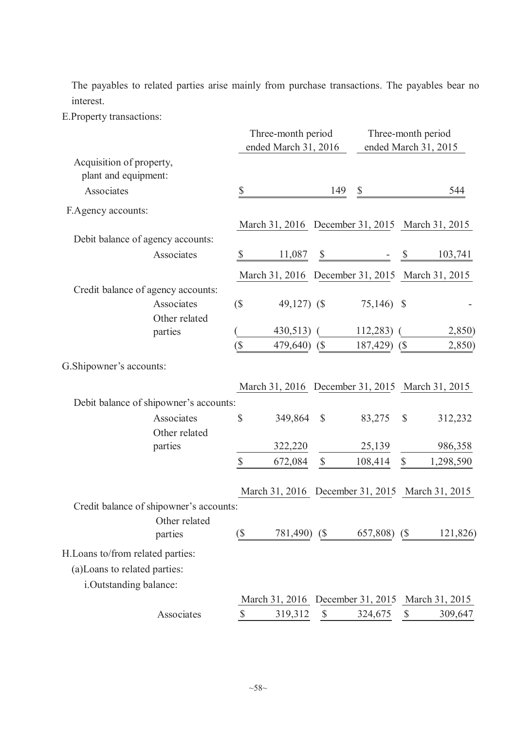The payables to related parties arise mainly from purchase transactions. The payables bear no interest.

E.Property transactions:

|                                                  |                                         | Three-month period<br>ended March 31, 2016 |                                                 |                            | Three-month period<br>ended March 31, 2015 |                             |                |
|--------------------------------------------------|-----------------------------------------|--------------------------------------------|-------------------------------------------------|----------------------------|--------------------------------------------|-----------------------------|----------------|
| Acquisition of property,<br>plant and equipment: |                                         |                                            |                                                 |                            |                                            |                             |                |
| Associates                                       |                                         | \$                                         |                                                 | 149                        | \$                                         |                             | 544            |
| F.Agency accounts:                               |                                         |                                            |                                                 |                            |                                            |                             |                |
|                                                  |                                         |                                            | March 31, 2016 December 31, 2015 March 31, 2015 |                            |                                            |                             |                |
| Debit balance of agency accounts:                |                                         |                                            |                                                 |                            |                                            |                             |                |
|                                                  | Associates                              | $\mathcal{S}$                              | 11,087                                          |                            | $s \qquad - \qquad s$                      |                             | 103,741        |
|                                                  |                                         |                                            | March 31, 2016 December 31, 2015 March 31, 2015 |                            |                                            |                             |                |
| Credit balance of agency accounts:               |                                         |                                            |                                                 |                            |                                            |                             |                |
|                                                  | Associates                              | $(\$\)$                                    | 49,127) $(S$                                    |                            | 75,146) \$                                 |                             |                |
|                                                  | Other related                           |                                            |                                                 |                            |                                            |                             |                |
|                                                  | parties                                 |                                            | $430,513$ (                                     |                            | 112,283                                    |                             | 2,850)         |
|                                                  |                                         | $(\$\)$                                    | 479,640) (\$                                    |                            | 187,429) (\$                               |                             | 2,850)         |
| G. Shipowner's accounts:                         |                                         |                                            |                                                 |                            |                                            |                             |                |
|                                                  |                                         |                                            | March 31, 2016 December 31, 2015 March 31, 2015 |                            |                                            |                             |                |
|                                                  | Debit balance of shipowner's accounts:  |                                            |                                                 |                            |                                            |                             |                |
|                                                  | Associates                              | $\mathbb{S}$                               | 349,864                                         | $\mathcal{S}$              | 83,275                                     | $\mathcal{S}$               | 312,232        |
|                                                  | Other related                           |                                            |                                                 |                            |                                            |                             |                |
|                                                  | parties                                 |                                            | 322,220                                         |                            | 25,139                                     |                             | 986,358        |
|                                                  |                                         | $\mathbb{S}$                               | 672,084                                         | $\mathcal{S}$              | 108,414                                    | $\mathbb{S}$                | 1,298,590      |
|                                                  |                                         |                                            | March 31, 2016 December 31, 2015 March 31, 2015 |                            |                                            |                             |                |
|                                                  | Credit balance of shipowner's accounts: |                                            |                                                 |                            |                                            |                             |                |
|                                                  | Other related                           |                                            |                                                 |                            |                                            |                             |                |
|                                                  | parties                                 | (\$                                        | 781,490)                                        | $\left( \text{\$} \right)$ | 657,808)                                   | $\left( \mathcal{S}\right)$ | 121,826)       |
| H. Loans to/from related parties:                |                                         |                                            |                                                 |                            |                                            |                             |                |
| (a) Loans to related parties:                    |                                         |                                            |                                                 |                            |                                            |                             |                |
| i.Outstanding balance:                           |                                         |                                            |                                                 |                            |                                            |                             |                |
|                                                  |                                         |                                            | March 31, 2016 December 31, 2015                |                            |                                            |                             | March 31, 2015 |
|                                                  | Associates                              | $\boldsymbol{\mathsf{S}}$                  | 319,312                                         | $\boldsymbol{\mathcal{S}}$ | 324,675                                    | $\boldsymbol{\mathsf{S}}$   | 309,647        |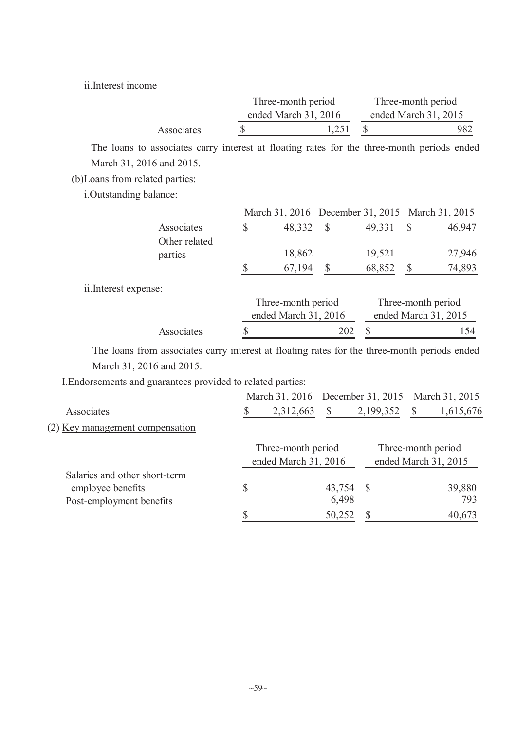ii.Interest income

|            | Three-month period     | Three-month period     |
|------------|------------------------|------------------------|
|            | ended March $31, 2016$ | ended March $31, 2015$ |
| Associates | 1,251                  | 982                    |

The loans to associates carry interest at floating rates for the three-month periods ended March 31, 2016 and 2015.

(b)Loans from related parties:

i.Outstanding balance:

|                      |                          | March 31, 2016 December 31, 2015 March 31, 2015 |               |        |               |                      |
|----------------------|--------------------------|-------------------------------------------------|---------------|--------|---------------|----------------------|
|                      | Associates               | \$<br>48,332                                    | $\mathcal{S}$ | 49,331 | $\mathcal{S}$ | 46,947               |
|                      | Other related<br>parties | 18,862                                          |               | 19,521 |               | 27,946               |
|                      |                          | 67,194                                          |               | 68,852 |               | 74,893               |
| ii.Interest expense: |                          |                                                 |               |        |               |                      |
|                      |                          | Three-month period                              |               |        |               | Three-month period   |
|                      |                          | ended March 31, 2016                            |               |        |               | ended March 31, 2015 |
|                      | Associates               | \$                                              | 202           |        |               | 154                  |

The loans from associates carry interest at floating rates for the three-month periods ended March 31, 2016 and 2015.

I.Endorsements and guarantees provided to related parties:

|                                 | March 31, 2016       |        | December 31, 2015 | March 31, 2015       |
|---------------------------------|----------------------|--------|-------------------|----------------------|
| Associates                      | 2,312,663            | \$     | 2,199,352         | 1,615,676            |
| (2) Key management compensation |                      |        |                   |                      |
|                                 | Three-month period   |        |                   | Three-month period   |
|                                 | ended March 31, 2016 |        |                   | ended March 31, 2015 |
| Salaries and other short-term   |                      |        |                   |                      |
| employee benefits               | \$                   | 43,754 | -S                | 39,880               |
| Post-employment benefits        |                      | 6,498  |                   | 793                  |
|                                 |                      | 50,252 |                   | 40,673               |
|                                 |                      |        |                   |                      |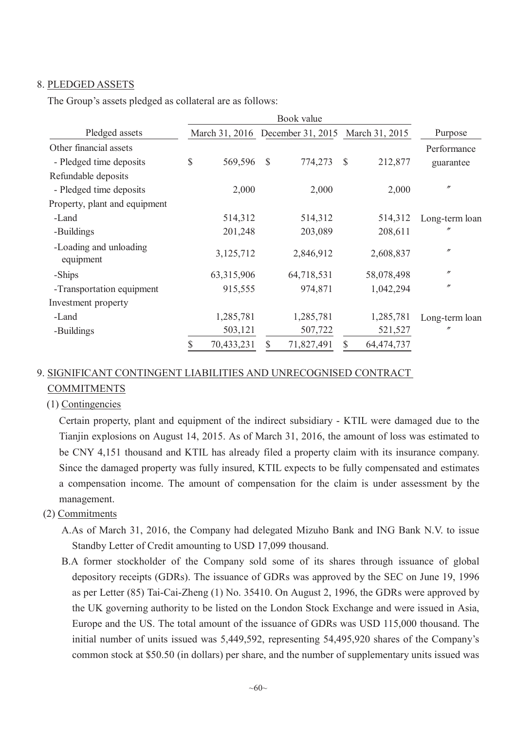### 8. PLEDGED ASSETS

The Group's assets pledged as collateral are as follows:

|                                     | Book value |              |               |            |                                                 |            |                   |  |
|-------------------------------------|------------|--------------|---------------|------------|-------------------------------------------------|------------|-------------------|--|
| Pledged assets                      |            |              |               |            | March 31, 2016 December 31, 2015 March 31, 2015 |            | Purpose           |  |
| Other financial assets              |            |              |               |            |                                                 |            | Performance       |  |
| - Pledged time deposits             | \$         | 569,596      | $\mathcal{S}$ | 774,273    | $\mathbb{S}$                                    | 212,877    | guarantee         |  |
| Refundable deposits                 |            |              |               |            |                                                 |            |                   |  |
| - Pledged time deposits             |            | 2,000        |               | 2,000      |                                                 | 2,000      | $^{\prime\prime}$ |  |
| Property, plant and equipment       |            |              |               |            |                                                 |            |                   |  |
| -Land                               |            | 514,312      |               | 514,312    |                                                 | 514,312    | Long-term loan    |  |
| -Buildings                          |            | 201,248      |               | 203,089    |                                                 | 208,611    | $\prime\prime$    |  |
| -Loading and unloading<br>equipment |            | 3,125,712    |               | 2,846,912  |                                                 | 2,608,837  | $^{\prime\prime}$ |  |
| -Ships                              |            | 63, 315, 906 |               | 64,718,531 |                                                 | 58,078,498 | $^{\prime\prime}$ |  |
| -Transportation equipment           |            | 915,555      |               | 974,871    |                                                 | 1,042,294  | $^{\prime\prime}$ |  |
| Investment property                 |            |              |               |            |                                                 |            |                   |  |
| -Land                               |            | 1,285,781    |               | 1,285,781  |                                                 | 1,285,781  | Long-term loan    |  |
| -Buildings                          |            | 503,121      |               | 507,722    |                                                 | 521,527    | n                 |  |
|                                     | \$         | 70,433,231   | \$            | 71,827,491 |                                                 | 64,474,737 |                   |  |

## 9. SIGNIFICANT CONTINGENT LIABILITIES AND UNRECOGNISED CONTRACT COMMITMENTS

(1) Contingencies

Certain property, plant and equipment of the indirect subsidiary - KTIL were damaged due to the Tianjin explosions on August 14, 2015. As of March 31, 2016, the amount of loss was estimated to be CNY 4,151 thousand and KTIL has already filed a property claim with its insurance company. Since the damaged property was fully insured, KTIL expects to be fully compensated and estimates a compensation income. The amount of compensation for the claim is under assessment by the management.

- (2) Commitments
	- A.As of March 31, 2016, the Company had delegated Mizuho Bank and ING Bank N.V. to issue Standby Letter of Credit amounting to USD 17,099 thousand.
	- B.A former stockholder of the Company sold some of its shares through issuance of global depository receipts (GDRs). The issuance of GDRs was approved by the SEC on June 19, 1996 as per Letter (85) Tai-Cai-Zheng (1) No. 35410. On August 2, 1996, the GDRs were approved by the UK governing authority to be listed on the London Stock Exchange and were issued in Asia, Europe and the US. The total amount of the issuance of GDRs was USD 115,000 thousand. The initial number of units issued was 5,449,592, representing 54,495,920 shares of the Company's common stock at \$50.50 (in dollars) per share, and the number of supplementary units issued was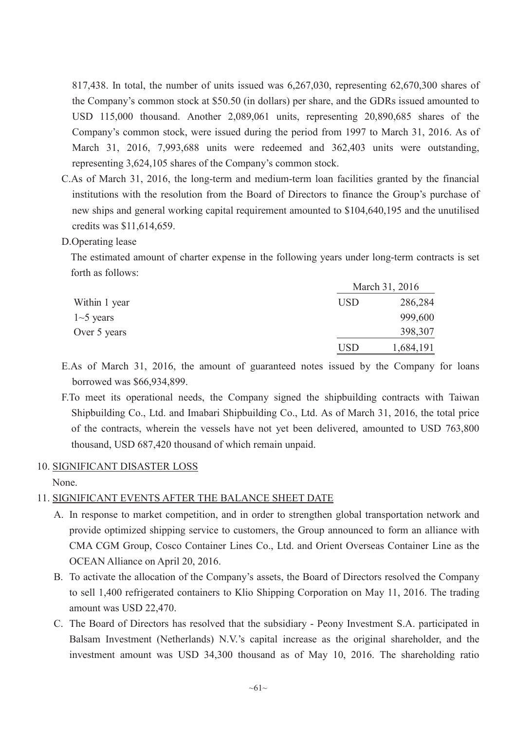817,438. In total, the number of units issued was 6,267,030, representing 62,670,300 shares of the Company's common stock at \$50.50 (in dollars) per share, and the GDRs issued amounted to USD 115,000 thousand. Another 2,089,061 units, representing 20,890,685 shares of the Company's common stock, were issued during the period from 1997 to March 31, 2016. As of March 31, 2016, 7,993,688 units were redeemed and 362,403 units were outstanding, representing 3,624,105 shares of the Company's common stock.

C.As of March 31, 2016, the long-term and medium-term loan facilities granted by the financial institutions with the resolution from the Board of Directors to finance the Group's purchase of new ships and general working capital requirement amounted to \$104,640,195 and the unutilised credits was \$11,614,659.

### D.Operating lease

The estimated amount of charter expense in the following years under long-term contracts is set forth as follows:

 $\frac{1}{2}$   $\frac{1}{2}$   $\frac{21}{201}$   $\frac{201}{201}$ 

|               |            | March 31, 2016 |
|---------------|------------|----------------|
| Within 1 year | <b>USD</b> | 286,284        |
| $1-5$ years   |            | 999,600        |
| Over 5 years  |            | 398,307        |
|               | <b>USD</b> | 1,684,191      |

- E.As of March 31, 2016, the amount of guaranteed notes issued by the Company for loans borrowed was \$66,934,899.
- F.To meet its operational needs, the Company signed the shipbuilding contracts with Taiwan Shipbuilding Co., Ltd. and Imabari Shipbuilding Co., Ltd. As of March 31, 2016, the total price of the contracts, wherein the vessels have not yet been delivered, amounted to USD 763,800 thousand, USD 687,420 thousand of which remain unpaid.

### 10. SIGNIFICANT DISASTER LOSS

None.

### 11. SIGNIFICANT EVENTS AFTER THE BALANCE SHEET DATE

- A. In response to market competition, and in order to strengthen global transportation network and provide optimized shipping service to customers, the Group announced to form an alliance with CMA CGM Group, Cosco Container Lines Co., Ltd. and Orient Overseas Container Line as the OCEAN Alliance on April 20, 2016.
- B. To activate the allocation of the Company's assets, the Board of Directors resolved the Company to sell 1,400 refrigerated containers to Klio Shipping Corporation on May 11, 2016. The trading amount was USD 22,470.
- C. The Board of Directors has resolved that the subsidiary Peony Investment S.A. participated in Balsam Investment (Netherlands) N.V.'s capital increase as the original shareholder, and the investment amount was USD 34,300 thousand as of May 10, 2016. The shareholding ratio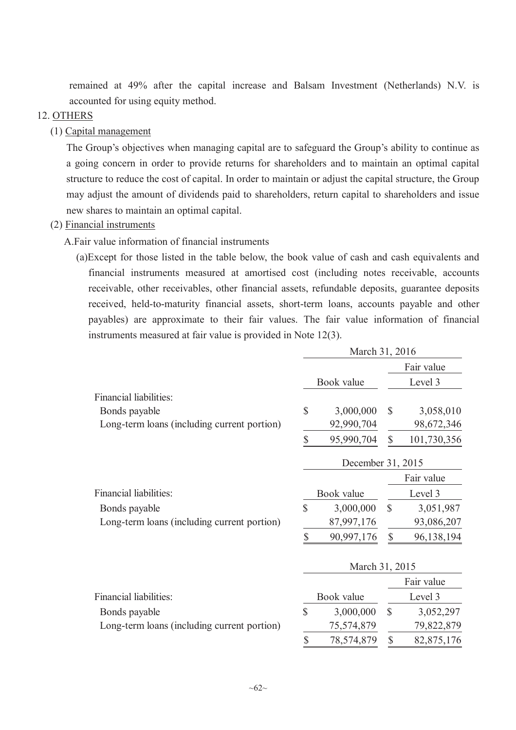remained at 49% after the capital increase and Balsam Investment (Netherlands) N.V. is accounted for using equity method.

### 12. OTHERS

(1) Capital management

The Group's objectives when managing capital are to safeguard the Group's ability to continue as a going concern in order to provide returns for shareholders and to maintain an optimal capital structure to reduce the cost of capital. In order to maintain or adjust the capital structure, the Group may adjust the amount of dividends paid to shareholders, return capital to shareholders and issue new shares to maintain an optimal capital.

### (2) Financial instruments

A.Fair value information of financial instruments

(a)Except for those listed in the table below, the book value of cash and cash equivalents and financial instruments measured at amortised cost (including notes receivable, accounts receivable, other receivables, other financial assets, refundable deposits, guarantee deposits received, held-to-maturity financial assets, short-term loans, accounts payable and other payables) are approximate to their fair values. The fair value information of financial instruments measured at fair value is provided in Note 12(3).

|                                             |               | March 31, 2016    |                           |             |
|---------------------------------------------|---------------|-------------------|---------------------------|-------------|
|                                             |               |                   |                           | Fair value  |
|                                             |               | Book value        |                           | Level 3     |
| Financial liabilities:                      |               |                   |                           |             |
| Bonds payable                               | $\mathsf S$   | 3,000,000         | $\mathcal{S}$             | 3,058,010   |
| Long-term loans (including current portion) |               | 92,990,704        |                           | 98,672,346  |
|                                             | $\mathsf S$   | 95,990,704        | $\mathbb{S}$              | 101,730,356 |
|                                             |               | December 31, 2015 |                           |             |
|                                             |               |                   |                           | Fair value  |
| Financial liabilities:                      |               | Book value        |                           | Level 3     |
| Bonds payable                               | $\mathbf S$   | 3,000,000         | $\mathcal{S}$             | 3,051,987   |
| Long-term loans (including current portion) |               | 87,997,176        |                           | 93,086,207  |
|                                             | \$            | 90,997,176        | $\boldsymbol{\mathsf{S}}$ | 96,138,194  |
|                                             |               | March 31, 2015    |                           |             |
|                                             |               |                   |                           | Fair value  |
| Financial liabilities:                      |               | Book value        |                           | Level 3     |
| Bonds payable                               | $\mathsf{\$}$ | 3,000,000         | $\mathbb{S}$              | 3,052,297   |
| Long-term loans (including current portion) |               | 75,574,879        |                           | 79,822,879  |
|                                             | \$            | 78,574,879        | \$                        | 82,875,176  |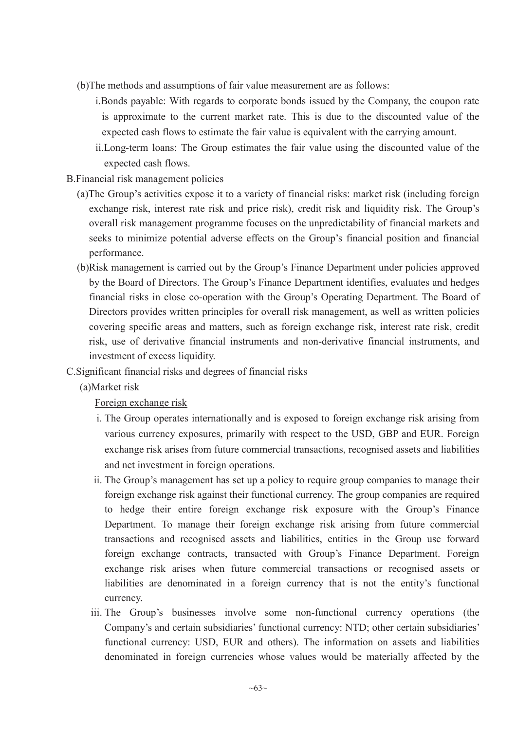- (b)The methods and assumptions of fair value measurement are as follows:
	- i.Bonds payable: With regards to corporate bonds issued by the Company, the coupon rate is approximate to the current market rate. This is due to the discounted value of the expected cash flows to estimate the fair value is equivalent with the carrying amount.
	- ii.Long-term loans: The Group estimates the fair value using the discounted value of the expected cash flows.
- B.Financial risk management policies
	- (a)The Group's activities expose it to a variety of financial risks: market risk (including foreign exchange risk, interest rate risk and price risk), credit risk and liquidity risk. The Group's overall risk management programme focuses on the unpredictability of financial markets and seeks to minimize potential adverse effects on the Group's financial position and financial performance.
	- (b)Risk management is carried out by the Group's Finance Department under policies approved by the Board of Directors. The Group's Finance Department identifies, evaluates and hedges financial risks in close co-operation with the Group's Operating Department. The Board of Directors provides written principles for overall risk management, as well as written policies covering specific areas and matters, such as foreign exchange risk, interest rate risk, credit risk, use of derivative financial instruments and non-derivative financial instruments, and investment of excess liquidity.
- C.Significant financial risks and degrees of financial risks
	- (a)Market risk

Foreign exchange risk

- i. The Group operates internationally and is exposed to foreign exchange risk arising from various currency exposures, primarily with respect to the USD, GBP and EUR. Foreign exchange risk arises from future commercial transactions, recognised assets and liabilities and net investment in foreign operations.
- ii. The Group's management has set up a policy to require group companies to manage their foreign exchange risk against their functional currency. The group companies are required to hedge their entire foreign exchange risk exposure with the Group's Finance Department. To manage their foreign exchange risk arising from future commercial transactions and recognised assets and liabilities, entities in the Group use forward foreign exchange contracts, transacted with Group's Finance Department. Foreign exchange risk arises when future commercial transactions or recognised assets or liabilities are denominated in a foreign currency that is not the entity's functional currency.
- iii. The Group's businesses involve some non-functional currency operations (the Company's and certain subsidiaries' functional currency: NTD; other certain subsidiaries' functional currency: USD, EUR and others). The information on assets and liabilities denominated in foreign currencies whose values would be materially affected by the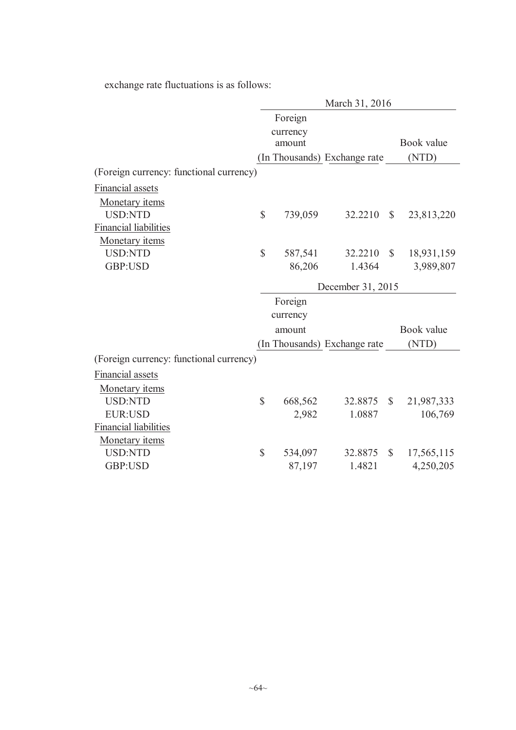exchange rate fluctuations is as follows:

|                                         | March 31, 2016    |          |                              |              |            |  |  |  |
|-----------------------------------------|-------------------|----------|------------------------------|--------------|------------|--|--|--|
|                                         |                   | Foreign  |                              |              |            |  |  |  |
|                                         | currency          |          |                              |              |            |  |  |  |
|                                         |                   | amount   |                              |              | Book value |  |  |  |
|                                         |                   |          | (In Thousands) Exchange rate |              | (NTD)      |  |  |  |
| (Foreign currency: functional currency) |                   |          |                              |              |            |  |  |  |
| <b>Financial assets</b>                 |                   |          |                              |              |            |  |  |  |
| Monetary items                          |                   |          |                              |              |            |  |  |  |
| <b>USD:NTD</b>                          | $\mathbb{S}$      | 739,059  | 32.2210                      | $\mathbb{S}$ | 23,813,220 |  |  |  |
| <b>Financial liabilities</b>            |                   |          |                              |              |            |  |  |  |
| Monetary items                          |                   |          |                              |              |            |  |  |  |
| <b>USD:NTD</b>                          | $\mathbb{S}$      | 587,541  | 32.2210                      | $\mathbb{S}$ | 18,931,159 |  |  |  |
| GBP:USD                                 |                   | 86,206   | 1.4364                       |              | 3,989,807  |  |  |  |
|                                         | December 31, 2015 |          |                              |              |            |  |  |  |
|                                         |                   | Foreign  |                              |              |            |  |  |  |
|                                         |                   | currency |                              |              |            |  |  |  |
|                                         |                   | amount   |                              |              | Book value |  |  |  |
|                                         |                   |          | (In Thousands) Exchange rate |              | (NTD)      |  |  |  |
| (Foreign currency: functional currency) |                   |          |                              |              |            |  |  |  |
| Financial assets                        |                   |          |                              |              |            |  |  |  |
| Monetary <i>items</i>                   |                   |          |                              |              |            |  |  |  |
| <b>USD:NTD</b>                          | $\mathbf S$       | 668,562  | 32.8875                      | $\mathbb{S}$ | 21,987,333 |  |  |  |
| <b>EUR:USD</b>                          |                   | 2,982    | 1.0887                       |              | 106,769    |  |  |  |
| <b>Financial liabilities</b>            |                   |          |                              |              |            |  |  |  |
| Monetary items                          |                   |          |                              |              |            |  |  |  |
| <b>USD:NTD</b>                          | $\mathbb{S}$      | 534,097  | 32.8875                      | $\mathbb{S}$ | 17,565,115 |  |  |  |
| GBP:USD                                 |                   | 87,197   | 1.4821                       |              | 4,250,205  |  |  |  |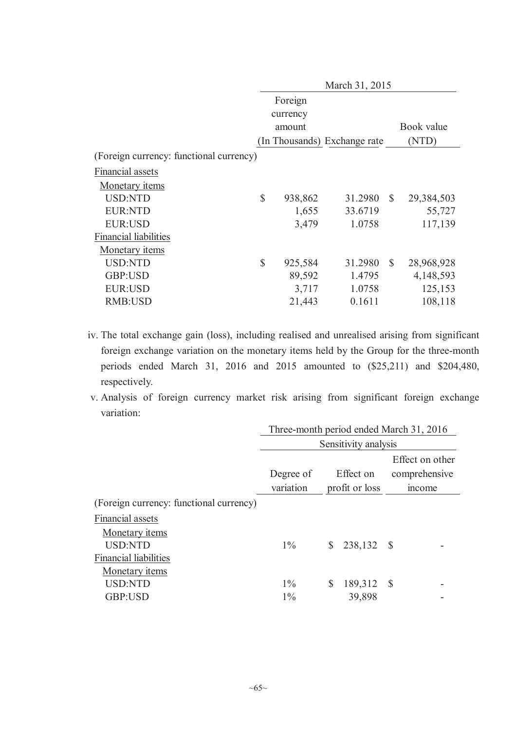|                                         | March 31, 2015 |         |                              |               |            |  |  |  |  |  |
|-----------------------------------------|----------------|---------|------------------------------|---------------|------------|--|--|--|--|--|
|                                         |                | Foreign |                              |               |            |  |  |  |  |  |
|                                         | currency       |         |                              |               |            |  |  |  |  |  |
|                                         |                | amount  |                              |               | Book value |  |  |  |  |  |
|                                         |                |         | (In Thousands) Exchange rate |               | (NTD)      |  |  |  |  |  |
| (Foreign currency: functional currency) |                |         |                              |               |            |  |  |  |  |  |
| Financial assets                        |                |         |                              |               |            |  |  |  |  |  |
| Monetary <i>items</i>                   |                |         |                              |               |            |  |  |  |  |  |
| <b>USD:NTD</b>                          | $\mathbb{S}$   | 938,862 | 31.2980                      | $\mathcal{S}$ | 29,384,503 |  |  |  |  |  |
| <b>EUR:NTD</b>                          |                | 1,655   | 33.6719                      |               | 55,727     |  |  |  |  |  |
| <b>EUR:USD</b>                          |                | 3,479   | 1.0758                       |               | 117,139    |  |  |  |  |  |
| <b>Financial liabilities</b>            |                |         |                              |               |            |  |  |  |  |  |
| Monetary <i>items</i>                   |                |         |                              |               |            |  |  |  |  |  |
| <b>USD:NTD</b>                          | $\mathbb{S}$   | 925,584 | 31.2980                      | $\mathbb{S}$  | 28,968,928 |  |  |  |  |  |
| GBP:USD                                 |                | 89,592  | 1.4795                       |               | 4,148,593  |  |  |  |  |  |
| <b>EUR:USD</b>                          |                | 3,717   | 1.0758                       |               | 125,153    |  |  |  |  |  |
| <b>RMB:USD</b>                          |                | 21,443  | 0.1611                       |               | 108,118    |  |  |  |  |  |

- iv. The total exchange gain (loss), including realised and unrealised arising from significant foreign exchange variation on the monetary items held by the Group for the three-month periods ended March 31, 2016 and 2015 amounted to (\$25,211) and \$204,480, respectively.
- v. Analysis of foreign currency market risk arising from significant foreign exchange variation:

|                                         | Three-month period ended March 31, 2016 |                |               |  |  |  |  |  |
|-----------------------------------------|-----------------------------------------|----------------|---------------|--|--|--|--|--|
|                                         | Sensitivity analysis                    |                |               |  |  |  |  |  |
|                                         | Effect on other                         |                |               |  |  |  |  |  |
|                                         | Degree of                               | Effect on      | comprehensive |  |  |  |  |  |
|                                         | variation                               | profit or loss | mcome         |  |  |  |  |  |
| (Foreign currency: functional currency) |                                         |                |               |  |  |  |  |  |
| Financial assets                        |                                         |                |               |  |  |  |  |  |
| Monetary <i>items</i>                   |                                         |                |               |  |  |  |  |  |
| <b>USD:NTD</b>                          | $1\%$                                   | 238,132<br>S   | <b>S</b>      |  |  |  |  |  |
| <b>Financial liabilities</b>            |                                         |                |               |  |  |  |  |  |
| Monetary <i>items</i>                   |                                         |                |               |  |  |  |  |  |
| <b>USD:NTD</b>                          | $1\%$                                   | 189,312<br>S   | - \$          |  |  |  |  |  |
| GBP:USD                                 | $1\%$                                   | 39,898         |               |  |  |  |  |  |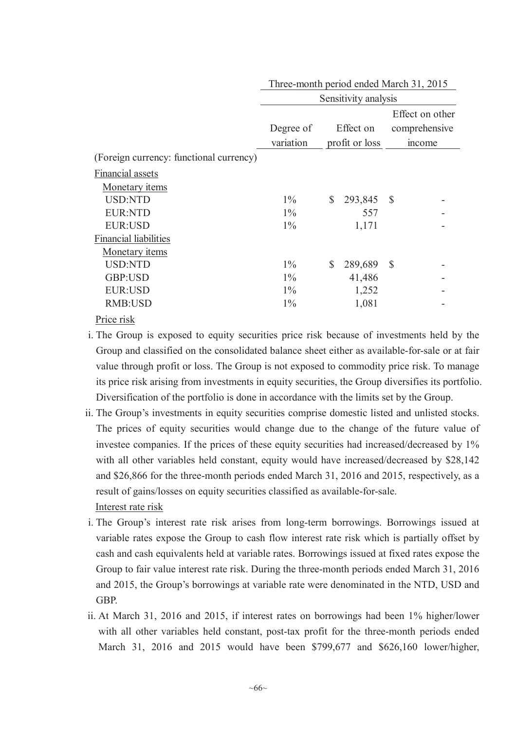|                                         | THE C-HORITH PCHOU CHUCU PHATCH JT, 2015 |                            |                 |  |  |  |
|-----------------------------------------|------------------------------------------|----------------------------|-----------------|--|--|--|
|                                         | Sensitivity analysis                     |                            |                 |  |  |  |
|                                         |                                          |                            | Effect on other |  |  |  |
|                                         | Degree of                                | Effect on                  | comprehensive   |  |  |  |
|                                         | variation                                | profit or loss             | income          |  |  |  |
| (Foreign currency: functional currency) |                                          |                            |                 |  |  |  |
| Financial assets                        |                                          |                            |                 |  |  |  |
| Monetary <i>items</i>                   |                                          |                            |                 |  |  |  |
| <b>USD:NTD</b>                          | $1\%$                                    | 293,845 \$<br>$\mathbb{S}$ |                 |  |  |  |
| <b>EUR:NTD</b>                          | $1\%$                                    | 557                        |                 |  |  |  |
| <b>EUR:USD</b>                          | $1\%$                                    | 1,171                      |                 |  |  |  |
| <b>Financial liabilities</b>            |                                          |                            |                 |  |  |  |
| Monetary <i>items</i>                   |                                          |                            |                 |  |  |  |
| <b>USD:NTD</b>                          | $1\%$                                    | 289,689 \$<br>\$           |                 |  |  |  |
| GBP:USD                                 | $1\%$                                    | 41,486                     |                 |  |  |  |
| EUR:USD                                 | $1\%$                                    | 1,252                      |                 |  |  |  |
| RMB:USD                                 | $1\%$                                    | 1,081                      |                 |  |  |  |
| n : 1                                   |                                          |                            |                 |  |  |  |

Three-month period ended March 31, 2015

- Price risk
- i. The Group is exposed to equity securities price risk because of investments held by the Group and classified on the consolidated balance sheet either as available-for-sale or at fair value through profit or loss. The Group is not exposed to commodity price risk. To manage its price risk arising from investments in equity securities, the Group diversifies its portfolio. Diversification of the portfolio is done in accordance with the limits set by the Group.
- ii. The Group's investments in equity securities comprise domestic listed and unlisted stocks. The prices of equity securities would change due to the change of the future value of investee companies. If the prices of these equity securities had increased/decreased by 1% with all other variables held constant, equity would have increased/decreased by \$28,142 and \$26,866 for the three-month periods ended March 31, 2016 and 2015, respectively, as a result of gains/losses on equity securities classified as available-for-sale. Interest rate risk
- i. The Group's interest rate risk arises from long-term borrowings. Borrowings issued at variable rates expose the Group to cash flow interest rate risk which is partially offset by cash and cash equivalents held at variable rates. Borrowings issued at fixed rates expose the Group to fair value interest rate risk. During the three-month periods ended March 31, 2016 and 2015, the Group's borrowings at variable rate were denominated in the NTD, USD and GBP.
- ii. At March 31, 2016 and 2015, if interest rates on borrowings had been 1% higher/lower with all other variables held constant, post-tax profit for the three-month periods ended March 31, 2016 and 2015 would have been \$799,677 and \$626,160 lower/higher,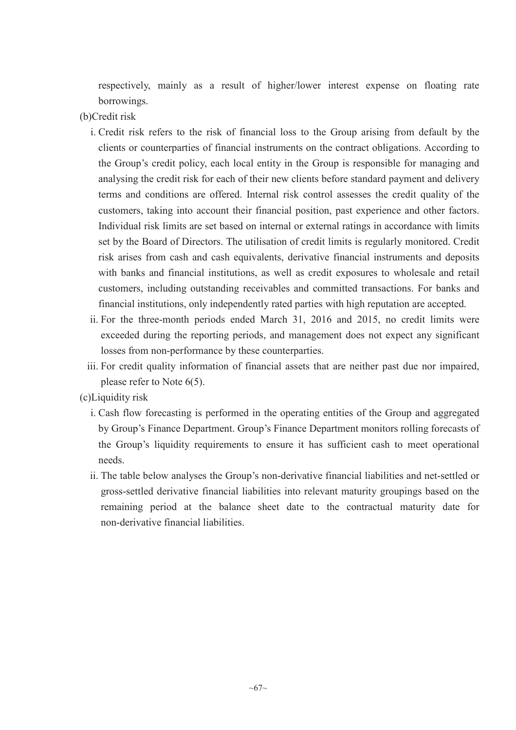respectively, mainly as a result of higher/lower interest expense on floating rate borrowings.

- (b)Credit risk
	- i. Credit risk refers to the risk of financial loss to the Group arising from default by the clients or counterparties of financial instruments on the contract obligations. According to the Group's credit policy, each local entity in the Group is responsible for managing and analysing the credit risk for each of their new clients before standard payment and delivery terms and conditions are offered. Internal risk control assesses the credit quality of the customers, taking into account their financial position, past experience and other factors. Individual risk limits are set based on internal or external ratings in accordance with limits set by the Board of Directors. The utilisation of credit limits is regularly monitored. Credit risk arises from cash and cash equivalents, derivative financial instruments and deposits with banks and financial institutions, as well as credit exposures to wholesale and retail customers, including outstanding receivables and committed transactions. For banks and financial institutions, only independently rated parties with high reputation are accepted.
	- ii. For the three-month periods ended March 31, 2016 and 2015, no credit limits were exceeded during the reporting periods, and management does not expect any significant losses from non-performance by these counterparties.
	- iii. For credit quality information of financial assets that are neither past due nor impaired, please refer to Note 6(5).
- (c)Liquidity risk
	- i. Cash flow forecasting is performed in the operating entities of the Group and aggregated by Group's Finance Department. Group's Finance Department monitors rolling forecasts of the Group's liquidity requirements to ensure it has sufficient cash to meet operational needs.
	- ii. The table below analyses the Group's non-derivative financial liabilities and net-settled or gross-settled derivative financial liabilities into relevant maturity groupings based on the remaining period at the balance sheet date to the contractual maturity date for non-derivative financial liabilities.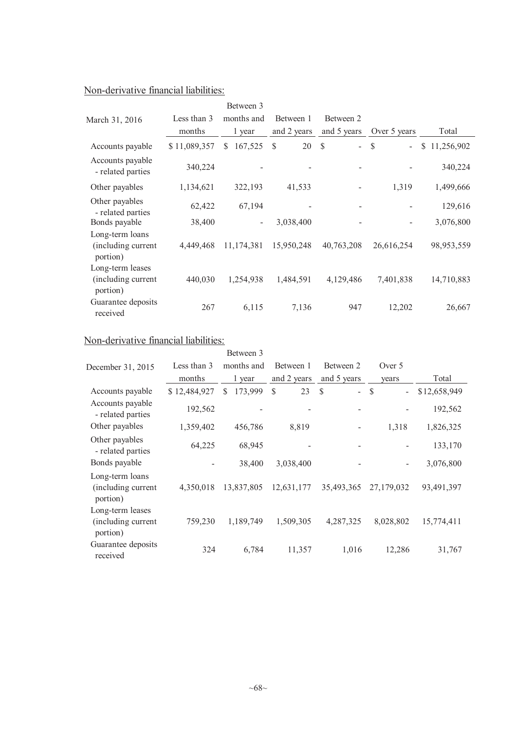## Non-derivative financial liabilities:

|                                                    |              | Between 3                |             |                                           |                                           |                  |
|----------------------------------------------------|--------------|--------------------------|-------------|-------------------------------------------|-------------------------------------------|------------------|
| March 31, 2016                                     | Less than 3  | months and               | Between 1   | Between 2                                 |                                           |                  |
|                                                    | months       | 1 year                   | and 2 years | and 5 years                               | Over 5 years                              | Total            |
| Accounts payable                                   | \$11,089,357 | 167,525<br><sup>\$</sup> | 20<br>S     | $\mathcal{S}$<br>$\overline{\phantom{a}}$ | <sup>\$</sup><br>$\overline{\phantom{a}}$ | 11,256,902<br>\$ |
| Accounts payable<br>- related parties              | 340,224      |                          |             |                                           |                                           | 340,224          |
| Other payables                                     | 1,134,621    | 322,193                  | 41,533      | $\overline{\phantom{a}}$                  | 1,319                                     | 1,499,666        |
| Other payables<br>- related parties                | 62,422       | 67,194                   |             |                                           |                                           | 129,616          |
| Bonds payable                                      | 38,400       | $\overline{\phantom{0}}$ | 3,038,400   |                                           |                                           | 3,076,800        |
| Long-term loans<br>(including current<br>portion)  | 4,449,468    | 11,174,381               | 15,950,248  | 40,763,208                                | 26,616,254                                | 98,953,559       |
| Long-term leases<br>(including current<br>portion) | 440,030      | 1,254,938                | 1,484,591   | 4,129,486                                 | 7,401,838                                 | 14,710,883       |
| Guarantee deposits<br>received                     | 267          | 6,115                    | 7,136       | 947                                       | 12,202                                    | 26,667           |

## Non-derivative financial liabilities:

|                                                     |              | Between 3     |             |             |                                |              |
|-----------------------------------------------------|--------------|---------------|-------------|-------------|--------------------------------|--------------|
| December 31, 2015                                   | Less than 3  | months and    | Between 1   | Between 2   | Over 5                         |              |
|                                                     | months       | 1 year        | and 2 years | and 5 years | vears                          | Total        |
| Accounts payable                                    | \$12,484,927 | 173,999<br>\$ | \$<br>23    | \$<br>-     | \$<br>$\overline{\phantom{0}}$ | \$12,658,949 |
| Accounts payable<br>- related parties               | 192,562      |               |             |             |                                | 192,562      |
| Other payables                                      | 1,359,402    | 456,786       | 8,819       |             | 1,318                          | 1,826,325    |
| Other payables<br>- related parties                 | 64,225       | 68,945        |             |             |                                | 133,170      |
| Bonds payable                                       |              | 38,400        | 3,038,400   |             |                                | 3,076,800    |
| Long-term loans<br>(including current<br>portion)   | 4,350,018    | 13,837,805    | 12,631,177  | 35,493,365  | 27,179,032                     | 93,491,397   |
| Long-term leases<br>(including current)<br>portion) | 759,230      | 1,189,749     | 1,509,305   | 4,287,325   | 8,028,802                      | 15,774,411   |
| Guarantee deposits<br>received                      | 324          | 6,784         | 11,357      | 1,016       | 12,286                         | 31,767       |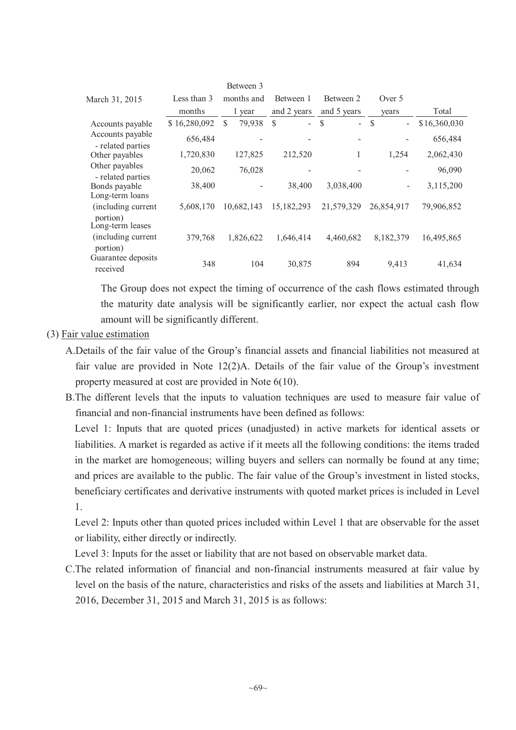|                                       |              | Between 3   |                                 |              |                                           |              |
|---------------------------------------|--------------|-------------|---------------------------------|--------------|-------------------------------------------|--------------|
| March 31, 2015                        | Less than 3  | months and  | Between 1                       | Between 2    | Over 5                                    |              |
|                                       | months       | 1 year      | and 2 years                     | and 5 years  | years                                     | Total        |
| Accounts payable                      | \$16,280,092 | 79,938<br>S | <sup>\$</sup><br>$\overline{a}$ | \$<br>$\sim$ | $\mathcal{S}$<br>$\overline{\phantom{a}}$ | \$16,360,030 |
| Accounts payable<br>- related parties | 656,484      |             |                                 |              |                                           | 656,484      |
| Other payables                        | 1,720,830    | 127,825     | 212,520                         | 1            | 1,254                                     | 2,062,430    |
| Other payables<br>- related parties   | 20,062       | 76,028      |                                 |              |                                           | 96,090       |
| Bonds payable<br>Long-term loans      | 38,400       |             | 38,400                          | 3,038,400    |                                           | 3,115,200    |
| (including current<br>portion)        | 5,608,170    | 10,682,143  | 15,182,293                      | 21,579,329   | 26,854,917                                | 79,906,852   |
| Long-term leases                      |              |             |                                 |              |                                           |              |
| (including current<br>portion)        | 379,768      | 1,826,622   | 1,646,414                       | 4,460,682    | 8,182,379                                 | 16,495,865   |
| Guarantee deposits<br>received        | 348          | 104         | 30,875                          | 894          | 9,413                                     | 41,634       |

The Group does not expect the timing of occurrence of the cash flows estimated through the maturity date analysis will be significantly earlier, nor expect the actual cash flow amount will be significantly different.

### (3) Fair value estimation

- A.Details of the fair value of the Group's financial assets and financial liabilities not measured at fair value are provided in Note 12(2)A. Details of the fair value of the Group's investment property measured at cost are provided in Note 6(10).
- B.The different levels that the inputs to valuation techniques are used to measure fair value of financial and non-financial instruments have been defined as follows:

Level 1: Inputs that are quoted prices (unadjusted) in active markets for identical assets or liabilities. A market is regarded as active if it meets all the following conditions: the items traded in the market are homogeneous; willing buyers and sellers can normally be found at any time; and prices are available to the public. The fair value of the Group's investment in listed stocks, beneficiary certificates and derivative instruments with quoted market prices is included in Level 1.

Level 2: Inputs other than quoted prices included within Level 1 that are observable for the asset or liability, either directly or indirectly.

Level 3: Inputs for the asset or liability that are not based on observable market data.

C.The related information of financial and non-financial instruments measured at fair value by level on the basis of the nature, characteristics and risks of the assets and liabilities at March 31, 2016, December 31, 2015 and March 31, 2015 is as follows: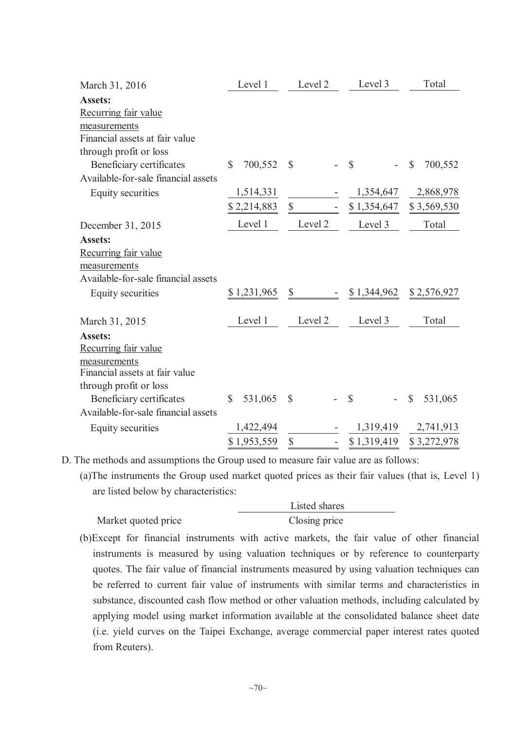| March 31, 2016                      | Level 1                  | Level 2       | Level 3                   | Total                   |
|-------------------------------------|--------------------------|---------------|---------------------------|-------------------------|
| <b>Assets:</b>                      |                          |               |                           |                         |
| Recurring fair value                |                          |               |                           |                         |
| measurements                        |                          |               |                           |                         |
| Financial assets at fair value      |                          |               |                           |                         |
| through profit or loss              |                          |               |                           |                         |
| Beneficiary certificates            | 700,552<br>$\mathcal{S}$ | $\mathcal{S}$ | $\mathbb{S}$              | 700,552<br>$\mathbb{S}$ |
| Available-for-sale financial assets |                          |               |                           |                         |
| <b>Equity securities</b>            | 1,514,331                |               |                           | 1,354,647 2,868,978     |
|                                     | \$2,214,883              | \$            | \$1,354,647               | \$3,569,530             |
| December 31, 2015                   | Level 1                  | Level 2       | Level 3                   | Total                   |
| <b>Assets:</b>                      |                          |               |                           |                         |
| Recurring fair value                |                          |               |                           |                         |
| measurements                        |                          |               |                           |                         |
| Available-for-sale financial assets |                          |               |                           |                         |
| Equity securities                   | \$1,231,965              | $\mathbb{S}$  | $$1,344,962$ $$2,576,927$ |                         |
| March 31, 2015                      | Level 1                  | Level 2       | Level 3                   | Total                   |
| <b>Assets:</b>                      |                          |               |                           |                         |
| Recurring fair value                |                          |               |                           |                         |
| measurements                        |                          |               |                           |                         |
| Financial assets at fair value      |                          |               |                           |                         |
| through profit or loss              |                          |               |                           |                         |
| Beneficiary certificates            | $\mathbb{S}$<br>531,065  | $\mathbb{S}$  | $\mathcal{S}$             | $\mathbb{S}$<br>531,065 |
| Available-for-sale financial assets |                          |               |                           |                         |
| Equity securities                   | 1,422,494                |               |                           | 1,319,419 2,741,913     |
|                                     | \$1,953,559              | \$            | $$1,319,419$ $$3,272,978$ |                         |

D. The methods and assumptions the Group used to measure fair value are as follows:

(a)The instruments the Group used market quoted prices as their fair values (that is, Level 1) are listed below by characteristics:

|                     | Listed shares |  |  |
|---------------------|---------------|--|--|
| Market quoted price | Closing price |  |  |

(b)Except for financial instruments with active markets, the fair value of other financial instruments is measured by using valuation techniques or by reference to counterparty quotes. The fair value of financial instruments measured by using valuation techniques can be referred to current fair value of instruments with similar terms and characteristics in substance, discounted cash flow method or other valuation methods, including calculated by applying model using market information available at the consolidated balance sheet date (i.e. yield curves on the Taipei Exchange, average commercial paper interest rates quoted from Reuters).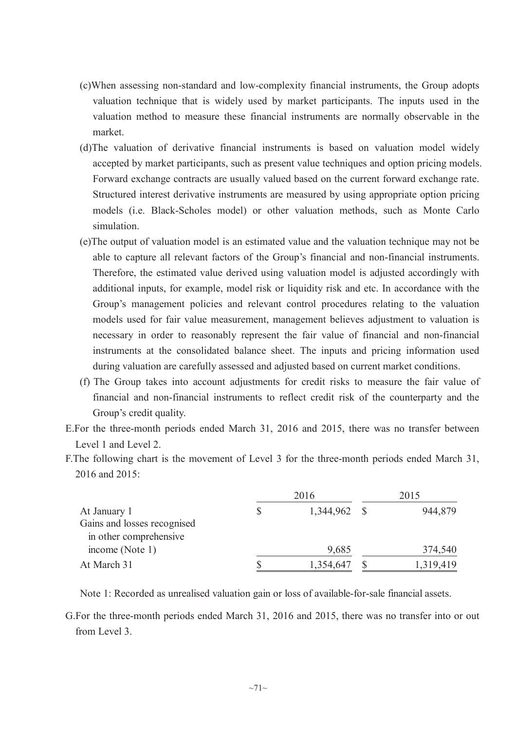- (c)When assessing non-standard and low-complexity financial instruments, the Group adopts valuation technique that is widely used by market participants. The inputs used in the valuation method to measure these financial instruments are normally observable in the market.
- (d)The valuation of derivative financial instruments is based on valuation model widely accepted by market participants, such as present value techniques and option pricing models. Forward exchange contracts are usually valued based on the current forward exchange rate. Structured interest derivative instruments are measured by using appropriate option pricing models (i.e. Black-Scholes model) or other valuation methods, such as Monte Carlo simulation.
- (e)The output of valuation model is an estimated value and the valuation technique may not be able to capture all relevant factors of the Group's financial and non-financial instruments. Therefore, the estimated value derived using valuation model is adjusted accordingly with additional inputs, for example, model risk or liquidity risk and etc. In accordance with the Group's management policies and relevant control procedures relating to the valuation models used for fair value measurement, management believes adjustment to valuation is necessary in order to reasonably represent the fair value of financial and non-financial instruments at the consolidated balance sheet. The inputs and pricing information used during valuation are carefully assessed and adjusted based on current market conditions.
- (f) The Group takes into account adjustments for credit risks to measure the fair value of financial and non-financial instruments to reflect credit risk of the counterparty and the Group's credit quality.
- E.For the three-month periods ended March 31, 2016 and 2015, there was no transfer between Level 1 and Level 2.
- F.The following chart is the movement of Level 3 for the three-month periods ended March 31, 2016 and 2015:

|                             | 2016         | 2015 |           |
|-----------------------------|--------------|------|-----------|
| At January 1                | 1,344,962 \$ |      | 944,879   |
| Gains and losses recognised |              |      |           |
| in other comprehensive      |              |      |           |
| income (Note 1)             | 9,685        |      | 374,540   |
| At March 31                 | 1,354,647    |      | 1,319,419 |

Note 1: Recorded as unrealised valuation gain or loss of available-for-sale financial assets.

G.For the three-month periods ended March 31, 2016 and 2015, there was no transfer into or out from Level 3.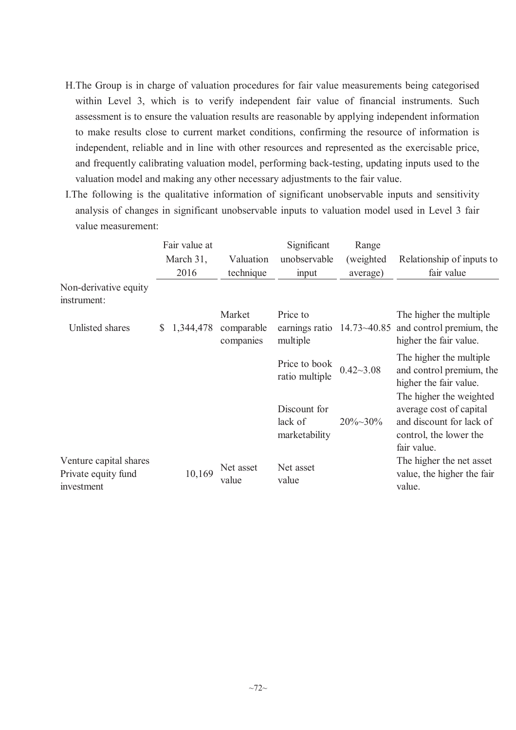- H.The Group is in charge of valuation procedures for fair value measurements being categorised within Level 3, which is to verify independent fair value of financial instruments. Such assessment is to ensure the valuation results are reasonable by applying independent information to make results close to current market conditions, confirming the resource of information is independent, reliable and in line with other resources and represented as the exercisable price, and frequently calibrating valuation model, performing back-testing, updating inputs used to the valuation model and making any other necessary adjustments to the fair value.
- I.The following is the qualitative information of significant unobservable inputs and sensitivity analysis of changes in significant unobservable inputs to valuation model used in Level 3 fair value measurement:

|                                                             | Fair value at   |                         | Significant                              | Range            |                                                                                                                         |
|-------------------------------------------------------------|-----------------|-------------------------|------------------------------------------|------------------|-------------------------------------------------------------------------------------------------------------------------|
|                                                             | March 31,       | Valuation               | unobservable                             | (weighted)       | Relationship of inputs to                                                                                               |
|                                                             | 2016            | technique               | input                                    | average)         | fair value                                                                                                              |
| Non-derivative equity<br>instrument:                        |                 |                         |                                          |                  |                                                                                                                         |
|                                                             |                 | Market                  | Price to                                 |                  | The higher the multiple                                                                                                 |
| Unlisted shares                                             | 1,344,478<br>\$ | comparable<br>companies | earnings ratio<br>multiple               | $14.73 - 40.85$  | and control premium, the<br>higher the fair value.                                                                      |
|                                                             |                 |                         | Price to book<br>ratio multiple          | $0.42 - 3.08$    | The higher the multiple<br>and control premium, the<br>higher the fair value.                                           |
|                                                             |                 |                         | Discount for<br>lack of<br>marketability | $20\% \sim 30\%$ | The higher the weighted<br>average cost of capital<br>and discount for lack of<br>control, the lower the<br>fair value. |
| Venture capital shares<br>Private equity fund<br>investment | 10,169          | Net asset<br>value      | Net asset<br>value                       |                  | The higher the net asset<br>value, the higher the fair<br>value.                                                        |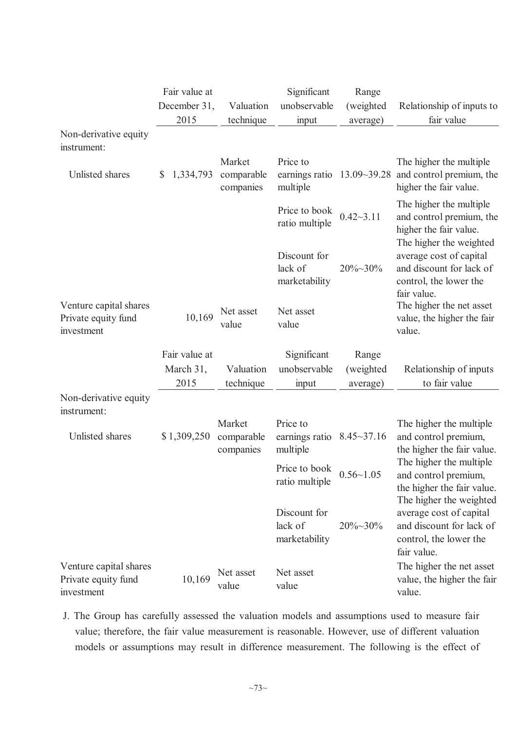|                                                             | Fair value at   |                                   | Significant                                                      | Range            |                                                                                                                         |
|-------------------------------------------------------------|-----------------|-----------------------------------|------------------------------------------------------------------|------------------|-------------------------------------------------------------------------------------------------------------------------|
|                                                             | December 31,    | Valuation                         | unobservable                                                     | (weighted        | Relationship of inputs to                                                                                               |
|                                                             | 2015            | technique                         | input                                                            | average)         | fair value                                                                                                              |
| Non-derivative equity<br>instrument:                        |                 |                                   |                                                                  |                  |                                                                                                                         |
| Unlisted shares                                             | 1,334,793<br>\$ | Market<br>comparable<br>companies | Price to<br>earnings ratio $13.09 \rightarrow 39.28$<br>multiple |                  | The higher the multiple<br>and control premium, the<br>higher the fair value.                                           |
|                                                             |                 |                                   | Price to book<br>ratio multiple                                  | $0.42 - 3.11$    | The higher the multiple<br>and control premium, the<br>higher the fair value.                                           |
|                                                             |                 |                                   | Discount for<br>lack of<br>marketability                         | 20%~30%          | The higher the weighted<br>average cost of capital<br>and discount for lack of<br>control, the lower the<br>fair value. |
| Venture capital shares<br>Private equity fund<br>investment | 10,169          | Net asset<br>value                | Net asset<br>value                                               |                  | The higher the net asset<br>value, the higher the fair<br>value.                                                        |
|                                                             | Fair value at   |                                   | Significant                                                      | Range            |                                                                                                                         |
|                                                             | March 31,       | Valuation                         | unobservable                                                     | (weighted)       | Relationship of inputs                                                                                                  |
|                                                             | 2015            | technique                         | input                                                            | average)         | to fair value                                                                                                           |
| Non-derivative equity<br>instrument:                        |                 |                                   |                                                                  |                  |                                                                                                                         |
| Unlisted shares                                             | \$1,309,250     | Market<br>comparable<br>companies | Price to<br>earnings ratio $8.45 \sim 37.16$<br>multiple         |                  | The higher the multiple<br>and control premium,<br>the higher the fair value.                                           |
|                                                             |                 |                                   | Price to book<br>ratio multiple                                  | $0.56 - 1.05$    | The higher the multiple<br>and control premium,<br>the higher the fair value.                                           |
|                                                             |                 |                                   | Discount for<br>lack of<br>marketability                         | $20\% \sim 30\%$ | The higher the weighted<br>average cost of capital<br>and discount for lack of<br>control, the lower the<br>fair value. |
| Venture capital shares<br>Private equity fund<br>investment | 10,169          | Net asset<br>value                | Net asset<br>value                                               |                  | The higher the net asset<br>value, the higher the fair<br>value.                                                        |

J. The Group has carefully assessed the valuation models and assumptions used to measure fair value; therefore, the fair value measurement is reasonable. However, use of different valuation models or assumptions may result in difference measurement. The following is the effect of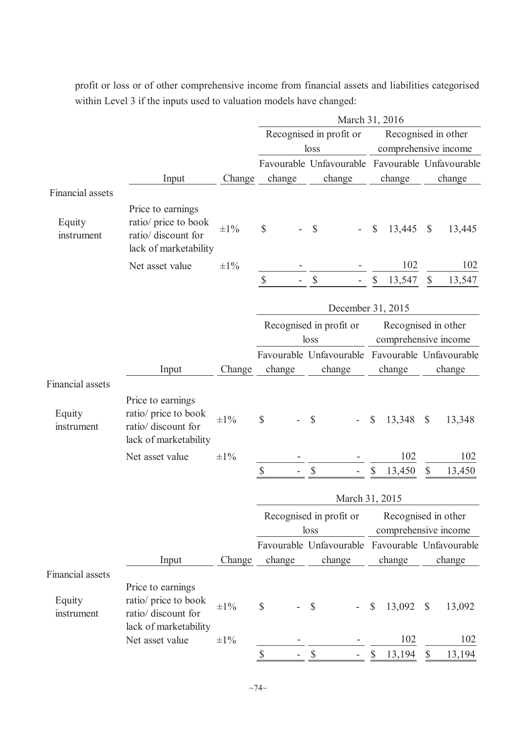Input Change Favourable Unfavourable Favourable Unfavourable change change change change Financial assets Equity instrument Price to earnings ratio/ price to book ratio/ discount for lack of marketability  $\pm 1\%$  \$ - \$ - \$ 13,445 \$ 13,445 Net asset value  $\pm 1\%$  - - 102 102 \$ - \$ - \$ 13,547 \$ 13,547 March 31, 2016 Recognised in profit or loss Recognised in other comprehensive income Input Change Favourable Unfavourable Favourable Unfavourable change change change change Financial assets Equity instrument Price to earnings ratio/ price to book ratio/ discount for lack of marketability  $\pm 1\%$  \$ - \$ - \$ 13,348 \$ 13,348 Net asset value  $\pm 1\%$  -  $\qquad -102$  102 102  $\frac{\$}{\$}$  -  $\frac{\$}{\$}$  -  $\frac{\$}{\$}$  13,450  $\$$  13,450 Input Change Favourable Unfavourable Favourable Unfavourable change change change change Financial assets Equity instrument Price to earnings ratio/ price to book ratio/ discount for lack of marketability  $\pm 1\%$  \$ - \$ - \$ 13,092 \$ 13,092 Net asset value  $\pm 1\%$  -  $\qquad -102$  102 102 \$ - \$ - \$ 13,194 \$ 13,194 December 31, 2015 Recognised in profit or loss Recognised in other comprehensive income March 31, 2015 Recognised in profit or loss Recognised in other comprehensive income

profit or loss or of other comprehensive income from financial assets and liabilities categorised within Level 3 if the inputs used to valuation models have changed: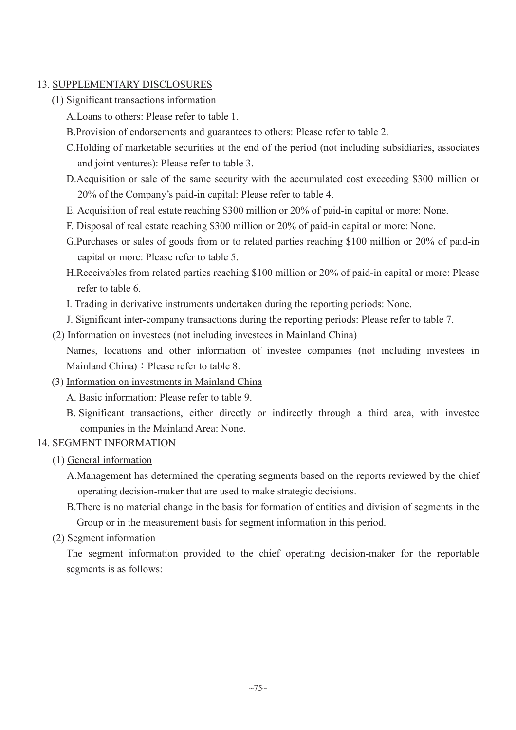# 13. SUPPLEMENTARY DISCLOSURES

- (1) Significant transactions information
	- A.Loans to others: Please refer to table 1.
	- B.Provision of endorsements and guarantees to others: Please refer to table 2.
	- C.Holding of marketable securities at the end of the period (not including subsidiaries, associates and joint ventures): Please refer to table 3.
	- D.Acquisition or sale of the same security with the accumulated cost exceeding \$300 million or 20% of the Company's paid-in capital: Please refer to table 4.
	- E. Acquisition of real estate reaching \$300 million or 20% of paid-in capital or more: None.
	- F. Disposal of real estate reaching \$300 million or 20% of paid-in capital or more: None.
	- G.Purchases or sales of goods from or to related parties reaching \$100 million or 20% of paid-in capital or more: Please refer to table 5.
	- H.Receivables from related parties reaching \$100 million or 20% of paid-in capital or more: Please refer to table 6.
	- I. Trading in derivative instruments undertaken during the reporting periods: None.
	- J. Significant inter-company transactions during the reporting periods: Please refer to table 7.
- (2) Information on investees (not including investees in Mainland China)

Names, locations and other information of investee companies (not including investees in Mainland China) : Please refer to table 8.

(3) Information on investments in Mainland China

A. Basic information: Please refer to table 9.

B. Significant transactions, either directly or indirectly through a third area, with investee companies in the Mainland Area: None.

## 14. SEGMENT INFORMATION

- (1) General information
	- A.Management has determined the operating segments based on the reports reviewed by the chief operating decision-maker that are used to make strategic decisions.
	- B.There is no material change in the basis for formation of entities and division of segments in the Group or in the measurement basis for segment information in this period.

## (2) Segment information

The segment information provided to the chief operating decision-maker for the reportable segments is as follows: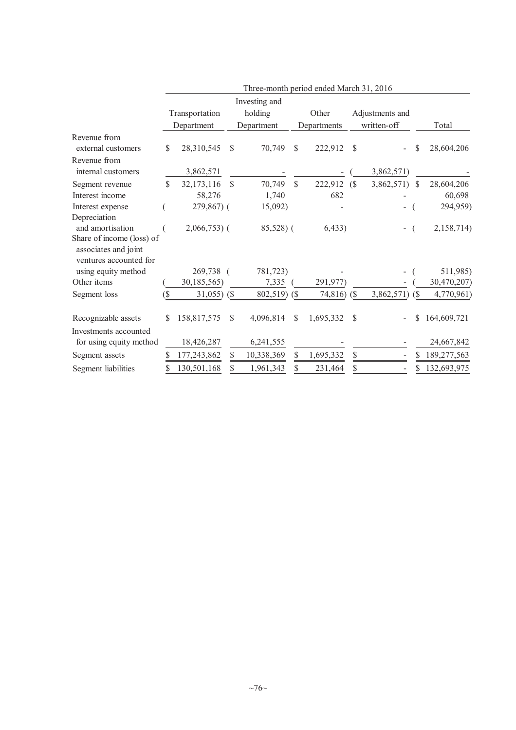|                                                   |        |                |            | Three-month period ended March 31, 2016 |               |             |    |                 |    |             |
|---------------------------------------------------|--------|----------------|------------|-----------------------------------------|---------------|-------------|----|-----------------|----|-------------|
|                                                   |        |                |            | Investing and                           |               |             |    |                 |    |             |
|                                                   |        | Transportation |            | holding                                 |               | Other       |    | Adjustments and |    |             |
|                                                   |        | Department     |            | Department                              |               | Departments |    | written-off     |    | Total       |
| Revenue from                                      |        |                |            |                                         |               |             |    |                 |    |             |
| external customers                                | \$     | 28,310,545     | \$         | 70,749                                  | \$            | 222,912     | \$ |                 | \$ | 28,604,206  |
| Revenue from                                      |        |                |            |                                         |               |             |    |                 |    |             |
| internal customers                                |        | 3,862,571      |            |                                         |               |             |    | 3,862,571)      |    |             |
| Segment revenue                                   | \$     | 32,173,116     | \$         | 70,749                                  | $\mathsf{\$}$ | 222,912     | (S | 3,862,571) \$   |    | 28,604,206  |
| Interest income                                   |        | 58,276         |            | 1,740                                   |               | 682         |    |                 |    | 60,698      |
| Interest expense                                  |        | 279,867) (     |            | 15,092)                                 |               |             |    |                 |    | 294,959)    |
| Depreciation                                      |        |                |            |                                         |               |             |    |                 |    |             |
| and amortisation                                  |        | $2,066,753$ (  |            | 85,528) (                               |               | 6,433)      |    |                 |    | 2,158,714)  |
| Share of income (loss) of<br>associates and joint |        |                |            |                                         |               |             |    |                 |    |             |
| ventures accounted for                            |        |                |            |                                         |               |             |    |                 |    |             |
| using equity method                               |        | 269,738        | $\sqrt{ }$ | 781,723)                                |               |             |    |                 |    | 511,985)    |
| Other items                                       |        | 30,185,565)    |            | 7,335                                   |               | 291,977)    |    |                 |    | 30,470,207) |
| Segment loss                                      | $($ \$ | $31,055$ ) (\$ |            | 802,519) (\$                            |               | 74,816)     | (S | 3,862,571)      | (S | 4,770,961)  |
| Recognizable assets                               | S      | 158,817,575    | \$         | 4,096,814                               | \$            | 1,695,332   | \$ |                 | S  | 164,609,721 |
| Investments accounted                             |        |                |            |                                         |               |             |    |                 |    |             |
| for using equity method                           |        | 18,426,287     |            | 6,241,555                               |               |             |    |                 |    | 24,667,842  |
| Segment assets                                    | \$     | 177,243,862    | \$         | 10,338,369                              | \$            | 1,695,332   | \$ |                 | S  | 189,277,563 |
| Segment liabilities                               | \$     | 130,501,168    | \$         | 1,961,343                               | \$            | 231,464     | \$ |                 | \$ | 132,693,975 |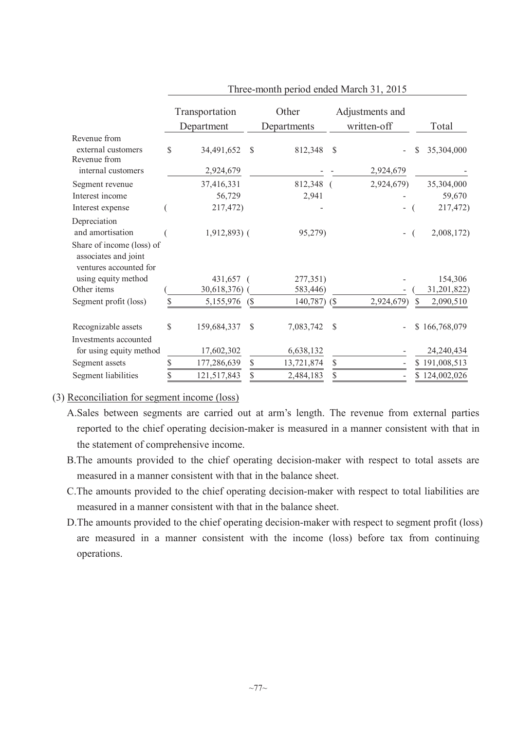|                                                                             | Transportation    |     | Other          |               | Adjustments and          |    |               |
|-----------------------------------------------------------------------------|-------------------|-----|----------------|---------------|--------------------------|----|---------------|
|                                                                             | Department        |     | Departments    |               | written-off              |    | Total         |
| Revenue from                                                                |                   |     |                |               |                          |    |               |
| external customers                                                          | \$<br>34,491,652  | -S  | 812,348        | $\mathcal{S}$ |                          | S  | 35,304,000    |
| Revenue from                                                                |                   |     |                |               |                          |    |               |
| internal customers                                                          | 2,924,679         |     |                |               | 2,924,679                |    |               |
| Segment revenue                                                             | 37,416,331        |     | 812,348 (      |               | 2,924,679)               |    | 35,304,000    |
| Interest income                                                             | 56,729            |     | 2,941          |               |                          |    | 59,670        |
| Interest expense                                                            | 217,472)          |     |                |               | $\overline{\phantom{0}}$ |    | 217,472)      |
| Depreciation                                                                |                   |     |                |               |                          |    |               |
| and amortisation                                                            | $1,912,893$ (     |     | 95,279)        |               | $\overline{a}$           |    | 2,008,172)    |
| Share of income (loss) of<br>associates and joint<br>ventures accounted for |                   |     |                |               |                          |    |               |
| using equity method                                                         | 431,657           |     | 277,351)       |               |                          |    | 154,306       |
| Other items                                                                 | 30,618,376)       |     | 583,446)       |               |                          |    | 31,201,822)   |
| Segment profit (loss)                                                       | \$<br>5,155,976   | (S) | $140,787$ (\$) |               | 2,924,679)               | \$ | 2,090,510     |
| Recognizable assets                                                         | \$<br>159,684,337 | S   | 7,083,742      | S             |                          |    | \$166,768,079 |
| Investments accounted                                                       |                   |     |                |               |                          |    |               |
| for using equity method                                                     | 17,602,302        |     | 6,638,132      |               |                          |    | 24,240,434    |
| Segment assets                                                              | \$<br>177,286,639 | \$  | 13,721,874     | \$            |                          |    | \$191,008,513 |
| Segment liabilities                                                         | 121,517,843       | \$  | 2,484,183      | \$            |                          |    | \$124,002,026 |

Three-month period ended March 31, 2015

## (3) Reconciliation for segment income (loss)

- A.Sales between segments are carried out at arm's length. The revenue from external parties reported to the chief operating decision-maker is measured in a manner consistent with that in the statement of comprehensive income.
- B.The amounts provided to the chief operating decision-maker with respect to total assets are measured in a manner consistent with that in the balance sheet.
- C.The amounts provided to the chief operating decision-maker with respect to total liabilities are measured in a manner consistent with that in the balance sheet.
- D.The amounts provided to the chief operating decision-maker with respect to segment profit (loss) are measured in a manner consistent with the income (loss) before tax from continuing operations.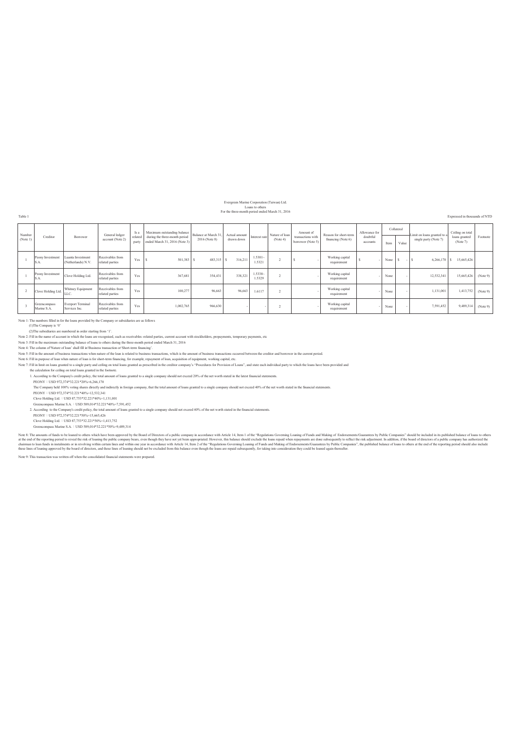Evergreen Marine Corporation (Taiwan) Ltd. Loans to others For the three-month period ended March 31, 2016

Table 1 Expressed in thousands of NTD

| Number<br>(Note 1) | Creditor                    | Borrower                                  | General ledger<br>account (Note 2)  | Is a<br>related<br>party | Maximum outstanding balance<br>during the three-month period<br>ended March 31, 2016 (Note 3) | Balance at March 31.<br>2016 (Note 8) | Actual amount<br>drawn down | Interest rate        | Nature of loan<br>(Note 4) | Amount of<br>transactions with<br>borrower (Note 5) | Reason for short-term<br>financing (Note 6) | Allowance for<br>doubtful<br>accounts | Collateral<br>Item | Value | Limit on loans granted to a<br>single party (Note 7) | Ceiling on total<br>loans granted<br>(Note 7) | Footnote |
|--------------------|-----------------------------|-------------------------------------------|-------------------------------------|--------------------------|-----------------------------------------------------------------------------------------------|---------------------------------------|-----------------------------|----------------------|----------------------------|-----------------------------------------------------|---------------------------------------------|---------------------------------------|--------------------|-------|------------------------------------------------------|-----------------------------------------------|----------|
|                    | Peony Investment<br>S.A.    | Luanta Investment<br>(Netherlands) N.V.   | Receivables from<br>related parties | Yes                      | 501,383                                                                                       | 483,315 \$                            | 316,211                     | $1.5301 -$<br>1.5321 |                            |                                                     | Working capital<br>requirement              |                                       | None               | $-1s$ | $6,266,170$ \$                                       | 15,665,426                                    |          |
|                    | Peony Investment<br>S.A.    | Clove Holding Ltd.                        | Receivables from<br>related parties | Yes                      | 367,681                                                                                       | 354.431                               | 338,321                     | $1.5338 -$<br>1.5329 |                            |                                                     | Working capital<br>requirement              |                                       | None               |       | 12,532,341                                           | 15,665,426                                    | (Note 9) |
|                    | Clove Holding Ltd.          | Whitney Equipment<br><b>LLC</b>           | Receivables from<br>related parties | Yes                      | 100,277                                                                                       | 96.663                                | 96.663                      | 1.6117               |                            |                                                     | Working capital<br>requirement              |                                       | None               |       | 1,131,001                                            | 1,413,752                                     | (Note 9) |
|                    | Greencompass<br>Marine S.A. | <b>Everport Terminal</b><br>Services Inc. | Receivables from<br>related parties | Yes                      | 1,002,765                                                                                     | 966,630                               |                             |                      |                            |                                                     | Working capital<br>requirement              |                                       | None               |       | 7,591,452                                            | 9,489,314                                     | (Note 9) |

Note 1: The numbers filled in for the loans provided by the Company or subsidiaries are as follows

(1)The Company is '0'<br>(2)The subsidiaries are numbered in order starting from '1'.<br>Note 2: Fill in the name of account in which the loans are recognised, such as receivables-related parties, current account with stockholde

Note 3: Fill in the maximum outstanding balance of loans to others during the three-month period ended March 31, 2016<br>Note 4: The column of Nature of loan'shall fill in Passiness transaction or Short-term financing'.<br>Note

Note 6: Fill in purpose of loan when nature of loan is for short-term financing, for example, repayment of loan, acquisition of equipment, working capital, etc.<br>Note 7: Fill in limit on loans granted to a single party and

the calculation for ceiling on total loans granted in the footnote.<br>1. According to the Company's credit policy, the total amount of loans granted to a single company should not exceed 20% of the net worth stated in the la

PEONY : USD 972,374\*32.221\*20%=6,266,170

The Company held 100% voting shares directly and indirectly in foreign company, that the total amount of loans granted to a single company should not exceed 40% of the net worth stated in the financial statements. The Com

PEONYǺUSD 972,374\*32.221\*40%=12,532,341 Clove Holding Ltd.烉USD 87,753\*32.221\*40%=1,131,001

Greencompass Marine S.A. : USD 589,014\*32.221\*40%=7,591,452<br>2. According to the Company's credit policy, the total amount of loans granted to a single company should not exceed 40% of the net worth stated in the financial

PEONY : USD 972 374\*32.221\*50%=15,665,426

Clove Holding Ltd. : USD 87,753\*32.221\*50%=1,413,752<br>Greencompass Marine S.A. : USD 589,014\*32.221\*50%=9,489,314

Note a mounts of indis to be band to observe what have been approved by the Boundary in Boundary in Boundary in a condition and the respectively. It is balance should exclude the loss requisitions from one subsequently to

Note 9: This transaction was written off when the consolidated financial statements were prepared.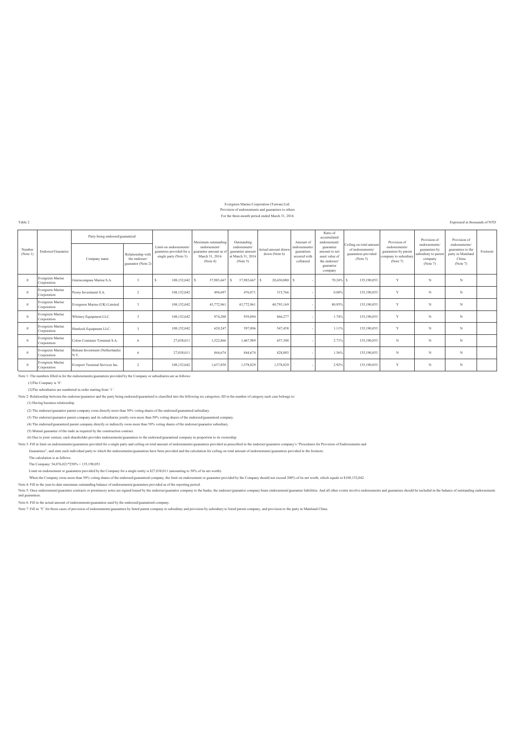# Evergreen Marine Corporation (Taiwan) Ltd.

Provision of endorsements and guarantees to others For the three-month period ended March 31, 2016

Table 2 Expressed in thousands of NTD

|                    |                                 | Party being endorsed/guaranteed         |                                                          |                                                                            | Maximum outstanding                                               | Outstanding                                                      |                                      | Amount of                                                | Ratio of<br>accumulated<br>endorsement/                                               |                                                                                | Provision of                                                               | Provision of                                                                | Provision of                                                                 |          |
|--------------------|---------------------------------|-----------------------------------------|----------------------------------------------------------|----------------------------------------------------------------------------|-------------------------------------------------------------------|------------------------------------------------------------------|--------------------------------------|----------------------------------------------------------|---------------------------------------------------------------------------------------|--------------------------------------------------------------------------------|----------------------------------------------------------------------------|-----------------------------------------------------------------------------|------------------------------------------------------------------------------|----------|
| Number<br>(Note 1) | Endorser/Guarantor              | Company name                            | Relationship with<br>the endorser/<br>guarantor (Note 2) | Limit on endorsements<br>guarntees provided for a<br>single party (Note 3) | endorsement/<br>guarantee amount as<br>March 31, 2016<br>(Note 4) | endorsement<br>guarantee amount<br>at March 31, 2016<br>(Note 5) | Actual amount drawn<br>down (Note 6) | endorsements<br>guarantees<br>secured with<br>collateral | guarantee<br>amount to net<br>asset value of<br>the endorser/<br>guarantor<br>company | Ceiling on total amount<br>of endorsements/<br>guarantees provided<br>(Note 3) | endorsements/<br>guarantees by parent<br>company to subsidiary<br>(Note 7) | endorsements<br>guarantees by<br>subsidiary to paren<br>company<br>(Note 7) | endorsements/<br>guarantees to the<br>party in Mainland<br>China<br>(Note 7) | Footnote |
| $\Omega$           | Evergreen Marine<br>Corporation | Greencompass Marine S.A.                |                                                          | 108,152,042 \$                                                             | 37,983,667                                                        | 37,983,667<br>-S                                                 | 20,430,080<br>s                      |                                                          | 70.24%                                                                                | 135,190,053                                                                    | Y                                                                          | N                                                                           | N                                                                            |          |
| $\Omega$           | Evergreen Marine<br>Corporation | Peony Investment S.A.                   |                                                          | 108,152,042                                                                | 494,697                                                           | 476,871                                                          | 315,766                              |                                                          | 0.88%                                                                                 | 135,190,053                                                                    | Y                                                                          | N                                                                           | N                                                                            |          |
| $\Omega$           | Evergreen Marine<br>Corporation | Evergreen Marine (UK) Limited           |                                                          | 108,152,042                                                                | 43,772,961                                                        | 43,772,961                                                       | 40,793,169                           |                                                          | 80.95%                                                                                | 135,190,053                                                                    | Y                                                                          | N                                                                           | N                                                                            |          |
| $\Omega$           | Evergreen Marine<br>Corporation | Whitney Equipment LLC.                  |                                                          | 108,152,042                                                                | 974,200                                                           | 939.094                                                          | 866,277                              |                                                          | 1.74%                                                                                 | 135,190,053                                                                    | Y                                                                          | N                                                                           | N                                                                            |          |
| $\Omega$           | Evergreen Marine<br>Corporation | Hemlock Equipment LLC.                  |                                                          | 108,152,042                                                                | 620,247                                                           | 597,896                                                          | 547,458                              |                                                          | 1.11%                                                                                 | 135.190.053                                                                    | Y                                                                          | N                                                                           | N                                                                            |          |
| $\Omega$           | Evergreen Marine<br>Corporation | Colon Container Terminal S.A.           | 6                                                        | 27,038,011                                                                 | 1,522,866                                                         | 1,467,989                                                        | 657,308                              |                                                          | 2.71%                                                                                 | 135,190,053                                                                    | N                                                                          | N                                                                           | N                                                                            |          |
| $\Omega$           | Evergreen Marine<br>Corporation | Balsam Investment (Netherlands)<br>N.V. | -6                                                       | 27.038.011                                                                 | 844.674                                                           | 844.674                                                          | 828.885                              |                                                          | 1.56%                                                                                 | 135.190.053                                                                    | $_{\rm N}$                                                                 | N                                                                           | N                                                                            |          |
| $\Omega$           | Evergreen Marine<br>Corporation | Everport Terminal Services Inc.         | $\overline{2}$                                           | 108.152.042                                                                | 1.637.850                                                         | 1.578.829                                                        | 1,578,829                            |                                                          | 2.92%                                                                                 | 135.190.053                                                                    | Y                                                                          | N                                                                           | N                                                                            |          |

Note 1: The numbers filled in for the endorsements/guarantees provided by the Company or subsidiaries are as follows:

(1)The Company is '0'.

(2)The subsidiaries are numbered in order starting from '1'.

Note 2: Relationship between the endorser/guarantor and the party being endorsed/guaranteed is classified into the following six categories; fill in the number of category each case belongs to:

(1) Having business relationship.

(2) The endorser/guarantor parent company owns directly more than 50% voting shares of the endorsed/guaranteed subsidiary.

(3) The endorser/guarantor parent company and its subsidiaries jointly own more than 50% voting shares of the endorsed/guaranteed company.

(4) The endorsed/guaranteed parent company directly or indirectly owns more than 50% voting shares of the endorser/guarantor subsidiary.

(5) Mutual guarantee of the trade as required by the construction contract.

(6) Due to joint venture, each shareholder provides endorsements/guarantees to the endorsed/guaranteed company in proportion to its ownership.

Note 3: Fill in limit on endorsements/guarantees provided for a single party and ceiling on total amount of endorsements/guarantees provided as prescribed in the endorser/guarantor company's "Procedures for Provision of En

Guarantees", and state each individual party to which the endorsements/guarantees have been provided and the calculation for ceiling on total amount of endorsements/guarantees provided in the footnote.

The calculation is as follows:

The Company: 54,076,021\*250% = 135,190,053

Limit on endorsement or guarantees provided by the Company for a single entity is \$27,038,011 (amounting to 50% of its net worth).

When the Company owns more than 50% voting shares of the endorsed/guaranteed company, the limit on endorsement or guarantee provided by the Company should not exceed 200% of its net worth, which equals to \$108,152,042.

Note 4: Fill in the year-to-date maximum outstanding balance of endorsements/guarantees provided as of the reporting period.<br>Note 5: Once endorsement/guarantee contracts or promissory notes are signed/issued by the endorse and guarantees.

Note 6: Fill in the actual amount of endorsements/guarantees used by the endorsed guaranteed company.<br>Note 7: Fill in 'Y' for those cases of provision of endorsements/guarantees by listed parent company by subsidiary and p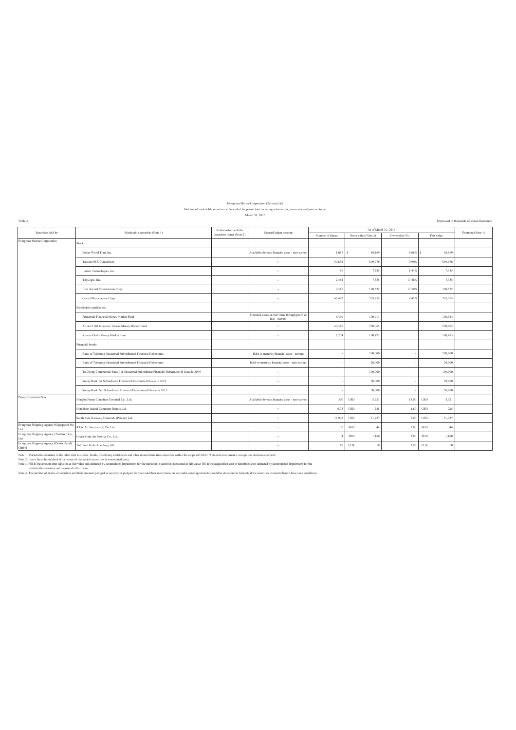# Evergreen Marine Corporation (Taiwan) Ltd. Holding of marketable securities at the end of the period (not including subsidiaries, associates and joint ventures) March 31, 2016

| Table 3                                                  |                                                                                         |                            |                                                                    |                  |                      |               |                      | Expressed in thousands of shares/thousands |
|----------------------------------------------------------|-----------------------------------------------------------------------------------------|----------------------------|--------------------------------------------------------------------|------------------|----------------------|---------------|----------------------|--------------------------------------------|
| Securities held by                                       | Marketable securities (Note 1)                                                          | Relationship with the      | Genearl ledger account                                             |                  | As of March 31, 2016 |               |                      | Footnote (Note 4)                          |
|                                                          |                                                                                         | securities issuer (Note 2) |                                                                    | Number of shares | Book value (Note 3)  | Ownership (%) | Fair value           |                                            |
| vergreen Marine Corporation                              | Stock:                                                                                  |                            |                                                                    |                  |                      |               |                      |                                            |
|                                                          | Power World Fund Inc.                                                                   |                            | Available-for-sale financial asset - non-current                   | 1,017            | 10,169               | 5.68%         | 10,169<br>×.         |                                            |
|                                                          | Taiwan HSR Consortium                                                                   |                            | $\sigma$                                                           | 50,694           | 809,076              | 0.90%         | 809,076              |                                            |
|                                                          | Linden Technologies, Inc.                                                               |                            | $\sigma$                                                           | 50               | 7,385                | 1.44%         | 7,385                |                                            |
|                                                          | TopLogis, Inc.                                                                          |                            | $\boldsymbol{\sigma}$                                              | 2,464            | 7,355                | 17.48%        | 7,355                |                                            |
|                                                          | Ever Accord Construction Corp.                                                          |                            | $\boldsymbol{\sigma}$                                              | 9,317            | 100,522              | 17.50%        | 100,522              |                                            |
|                                                          | Central Reinsurance Corp.                                                               |                            | $\boldsymbol{\sigma}$                                              | 47,492           | 705,255              | 8.45%         | 705,255              |                                            |
|                                                          | Beneficiary certificates:                                                               |                            |                                                                    |                  |                      |               |                      |                                            |
|                                                          | Prudential Financial Money Market Fund                                                  |                            | Financial assets at fair value through profit or<br>loss - current | 6.400            | 100.014              |               | 100.014              |                                            |
|                                                          | Allianz Glbl Investors Taiwan Money Market Fund                                         |                            | $\boldsymbol{\sigma}$                                              | 40.387           | 500.065              |               | 500.065              |                                            |
|                                                          | Yuanta De-Li Money Market Fund                                                          |                            | $\sigma$                                                           | 6,234            | 100,473              |               | 100,473              |                                            |
|                                                          | Financial bonds:                                                                        |                            |                                                                    |                  |                      |               |                      |                                            |
|                                                          | Bank of Taichung Unsecured Subordinated Financial Debentures                            |                            | Held-to-maturity financial asset - current                         |                  | 200.000              |               | 200,000              |                                            |
|                                                          | Bank of Taichung Unsecured Subordinated Financial Debentures                            |                            | Held-to-maturity financial asset - non-current                     |                  | 20.000               |               | 20,000               |                                            |
|                                                          | Ta Chong Commercial Bank 1st Unsecured Subordinate Financial Debentures-B Issue in 2009 |                            | $\sigma$                                                           |                  | 100,000              |               | 100,000              |                                            |
|                                                          | Sunny Bank 1st Subordinate Financial Debentures-B Issue in 2010                         |                            | $\alpha$                                                           |                  | 50,000               |               | 50,000               |                                            |
|                                                          | Sunny Bank 2nd Subordinate Financial Debentures-B Issue in 2015                         |                            | $\sigma$                                                           |                  | 50,000               |               | 50,000               |                                            |
| Peony Investment S.A.                                    | Dongbu Pusan Container Terminal Co., Ltd.                                               |                            | Available-for-sale financial asset - non-current                   | 300              | <b>USD</b><br>5,921  | 15.00         | <b>USD</b><br>5,921  |                                            |
|                                                          | Hutchison Inland Container Depots Ltd.                                                  |                            | $\sigma$                                                           | 0.75             | 225<br><b>USD</b>    | 4.60          | <b>USD</b><br>225    |                                            |
|                                                          | South Asia Gateway Terminals (Private) Ltd.                                             |                            | $\sigma$                                                           | 18,942           | <b>USD</b><br>31,927 | 5.00          | 31,927<br><b>USD</b> |                                            |
| Evergreen Shipping Agency (Singapore) Pte.<br>Ltd.       | RTW Air Services (S) Pte Ltd.                                                           |                            | $\sigma$                                                           | 30               | SGD<br>44            | 2.00          | SGD<br>$-44$         |                                            |
| Evergreen Shipping Agency (Thailand) Co.,<br>Ltd.        | Green Siam Air Service Co., Ltd.                                                        |                            | $\sigma$                                                           |                  | THB<br>1.160         | 2.00          | THB<br>1,160         |                                            |
| Evergreen Shipping Agency (Deutschland)<br>$\mbox{GmbH}$ | Zoll Pool Hafen Hamburg AG                                                              |                            | $\sigma$                                                           | 10               | <b>EUR</b><br>10     | 2.86          | <b>EUR</b><br>10     |                                            |

Note 1: Markatable securities in the table of the ostock, boads, boads(charging order relations) and incredible scurities and other relations and incredible scurities into a more of the state of more charging incredible se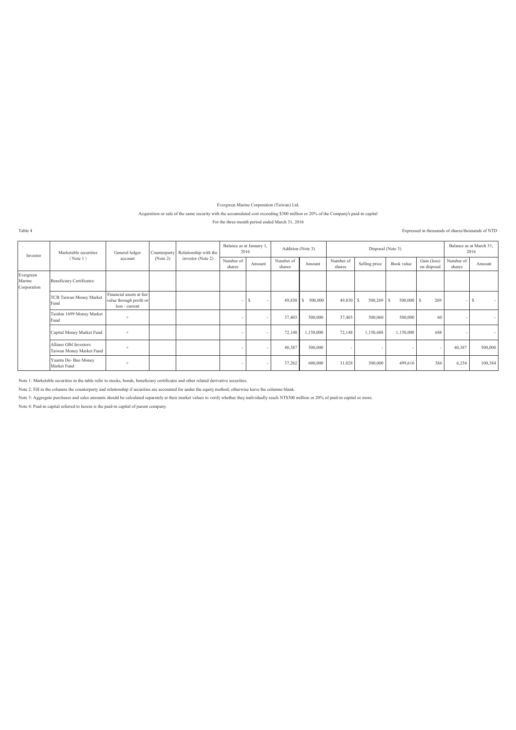Evergreen Marine Corporation (Taiwan) Ltd.

Acquisition or sale of the same security with the accumulated cost exceeding \$300 million or 20% of the Company's paid-in capital

For the three-month period ended March 31, 2016

Expressed in thousands of shares/thousands of NTD

| Investor                           | Marketable securities                              | General ledger                                                        | Counterparty | Relationship with the | Balance as at January 1,<br>2016 |        | Addition (Note 3)   |                         |                          | Disposal (Note 3) |                          |                            | Balance as at March 31,<br>2016 |         |
|------------------------------------|----------------------------------------------------|-----------------------------------------------------------------------|--------------|-----------------------|----------------------------------|--------|---------------------|-------------------------|--------------------------|-------------------|--------------------------|----------------------------|---------------------------------|---------|
|                                    | (Note 1)                                           | account                                                               | (Note 2)     | investor (Note 2)     | Number of<br>shares              | Amount | Number of<br>shares | Amount                  | Number of<br>shares      | Selling price     | Book value               | Gain (loss)<br>on disposal | Number of<br>shares             | Amount  |
| Evergreen<br>Marine<br>Corporation | Beneficiary Certificates:                          |                                                                       |              |                       |                                  |        |                     |                         |                          |                   |                          |                            |                                 |         |
|                                    | <b>TCB Taiwan Money Market</b><br>Fund             | Financial assets at fair<br>value through profit or<br>loss - current |              |                       |                                  |        | 49,830              | <sup>S</sup><br>500,000 | $49,830$ \$              | 500,269           | 500,000<br>ΙS            | 269<br>S                   | - 1                             |         |
|                                    | Taishin 1699 Money Market<br>Fund                  | $^{\prime}$                                                           |              |                       |                                  |        | 37,403              | 500,000                 | 37,403                   | 500,060           | 500,000                  | 60                         |                                 |         |
|                                    | Capital Money Market Fund                          | $^{\prime\prime}$                                                     |              |                       |                                  |        | 72,148              | 1,150,000               | 72,148                   | 1,150,688         | 1,150,000                | 688                        |                                 |         |
|                                    | Allianz Glbl Investors<br>Taiwan Money Market Fund |                                                                       |              |                       |                                  |        | 40,387              | 500,000                 | $\overline{\phantom{a}}$ |                   | $\overline{\phantom{a}}$ |                            | 40,387                          | 500,000 |
|                                    | Yuanta De-Bao Money<br>Market Fund                 | $^{\prime\prime}$                                                     |              |                       |                                  |        | 37,262              | 600,000                 | 31,028                   | 500,000           | 499,616                  | 384                        | 6,234                           | 100,384 |

Note 1: Marketable securities in the table refer to stocks, bonds, beneficiary certificates and other related derivative securities.

Note 2: Fill in the columns the counterparty and relationship if securities are accounted for under the equity method; otherwise leave the columns blank.

Note 3: Aggregate purchases and sales amounts should be calculated separately at their market values to verify whether they individually reach NT\$300 million or 20% of paid-in capital or more.

Note 4: Paid-in capital referred to herein is the paid-in capital of parent company.

Table 4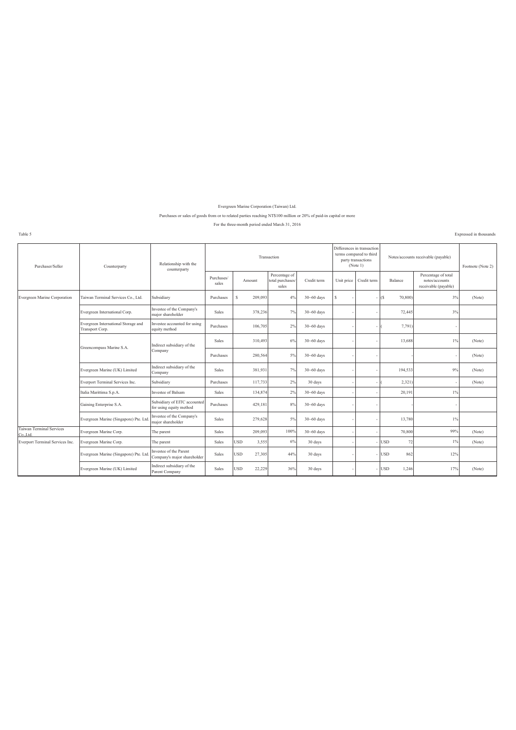#### Evergreen Marine Corporation (Taiwan) Ltd.

#### Purchases or sales of goods from or to related parties reaching NT\$100 million or 20% of paid-in capital or more

#### For the three-month period ended March 31, 2016

Table 5

Expressed in thousands

| Purchaser/Seller                         | Counterparty                                           | Relationship with the<br>counterparty                   |                     |               | Transaction                                |                |            | Differences in transaction<br>terms compared to third<br>party transactions<br>(Note 1) |                       | Notes/accounts receivable (payable)                           | Footnote (Note 2) |
|------------------------------------------|--------------------------------------------------------|---------------------------------------------------------|---------------------|---------------|--------------------------------------------|----------------|------------|-----------------------------------------------------------------------------------------|-----------------------|---------------------------------------------------------------|-------------------|
|                                          |                                                        |                                                         | Purchases/<br>sales | Amount        | Percentage of<br>total purchases/<br>sales | Credit term    | Unit price | Credit term                                                                             | Balance               | Percentage of total<br>notes/accounts<br>receivable (payable) |                   |
| Evergreen Marine Corporation             | Taiwan Terminal Services Co., Ltd.                     | Subsidiary                                              | Purchases           | Ś<br>209,093  | 4%                                         | $30 - 60$ days | s          |                                                                                         | 70,800)<br>$\sqrt{S}$ | 3%                                                            | (Note)            |
|                                          | Evergreen International Corp.                          | Investee of the Company's<br>major shareholder          | Sales               | 378,236       | 7%                                         | $30 - 60$ days |            |                                                                                         | 72,445                | 3%                                                            |                   |
|                                          | Evergreen International Storage and<br>Transport Corp. | Investee accounted for using<br>equity method           | Purchases           | 106,705       | 2%                                         | $30 - 60$ days |            |                                                                                         | 7,791)                | $\sim$                                                        |                   |
|                                          | Greencompass Marine S.A.                               | Indirect subsidiary of the                              | <b>Sales</b>        | 310,493       | 6%                                         | $30 - 60$ days |            |                                                                                         | 13,688                | 1%                                                            | (Note)            |
|                                          |                                                        | Company                                                 | Purchases           | 280,564       | 5%                                         | $30 - 60$ days |            |                                                                                         |                       | $\sim$                                                        | (Note)            |
|                                          | Evergreen Marine (UK) Limited                          | Indirect subsidiary of the<br>Company                   | <b>Sales</b>        | 381,931       | 7%                                         | $30 - 60$ days |            |                                                                                         | 194,533               | 9%                                                            | (Note)            |
|                                          | Everport Terminal Services Inc.                        | Subsidiary                                              | Purchases           | 117,733       | 2%                                         | 30 days        |            |                                                                                         | 2,321)                | ٠                                                             | (Note)            |
|                                          | Italia Marittima S.p.A.                                | Investee of Balsam                                      | Sales               | 134,874       | 2%                                         | $30 - 60$ days |            |                                                                                         | 20,191                | $1\%$                                                         |                   |
|                                          | Gaining Enterprise S.A.                                | Subsidiary of EITC accounted<br>for using equity method | Purchases           | 429,181       | 8%                                         | $30 - 60$ days |            |                                                                                         |                       | $\sim$                                                        |                   |
|                                          | Evergreen Marine (Singapore) Pte. Ltd                  | Investee of the Company's<br>major shareholder          | Sales               | 279,628       | 5%                                         | $30 - 60$ days |            |                                                                                         | 13,780                | $1\%$                                                         |                   |
| <b>Taiwan Terminal Services</b><br>CoLtd | Evergreen Marine Corp.                                 | The parent                                              | Sales               | 209,093       | 100%                                       | $30 - 60$ days |            |                                                                                         | 70,800                | 99%                                                           | (Note)            |
| Everport Terminal Services Inc.          | Evergreen Marine Corp.                                 | The parent                                              | Sales               | USD<br>3,555  | 6%                                         | 30 days        |            |                                                                                         | <b>USD</b><br>72      | $1\%$                                                         | (Note)            |
|                                          | Evergreen Marine (Singapore) Pte. Ltd.                 | Investee of the Parent<br>Company's major shareholder   | Sales               | USD<br>27,305 | 44%                                        | 30 days        |            |                                                                                         | <b>USD</b><br>862     | 12%                                                           |                   |
|                                          | Evergreen Marine (UK) Limited                          | Indirect subsidiary of the<br>Parent Company            | Sales               | USD<br>22,229 | 36%                                        | 30 days        |            |                                                                                         | <b>USD</b><br>1,246   | 17%                                                           | (Note)            |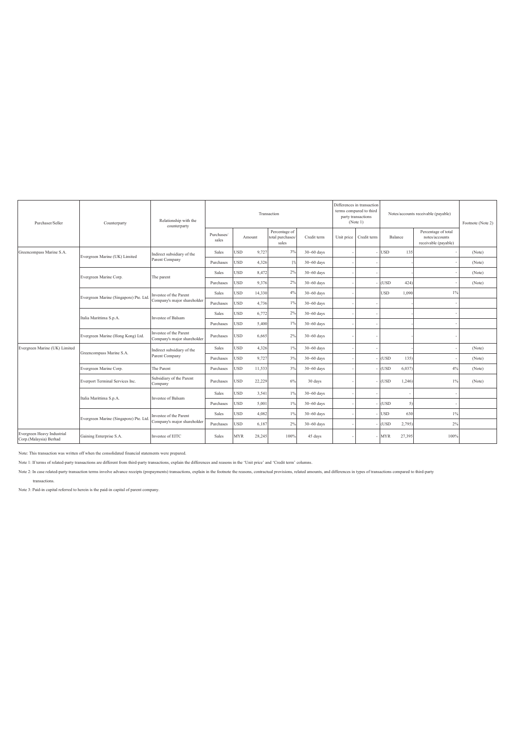| Purchaser/Seller                                     | Counterparty                          | Relationship with the<br>counterparty                 |                     |                      | Transaction                                |                |            | Differences in transaction<br>terms compared to third<br>party transactions<br>(Note 1) |            |        | Notes/accounts receivable (payable)                           | Footnote (Note 2) |
|------------------------------------------------------|---------------------------------------|-------------------------------------------------------|---------------------|----------------------|--------------------------------------------|----------------|------------|-----------------------------------------------------------------------------------------|------------|--------|---------------------------------------------------------------|-------------------|
|                                                      |                                       |                                                       | Purchases/<br>sales | Amount               | Percentage of<br>total purchases/<br>sales | Credit term    | Unit price | Credit term                                                                             | Balance    |        | Percentage of total<br>notes/accounts<br>receivable (payable) |                   |
| Greencompass Marine S.A.                             | Evergreen Marine (UK) Limited         | Indirect subsidiary of the                            | <b>Sales</b>        | JSD<br>9,727         | 3%                                         | $30 - 60$ days |            |                                                                                         | <b>USD</b> | 135    |                                                               | (Note)            |
|                                                      |                                       | Parent Company                                        | Purchases           | <b>USD</b><br>4,326  | $1\%$                                      | $30 - 60$ days |            |                                                                                         |            |        |                                                               | (Note)            |
|                                                      | Evergreen Marine Corp.                | The parent                                            | Sales               | USD<br>8,472         | 2%                                         | $30 - 60$ days |            |                                                                                         |            |        |                                                               | (Note)            |
|                                                      |                                       |                                                       | Purchases           | USD<br>9,376         | 2%                                         | $30 - 60$ days |            |                                                                                         | (USD)      | 424)   |                                                               | (Note)            |
|                                                      | Evergreen Marine (Singapore) Pte. Ltd | Investee of the Parent                                | Sales               | USD<br>14,330        | 4%                                         | $30 - 60$ days |            |                                                                                         | USD        | 1,090  | $1\%$                                                         |                   |
|                                                      |                                       | Company's major shareholder                           | Purchases           | USD<br>4,736         | $1\%$                                      | $30 - 60$ days |            |                                                                                         |            |        |                                                               |                   |
|                                                      | Italia Marittima S.p.A.               | Investee of Balsam                                    | Sales               | USD<br>6,772         | 2%                                         | $30 - 60$ days |            |                                                                                         |            |        |                                                               |                   |
|                                                      |                                       |                                                       | Purchases           | USD<br>5,400         | $1\%$                                      | $30 - 60$ days |            |                                                                                         |            |        |                                                               |                   |
|                                                      | Evergreen Marine (Hong Kong) Ltd.     | Investee of the Parent<br>Company's major shareholder | Purchases           | <b>USD</b><br>6,665  | 2%                                         | $30 - 60$ days |            |                                                                                         |            |        |                                                               |                   |
| Evergreen Marine (UK) Limited                        | Greencompass Marine S.A.              | Indirect subsidiary of the                            | <b>Sales</b>        | <b>USD</b><br>4,326  | 1%                                         | $30 - 60$ days |            |                                                                                         |            |        |                                                               | (Note)            |
|                                                      |                                       | Parent Company                                        | Purchases           | <b>USD</b><br>9,727  | 3%                                         | $30 - 60$ days |            |                                                                                         | (USD)      | 135)   |                                                               | (Note)            |
|                                                      | Evergreen Marine Corp.                | The Parent                                            | Purchases           | USD<br>11,533        | 3%                                         | $30 - 60$ days |            |                                                                                         | (USD)      | 6,037  | 4%                                                            | (Note)            |
|                                                      | Everport Terminal Services Inc.       | Subsidiary of the Parent<br>Company                   | Purchases           | <b>USD</b><br>22,229 | 6%                                         | 30 days        |            |                                                                                         | (USD       | 1,246  | $1\%$                                                         | (Note)            |
|                                                      | Italia Marittima S.p.A.               | Investee of Balsam                                    | Sales               | USD<br>3,541         | $1\%$                                      | $30 - 60$ days |            |                                                                                         |            |        |                                                               |                   |
|                                                      |                                       |                                                       | Purchases           | USD<br>5,001         | $1\%$                                      | $30 - 60$ days |            |                                                                                         | (USD)      | 5)     |                                                               |                   |
|                                                      | Evergreen Marine (Singapore) Pte. Ltd | Investee of the Parent                                | Sales               | USD<br>4,082         | 1%                                         | $30 - 60$ days |            |                                                                                         | <b>USD</b> | 630    | $1\%$                                                         |                   |
|                                                      |                                       | Company's major shareholder                           | Purchases           | USD<br>6,187         | 2%                                         | $30 - 60$ days |            |                                                                                         | (USD)      | 2,795  | 2%                                                            |                   |
| Evergreen Heavy Industrial<br>Corp.(Malaysia) Berhad | Gaining Enterprise S.A.               | Investee of EITC                                      | <b>Sales</b>        | MYR<br>28,245        | 100%                                       | 45 days        |            |                                                                                         | MYR        | 27,395 | 100%                                                          |                   |

Note: This transaction was written off when the consolidated financial statements were prepared.

Note 1: If terms of related-party transactions are different from third-party transactions, explain the differences and reasons in the 'Unit price' and 'Credit term' columns.

Note 2: In case related-party transaction terms involve advance receipts (prepayments) transactions, explain in the footnote the reasons, contractual provisions, related amounts, and differences in types of transactions co transactions.

Note 3: Paid-in capital referred to herein is the paid-in capital of parent company.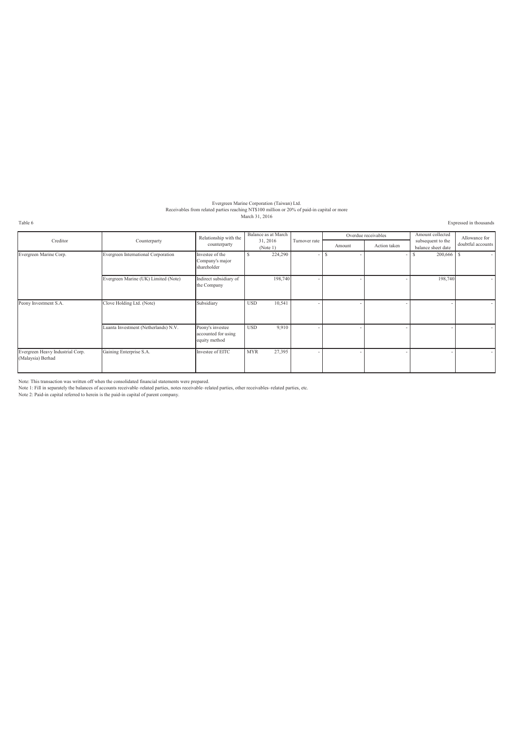# Evergreen Marine Corporation (Taiwan) Ltd.<br>Receivables from related parties reaching NT\$100 million or 20% of paid-in capital or more<br>March 31, 2016

Table 6 Expressed in thousands

|                                                       |                                      | Relationship with the                                    | Balance as at March  |               |        | Overdue receivables | Amount collected                        | Allowance for     |
|-------------------------------------------------------|--------------------------------------|----------------------------------------------------------|----------------------|---------------|--------|---------------------|-----------------------------------------|-------------------|
| Creditor                                              | Counterparty                         | counterparty                                             | 31, 2016<br>(Note 1) | Turnover rate | Amount | Action taken        | subsequent to the<br>balance sheet date | doubtful accounts |
| Evergreen Marine Corp.                                | Evergreen International Corporation  | Investee of the<br>Company's major<br>shareholder        | 224,290<br>S         |               | -8     |                     | 200,666                                 | -S<br>$\sim$      |
|                                                       | Evergreen Marine (UK) Limited (Note) | Indirect subsidiary of<br>the Company                    | 198,740              |               |        |                     | 198,740                                 |                   |
| Peony Investment S.A.                                 | Clove Holding Ltd. (Note)            | Subsidiary                                               | 10,541<br><b>USD</b> |               |        |                     |                                         |                   |
|                                                       | Luanta Investment (Netherlands) N.V. | Peony's investee<br>accounted for using<br>equity method | 9,910<br><b>USD</b>  |               |        |                     |                                         | $\sim$            |
| Evergreen Heavy Industrial Corp.<br>(Malaysia) Berhad | Gaining Enterprise S.A.              | Investee of EITC                                         | <b>MYR</b><br>27,395 |               |        |                     |                                         |                   |

Note: This transaction was written off when the consolidated financial statements were prepared.<br>Note 1: Fill in separately the balances of accounts receivable–related parties, notes receivable–related parti<br>Note 2: Paid-i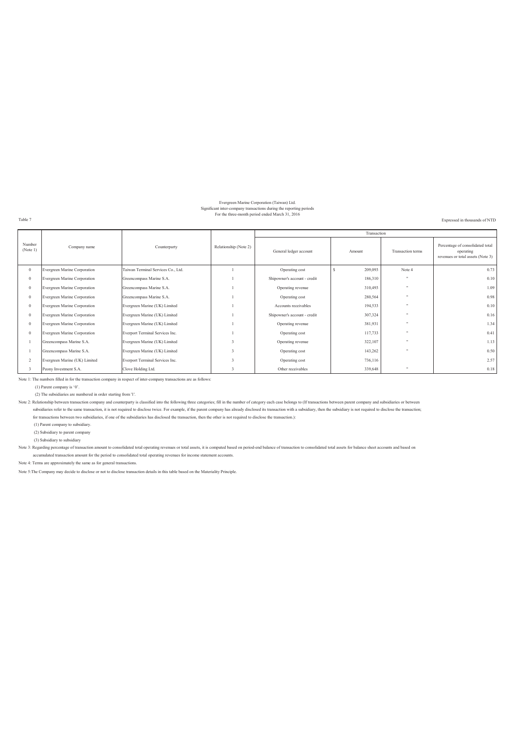#### Evergreen Marine Corporation (Taiwan) Ltd. Significant inter-company transactions during the reporting periods For the three-month period ended March 31, 2016

Expressed in thousands of NTD

Table 7

|                    |                               |                                    |                       |                              | Transaction |                   |                                                                                    |
|--------------------|-------------------------------|------------------------------------|-----------------------|------------------------------|-------------|-------------------|------------------------------------------------------------------------------------|
| Number<br>(Note 1) | Company name                  | Counterparty                       | Relationship (Note 2) | General ledger account       | Amount      | Transaction terms | Percentage of consolidated total<br>operating<br>revenues or total assets (Note 3) |
|                    | Evergreen Marine Corporation  | Taiwan Terminal Services Co., Ltd. |                       | Operating cost               | 209,093     | Note 4            | 0.73                                                                               |
| $\mathbf{0}$       | Evergreen Marine Corporation  | Greencompass Marine S.A.           |                       | Shipowner's account - credit | 186,310     |                   | 0.10                                                                               |
|                    | Evergreen Marine Corporation  | Greencompass Marine S.A.           |                       | Operating revenue            | 310,493     | - 11              | 1.09                                                                               |
| $\mathbf{0}$       | Evergreen Marine Corporation  | Greencompass Marine S.A.           |                       | Operating cost               | 280,564     |                   | 0.98                                                                               |
|                    | Evergreen Marine Corporation  | Evergreen Marine (UK) Limited      |                       | Accounts receivables         | 194,533     |                   | 0.10                                                                               |
| $\mathbf{0}$       | Evergreen Marine Corporation  | Evergreen Marine (UK) Limited      |                       | Shipowner's account - credit | 307,324     |                   | 0.16                                                                               |
| $\Omega$           | Evergreen Marine Corporation  | Evergreen Marine (UK) Limited      |                       | Operating revenue            | 381,931     |                   | 1.34                                                                               |
| $\mathbf{0}$       | Evergreen Marine Corporation  | Everport Terminal Services Inc.    |                       | Operating cost               | 117,733     |                   | 0.41                                                                               |
|                    | Greencompass Marine S.A.      | Evergreen Marine (UK) Limited      |                       | Operating revenue            | 322,107     |                   | 1.13                                                                               |
|                    | Greencompass Marine S.A.      | Evergreen Marine (UK) Limited      |                       | Operating cost               | 143,262     |                   | 0.50                                                                               |
| $\mathcal{L}$      | Evergreen Marine (UK) Limited | Everport Terminal Services Inc.    |                       | Operating cost               | 736,116     |                   | 2.57                                                                               |
|                    | Peony Investment S.A.         | Clove Holding Ltd.                 |                       | Other receivables            | 339,648     | $\mathbf{u}$      | 0.18                                                                               |

Note 1: The numbers filled in for the transaction company in respect of inter-company transactions are as follows:

(1) Parent company is '0'.

(2) The subsidiaries are numbered in order starting from '1'.

Note 2: Relationship between transaction company and counterparty is classified into the following three categories; fill in the number of category each case belongs to (If transactions between parent company and subsidiar subsidiaries refer to the same transaction, it is not required to disclose twice. For example, if the parent company has already disclosed its transaction with a subsidiary, then the subsidiary is not required to disclose for transactions between two subsidiaries, if one of the subsidiaries has disclosed the transaction, then the other is not required to disclose the transaction.):

(1) Parent company to subsidiary.

(2) Subsidiary to parent company

(3) Subsidiary to subsidiary

Note 3: Regarding percentage of transaction amount to consolidated total operating revenues or total assets, it is computed based on period-end balance of transaction to consolidated total assets for balance sheet accounts accumulated transaction amount for the period to consolidated total operating revenues for income statement accounts.

Note 4: Terms are approximately the same as for general transactions.

Note 5:The Company may decide to disclose or not to disclose transaction details in this table based on the Materiality Principle.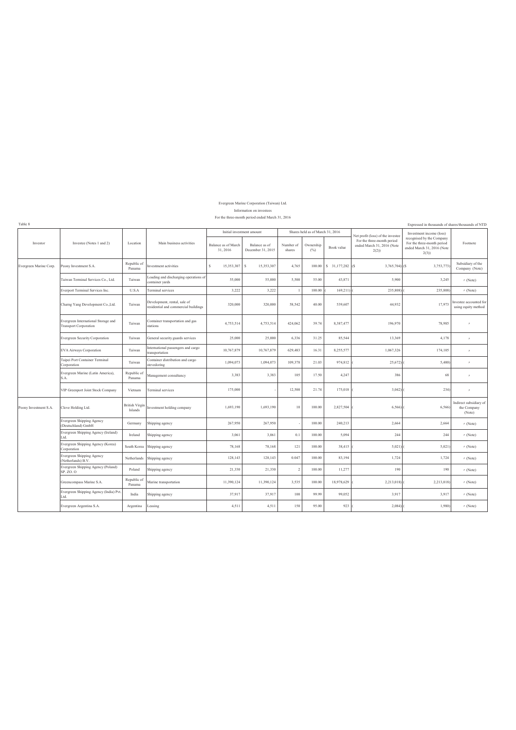#### Information on investees For the three-month period ended March 31, 2016 Evergreen Marine Corporation (Taiwan) Ltd.

Expressed in thousands of shares/thousands of NTD

Table 8

|                        | Investee (Notes 1 and 2)                                            | Location                         | Main business activities                                             | Initial investment amount       |                                    | Shares held as of March 31, 2016 |                  |                    | Net profit (loss) of the investee                                | Investment income (loss)                                                                      |                                                 |
|------------------------|---------------------------------------------------------------------|----------------------------------|----------------------------------------------------------------------|---------------------------------|------------------------------------|----------------------------------|------------------|--------------------|------------------------------------------------------------------|-----------------------------------------------------------------------------------------------|-------------------------------------------------|
| Investor               |                                                                     |                                  |                                                                      | Balance as of March<br>31, 2016 | Balance as of<br>December 31, 2015 | Number of<br>shares              | Ownership<br>(%) | Book value         | For the three-month period<br>ended March 31, 2016 (Note<br>2(2) | recognised by the Company<br>For the three-month period<br>ended March 31, 2016 (Note<br>2(3) | Footnote                                        |
| Evergreen Marine Corp. | Peony Investment S.A.                                               | Republic of<br>Panama            | Investment activities                                                | $\mathbf{S}$<br>15,353,307      | $\mathbb S$<br>15.353.307          | 4,765                            | 100.00           | $S$ 31,177,282 (S) | 3,765,704) (\$                                                   | 3,753,773                                                                                     | Subsidiary of the<br>Company (Note)             |
|                        | Taiwan Terminal Services Co., Ltd.                                  | Taiwan                           | oading and discharging operations of<br>container yards              | 55,000                          | 55,000                             | 5,500                            | 55.00            | 43,871             | 5.900                                                            | 3.245                                                                                         | $\prime\prime$ (Note)                           |
|                        | Everport Terminal Services Inc.                                     | U.S.A                            | Terminal services                                                    | 3,222                           | 3,222                              |                                  | 100.00           | 169,211)           | 235,808                                                          | 235,808                                                                                       | $\pi$ (Note)                                    |
|                        | Charng Yang Development Co., Ltd.                                   | Taiwan                           | Development, rental, sale of<br>residential and commercial buildings | 320,000                         | 320,000                            | 58,542                           | 40.00            | 539,607            | 44,932                                                           | 17,973                                                                                        | Investee accounted for<br>using equity method   |
|                        | Evergreen International Storage and<br><b>Transport Corporation</b> | Taiwan                           | Container transportation and gas<br>stations                         | 4,753,514                       | 4,753,514                          | 424,062                          | 39.74            | 8,387,477          | 196,970                                                          | 78,985                                                                                        |                                                 |
|                        | <b>Evergreen Security Corporation</b>                               | Taiwan                           | General security guards services                                     | 25,000                          | 25,000                             | 6,336                            | 31.25            | 85,544             | 13,369                                                           | 4,178                                                                                         | $\theta$                                        |
|                        | <b>EVA Airways Corporation</b>                                      | Taiwan                           | International passengers and cargo<br>transportation                 | 10,767,879                      | 10,767,879                         | 629,483                          | 16.31            | 8,255,577          | 1,067,326                                                        | 174,105                                                                                       | $\theta$                                        |
|                        | Taipei Port Container Terminal<br>Corporation                       | Taiwan                           | Container distribution and cargo<br>stevedoring                      | 1,094,073                       | 1,094,073                          | 109,378                          | 21.03            | 974,812            | 25,672)                                                          | 5,400                                                                                         | $\theta$                                        |
|                        | Evergreen Marine (Latin America),<br>S.A.                           | Republic of<br>Panama            | Management consultancy                                               | 3,383                           | 3,383                              | 105                              | 17.50            | 4,247              | 386                                                              | 68                                                                                            | $\prime$                                        |
|                        | VIP Greenport Joint Stock Company                                   | Vietnam                          | Terminal services                                                    | 175,000                         |                                    | 12,500                           | 21.74            | 175,018            | 3,042                                                            | 234)                                                                                          | $\theta$                                        |
| Peony Investment S.A.  | Clove Holding Ltd.                                                  | <b>British Virgin</b><br>Islands | Investment holding company                                           | 1,693,190                       | 1,693,190                          | 10                               | 100.00           | 2,827,504          | 6,566)                                                           | 6,566)                                                                                        | Indirect subsidiary of<br>the Company<br>(Note) |
|                        | <b>Evergreen Shipping Agency</b><br>(Deutschland) GmbH              | Germany                          | Shipping agency                                                      | 267,950                         | 267,950                            |                                  | 100.00           | 240,213            | 2,664                                                            | 2,664                                                                                         | $\pi$ (Note)                                    |
|                        | Evergreen Shipping Agency (Ireland)<br>Ltd.                         | Ireland                          | Shipping agency                                                      | 3,061                           | 3.061                              | 0.1                              | 100.00           | 5.094              | 244                                                              | 244                                                                                           | $\pi$ (Note)                                    |
|                        | Evergreen Shipping Agency (Korea)<br>Corporation                    | South Korea                      | Shipping agency                                                      | 78,168                          | 78,168                             | 121                              | 100.00           | 38,415             | 5,021                                                            | 5,021                                                                                         | $\pi$ (Note)                                    |
|                        | Evergreen Shipping Agency<br>Netherlands) B.V.                      | Netherlands                      | Shipping agency                                                      | 128,143                         | 128,143                            | 0.047                            | 100.00           | 83,194             | 1,724                                                            | 1,724                                                                                         | $\pi$ (Note)                                    |
|                        | Evergreen Shipping Agency (Poland)<br>SP. ZO. O                     | Poland                           | Shipping agency                                                      | 21,330                          | 21,330                             | $\overline{2}$                   | 100.00           | 11,277             | 190                                                              | 190                                                                                           | $\pi$ (Note)                                    |
|                        | Greencompass Marine S.A.                                            | Republic of<br>Panama            | Marine transportation                                                | 11,390,124                      | 11,390,124                         | 3,535                            | 100.00           | 18,978,629         | 2,213,018)                                                       | 2,213,018)                                                                                    | $\pi$ (Note)                                    |
|                        | Evergreen Shipping Agency (India) Pvt.<br>ht                        | India                            | Shipping agency                                                      | 37,917                          | 37,917                             | 100                              | 99.99            | 99,052             | 3,917                                                            | 3,917                                                                                         | $\pi$ (Note)                                    |
|                        | Evergreen Argentina S.A.                                            | Argentina                        | Leasing                                                              | 4,511                           | 4,511                              | 150                              | 95.00            | 923                | 2,084                                                            | 1,980)                                                                                        | $\pi$ (Note)                                    |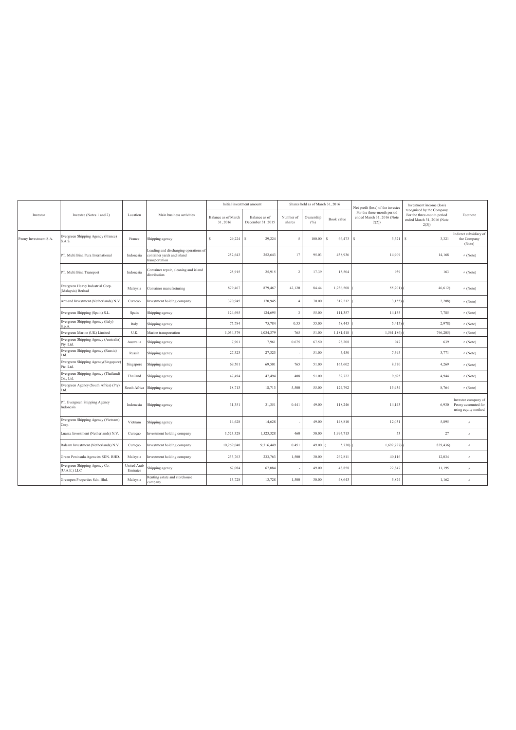|                       | Investee (Notes 1 and 2)                                                                                            | Location                       |                                                                                       | Initial investment amount       |                                    | Shares held as of March 31, 2016 |                  |             | Net profit (loss) of the investee                                | Investment income (loss)                                                                      |                                                                   |
|-----------------------|---------------------------------------------------------------------------------------------------------------------|--------------------------------|---------------------------------------------------------------------------------------|---------------------------------|------------------------------------|----------------------------------|------------------|-------------|------------------------------------------------------------------|-----------------------------------------------------------------------------------------------|-------------------------------------------------------------------|
| Investor              |                                                                                                                     |                                | Main business activities                                                              | Balance as of March<br>31, 2016 | Balance as of<br>December 31, 2015 | Number of<br>shares              | Ownership<br>(%) | Book value  | For the three-month period<br>ended March 31, 2016 (Note<br>2(2) | recognised by the Company<br>For the three-month period<br>ended March 31, 2016 (Note<br>2(3) | Footnote                                                          |
| Peony Investment S.A. | Evergreen Shipping Agency (France)<br>S.A.S.                                                                        | France                         | Shipping agency                                                                       | s<br>29.224                     | 29.224<br>s                        | 5                                | 100.00           | 66.473<br>s | s<br>3.321                                                       | 3,321<br>s                                                                                    | Indirect subsidiary of<br>the Company<br>(Note)                   |
|                       | PT. Multi Bina Pura International                                                                                   | Indonesia                      | Loading and discharging operations of<br>container yards and island<br>transportation | 252,643                         | 252,643                            | 17                               | 95.03            | 438.936     | 14.909                                                           | 14,168                                                                                        | $\pi$ (Note)                                                      |
|                       | PT. Multi Bina Transport                                                                                            | Indonesia                      | Container repair, cleaning and island<br>distribution                                 | 25,915                          | 25,915                             | $\mathcal{I}$                    | 17.39            | 15.504      | 939                                                              | 163                                                                                           | $\pi$ (Note)                                                      |
|                       | Evergreen Heavy Industrial Corp.<br>Malaysia<br>(Malaysia) Berhad<br>Armand Investment (Netherlands) N.V<br>Curacao |                                | Container manufacturing                                                               | 879.467                         | 879.467                            | 42.120                           | 84.44            | 1.236.508   | 55,201)                                                          | 46.612                                                                                        | $\pi$ (Note)                                                      |
|                       |                                                                                                                     |                                | Investment holding company                                                            | 370,945                         | 370.945                            | 4                                | 70.00            | 312,212     | 3,155                                                            | 2,208                                                                                         | $n$ (Note)                                                        |
|                       | Evergreen Shipping (Spain) S.L.                                                                                     | Spain                          | Shipping agency                                                                       | 124.695                         | 124.695                            | $\overline{\mathbf{3}}$          | 55.00            | 111.357     | 14.155                                                           | 7,785                                                                                         | $\pi$ (Note)                                                      |
|                       | Evergreen Shipping Agency (Italy)<br>S.p.A.                                                                         | Italy                          | Shipping agency                                                                       | 75,784                          | 75,784                             | 0.55                             | 55.00            | 58,445      | 5,415                                                            | 2,978)                                                                                        | $n$ (Note)                                                        |
|                       | Evergreen Marine (UK) Limited                                                                                       | U.K                            | Marine transportation                                                                 | 1,034,379                       | 1,034,379                          | 765                              | 51.00            | 1,181,418   | 1,561,186)                                                       | 796,205)                                                                                      | $\prime\prime$ (Note)                                             |
|                       | Evergreen Shipping Agency (Australia)<br>Pty. Ltd.                                                                  | Australia                      | Shipping agency                                                                       | 7,961                           | 7,961                              | 0.675                            | 67.50            | 28,208      | 947                                                              | 639                                                                                           | $n$ (Note)                                                        |
|                       | Evergreen Shipping Agency (Russia)<br>bt.                                                                           | Russia                         | Shipping agency                                                                       | 27,323                          | 27,323                             |                                  | 51.00            | 5,450       | 7,395                                                            | 3,771                                                                                         | $\pi$ (Note)                                                      |
|                       | Evergreen Shipping Agency(Singapore)<br>Pte. Ltd.                                                                   | Singapore                      | Shipping agency                                                                       | 69,501                          | 69,501                             | 765                              | 51.00            | 163.602     | 8.370                                                            | 4,269                                                                                         | $n$ (Note)                                                        |
|                       | Evergreen Shipping Agency (Thailand)<br>Co., Ltd.                                                                   | Thailand                       | Shipping agency                                                                       | 47,494                          | 47,494                             | 408                              | 51.00            | 32,722      | 9,695                                                            | 4,944                                                                                         | $\pi$ (Note)                                                      |
|                       | Evergreen Agency (South Africa) (Pty)<br>Ltd.                                                                       | South Africa                   | Shipping agency                                                                       | 18,713                          | 18,713                             | 5.500                            | 55.00            | 124.792     | 15.934                                                           | 8,764                                                                                         | $n$ (Note)                                                        |
|                       | PT. Evergreen Shipping Agency<br>Indonesia                                                                          | Indonesia                      | Shipping agency                                                                       | 31,351                          | 31,351                             | 0.441                            | 49.00            | 118.246     | 14.143                                                           | 6,930                                                                                         | Investee company of<br>Peony accounted for<br>using equity method |
|                       | Evergreen Shipping Agency (Vietnam)<br>Corp.                                                                        | Vietnam                        | Shipping agency                                                                       | 14,628                          | 14,628                             |                                  | 49.00            | 148.810     | 12.031                                                           | 5,895                                                                                         | $\theta$                                                          |
|                       | Luanta Investment (Netherlands) N.V.                                                                                | Curaçao                        | Investment holding company                                                            | 1,523,328                       | 1,523,328                          | 460                              | 50.00            | 1,994,713   | 53                                                               | 27                                                                                            | $\theta$                                                          |
|                       | Balsam Investment (Netherlands) N.V                                                                                 | Curaçao                        | Investment holding company                                                            | 10,269,040                      | 9,716,449                          | 0.451                            | 49.00            | 5,730)      | 1,692,727)                                                       | 829,436)                                                                                      | $\theta$                                                          |
|                       | Green Peninsula Agencies SDN. BHD.                                                                                  | Malaysia                       | Investment holding company                                                            | 233,763                         | 233,763                            | 1,500                            | 30.00            | 267,811     | 40,116                                                           | 12,034                                                                                        | $\theta$                                                          |
|                       | Evergreen Shipping Agency Co.<br>(U.A.E.) LLC                                                                       | <b>United Arab</b><br>Emirates | Shipping agency                                                                       | 67,084                          | 67,084                             |                                  | 49.00            | 48,858      | 22,847                                                           | 11,195                                                                                        | $\theta$                                                          |
|                       | Greenpen Properties Sdn. Bhd.                                                                                       | Malaysia                       | Renting estate and storehouse<br>company                                              | 13,728                          | 13,728                             | 1,500                            | 30.00            | 48,643      | 3,874                                                            | 1,162                                                                                         | $\theta$                                                          |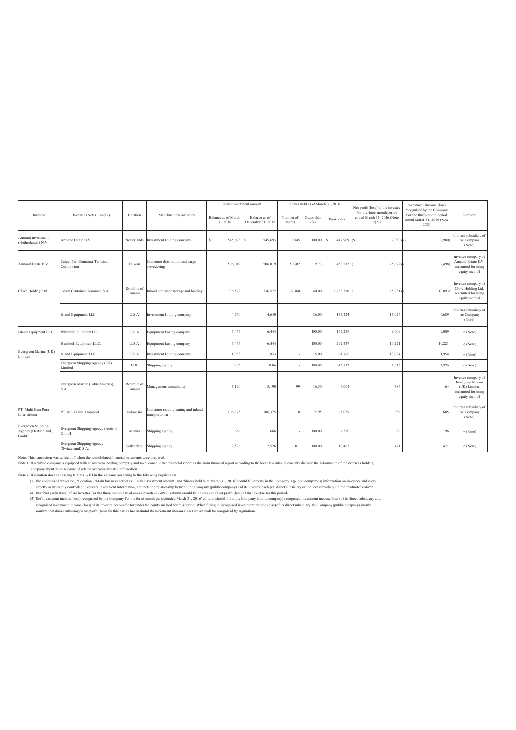|                                                           |                                                        |                       |                                                        | Initial investment amount      |                                    | Shares held as of March 31, 2016 |                  | Net profit (loss) of the investee | Investment income (loss)                                         |                                                                                                   |                                                                                                 |
|-----------------------------------------------------------|--------------------------------------------------------|-----------------------|--------------------------------------------------------|--------------------------------|------------------------------------|----------------------------------|------------------|-----------------------------------|------------------------------------------------------------------|---------------------------------------------------------------------------------------------------|-------------------------------------------------------------------------------------------------|
| Investor                                                  | Investee (Notes 1 and 2)                               | Location              | Main business activities                               | Balance as of March<br>31.2016 | Balance as of<br>December 31, 2015 | Number of<br>shares              | Ownership<br>(%) | Book value                        | For the three-month period<br>ended March 31, 2016 (Note<br>2(2) | recognised by the Company<br>For the three-month period<br>ended March 31, 2016 (Note<br>$2(3)$ ) | Footnote                                                                                        |
| <b>Armand Investment</b><br>(Netherlands) N.V.            | Armand Estate B.V.                                     | Netherlands           | Investment holding company                             | 545,693<br>s                   | 545,693<br>s                       | 0.045                            | 100.00           | 447.909 (S)<br>s                  | $2,980$ (\$)                                                     | 2,980)                                                                                            | Indirect subsidiary of<br>the Company<br>(Note)                                                 |
| Armand Estate B.V.                                        | Taipei Port Container Terminal<br>Corporation          | Taiwan                | Container distribution and cargo<br>stevedoring        | 506,019                        | 506,019                            | 50,602                           | 9.73             | 450,212                           | 25,672)                                                          | 2,498)                                                                                            | Investee company of<br>Armand Estate B.V.<br>accounted for using<br>equity method               |
| Clove Holding Ltd.                                        | Colon Container Terminal, S.A.                         | Republic of<br>Panama | Inland container storage and loading                   | 736,572                        | 736,572                            | 22,860                           | 40.00            | 2,783,380                         | 25,231                                                           | 10,093                                                                                            | Investee company of<br>Clove Holding Ltd.<br>accounted for using<br>equity method               |
|                                                           | Island Equipment LLC.                                  | U.S.A                 | Investment holding company                             | 4,640                          | 4,640                              |                                  | 36.00            | 155,424                           | 13,024                                                           | 4,689                                                                                             | Indirect subsidiary of<br>the Company<br>(Note)                                                 |
| Island Equipment LLC                                      | Whitney Equipment LLC.                                 | U.S.A                 | Equipment leasing company                              | 6,444                          | 6,444                              |                                  | 100.00           | 147,256                           | 9,009                                                            | 9,009                                                                                             | $\pi$ (Note)                                                                                    |
|                                                           | Hemlock Equipment LLC.                                 | U.S.A                 | Equipment leasing company                              | 6,444                          | 6,444                              |                                  | 100.00           | 292,447                           | 10,221                                                           | 10,221                                                                                            | $\prime\prime$ (Note)                                                                           |
| Evergreen Marine (UK)<br>Limited                          | sland Equipment LLC.                                   | U.S.A                 | Investment holding company                             | 1,933                          | 1,933                              |                                  | 15.00            | 64,760                            | 13,024                                                           | 1,954                                                                                             | $\pi$ (Note)                                                                                    |
|                                                           | Evergreen Shipping Agency (UK)<br>Limited              | U.K                   | Shipping agency                                        | 0.06                           | 0.06                               |                                  | 100.00           | 43,913                            | 2,976                                                            | 2,976                                                                                             | $\prime\prime$ (Note)                                                                           |
|                                                           | Evergreen Marine (Latin America),<br>S.A.              | Republic of<br>Panama | Management consultancy                                 | 3,190                          | 3,190                              | 99                               | 16.50            | 4,004                             | 386                                                              | 64                                                                                                | Investee company of<br>Evergreen Marine<br>(UK) Limited<br>accounted for using<br>equity method |
| PT. Multi Bina Pura<br>International                      | PT. Multi Bina Transport                               | Indonesia             | Container repair cleaning and inland<br>transportation | 106.375                        | 106,375                            | $\mathbf{g}$                     | 72.95            | 65.039                            | 939                                                              | 685                                                                                               | Indirect subsidiary of<br>the Company<br>(Note)                                                 |
| <b>Evergreen Shipping</b><br>Agency (Deutschland)<br>GmbH | Evergreen Shipping Agency (Austria)<br>GmbH            | Austria               | Shipping agency                                        | 666                            | 666                                |                                  | 100.00           | 7,580                             | 96                                                               | 96                                                                                                | $\prime\prime$ (Note)                                                                           |
|                                                           | <b>Evergreen Shipping Agency</b><br>(Switzerland) S.A. | Switzerland           | Shipping agency                                        | 2,526                          | 2,526                              | 0.1                              | 100.00           | 10,463                            | 471                                                              | 471                                                                                               | $\prime\prime$ (Note)                                                                           |

Note: This transaction was written off when the consolidated financial statements were prepared.

Note 1: If a public company is equipped with an overseas holding company and takes consolidated financial report as the main financial report according to the local law rules, it can only disclose the information of the ov

(3) The Investment income (loss) recognised by the Company For the three-month period ended March 31, 2016' column should fill in the Company (public company) recognised investment income (loss) of its direct subsidiary an